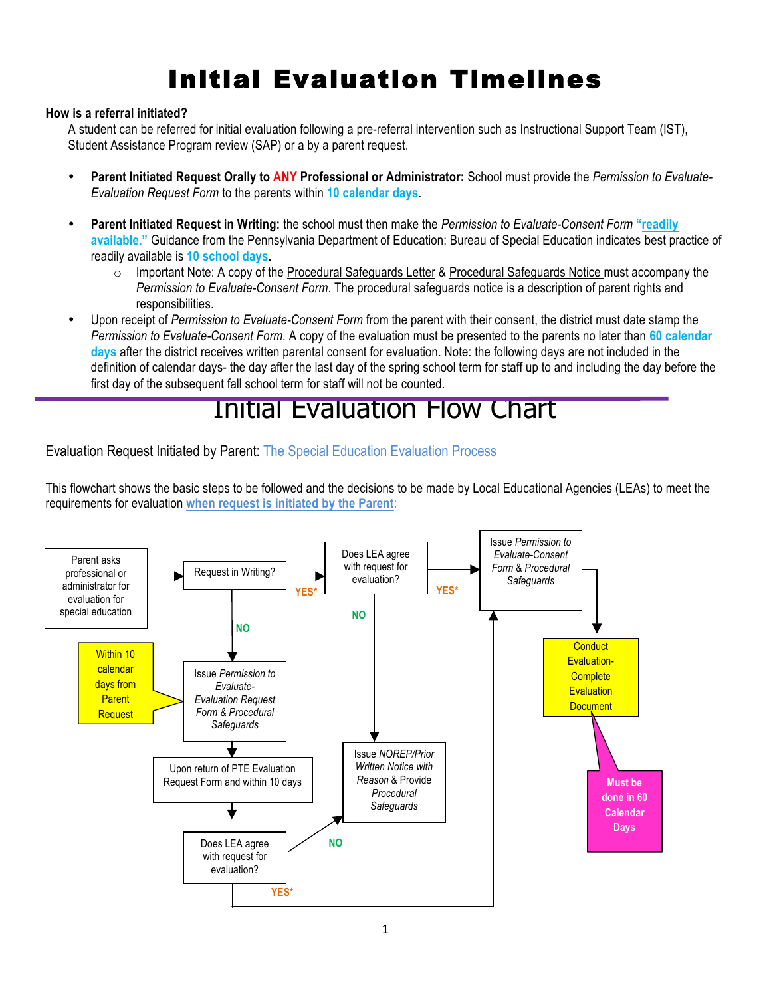## Initial Evaluation Timelines

#### **How is a referral initiated?**

A student can be referred for initial evaluation following a pre-referral intervention such as Instructional Support Team (IST), Student Assistance Program review (SAP) or a by a parent request.

- **Parent Initiated Request Orally to ANY Professional or Administrator:** School must provide the *Permission to Evaluate-Evaluation Request Form* to the parents within **10 calendar days**.
- **Parent Initiated Request in Writing:** the school must then make the *Permission to Evaluate-Consent Form* **"readily available."** Guidance from the Pennsylvania Department of Education: Bureau of Special Education indicates best practice of readily available is **10 school days.** 
	- o Important Note: A copy of the Procedural Safeguards Letter & Procedural Safeguards Notice must accompany the *Permission to Evaluate-Consent Form*. The procedural safeguards notice is a description of parent rights and responsibilities.
- Upon receipt of *Permission to Evaluate-Consent Form* from the parent with their consent, the district must date stamp the *Permission to Evaluate-Consent Form.* A copy of the evaluation must be presented to the parents no later than **60 calendar days** after the district receives written parental consent for evaluation. Note: the following days are not included in the definition of calendar days- the day after the last day of the spring school term for staff up to and including the day before the first day of the subsequent fall school term for staff will not be counted.

### Initial Evaluation Flow Chart

Evaluation Request Initiated by Parent: The Special Education Evaluation Process

This flowchart shows the basic steps to be followed and the decisions to be made by Local Educational Agencies (LEAs) to meet the requirements for evaluation **when request is initiated by the Parent**:

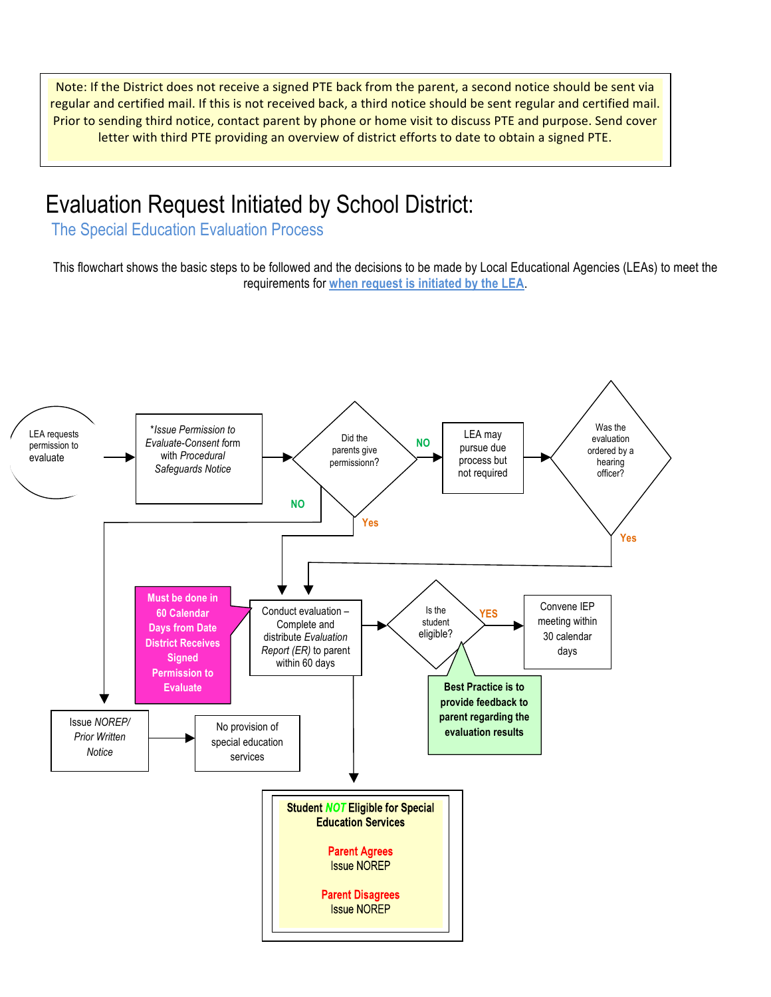Note: If the District does not receive a signed PTE back from the parent, a second notice should be sent via regular and certified mail. If this is not received back, a third notice should be sent regular and certified mail. Prior to sending third notice, contact parent by phone or home visit to discuss PTE and purpose. Send cover letter with third PTE providing an overview of district efforts to date to obtain a signed PTE.

### Evaluation Request Initiated by School District:

The Special Education Evaluation Process

This flowchart shows the basic steps to be followed and the decisions to be made by Local Educational Agencies (LEAs) to meet the requirements for **when request is initiated by the LEA**.

![](_page_1_Figure_4.jpeg)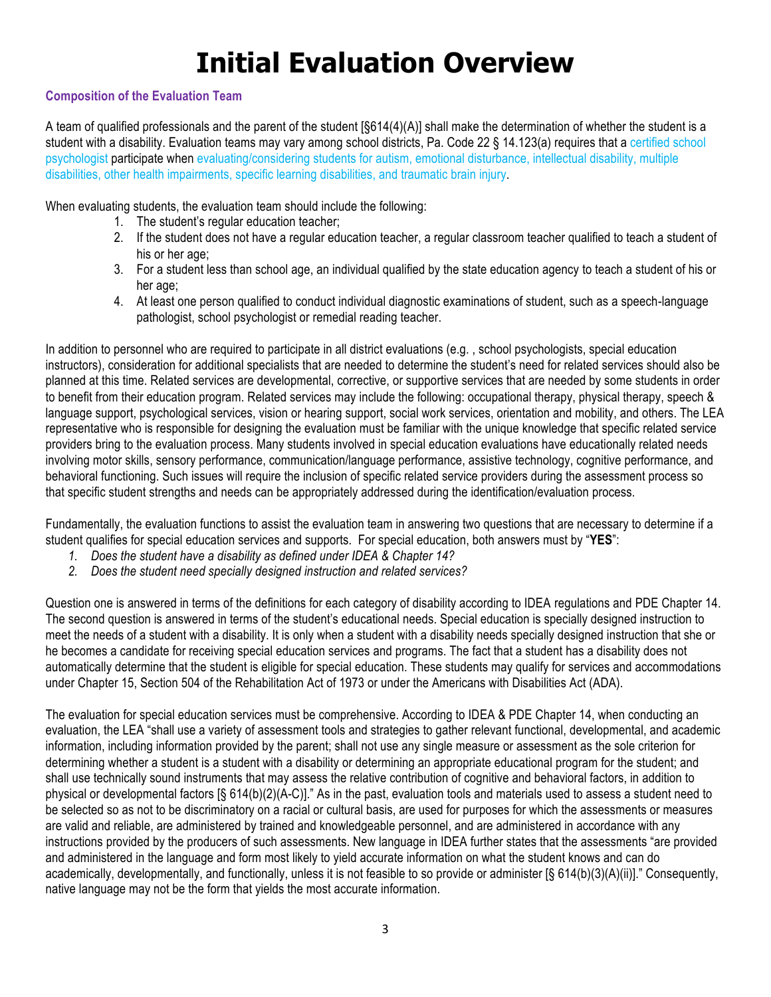## **Initial Evaluation Overview**

#### **Composition of the Evaluation Team**

A team of qualified professionals and the parent of the student [§614(4)(A)] shall make the determination of whether the student is a student with a disability. Evaluation teams may vary among school districts, Pa. Code 22 § 14.123(a) requires that a certified school psychologist participate when evaluating/considering students for autism, emotional disturbance, intellectual disability, multiple disabilities, other health impairments, specific learning disabilities, and traumatic brain injury.

When evaluating students, the evaluation team should include the following:

- 1. The student's regular education teacher;
- 2. If the student does not have a regular education teacher, a regular classroom teacher qualified to teach a student of his or her age:
- 3. For a student less than school age, an individual qualified by the state education agency to teach a student of his or her age:
- 4. At least one person qualified to conduct individual diagnostic examinations of student, such as a speech-language pathologist, school psychologist or remedial reading teacher.

In addition to personnel who are required to participate in all district evaluations (e.g. , school psychologists, special education instructors), consideration for additional specialists that are needed to determine the student's need for related services should also be planned at this time. Related services are developmental, corrective, or supportive services that are needed by some students in order to benefit from their education program. Related services may include the following: occupational therapy, physical therapy, speech & language support, psychological services, vision or hearing support, social work services, orientation and mobility, and others. The LEA representative who is responsible for designing the evaluation must be familiar with the unique knowledge that specific related service providers bring to the evaluation process. Many students involved in special education evaluations have educationally related needs involving motor skills, sensory performance, communication/language performance, assistive technology, cognitive performance, and behavioral functioning. Such issues will require the inclusion of specific related service providers during the assessment process so that specific student strengths and needs can be appropriately addressed during the identification/evaluation process.

Fundamentally, the evaluation functions to assist the evaluation team in answering two questions that are necessary to determine if a student qualifies for special education services and supports. For special education, both answers must by "**YES**":

- *1. Does the student have a disability as defined under IDEA & Chapter 14?*
- *2. Does the student need specially designed instruction and related services?*

Question one is answered in terms of the definitions for each category of disability according to IDEA regulations and PDE Chapter 14. The second question is answered in terms of the student's educational needs. Special education is specially designed instruction to meet the needs of a student with a disability. It is only when a student with a disability needs specially designed instruction that she or he becomes a candidate for receiving special education services and programs. The fact that a student has a disability does not automatically determine that the student is eligible for special education. These students may qualify for services and accommodations under Chapter 15, Section 504 of the Rehabilitation Act of 1973 or under the Americans with Disabilities Act (ADA).

The evaluation for special education services must be comprehensive. According to IDEA & PDE Chapter 14, when conducting an evaluation, the LEA "shall use a variety of assessment tools and strategies to gather relevant functional, developmental, and academic information, including information provided by the parent; shall not use any single measure or assessment as the sole criterion for determining whether a student is a student with a disability or determining an appropriate educational program for the student; and shall use technically sound instruments that may assess the relative contribution of cognitive and behavioral factors, in addition to physical or developmental factors [§ 614(b)(2)(A-C)]." As in the past, evaluation tools and materials used to assess a student need to be selected so as not to be discriminatory on a racial or cultural basis, are used for purposes for which the assessments or measures are valid and reliable, are administered by trained and knowledgeable personnel, and are administered in accordance with any instructions provided by the producers of such assessments. New language in IDEA further states that the assessments "are provided and administered in the language and form most likely to yield accurate information on what the student knows and can do academically, developmentally, and functionally, unless it is not feasible to so provide or administer [§ 614(b)(3)(A)(ii)]." Consequently, native language may not be the form that yields the most accurate information.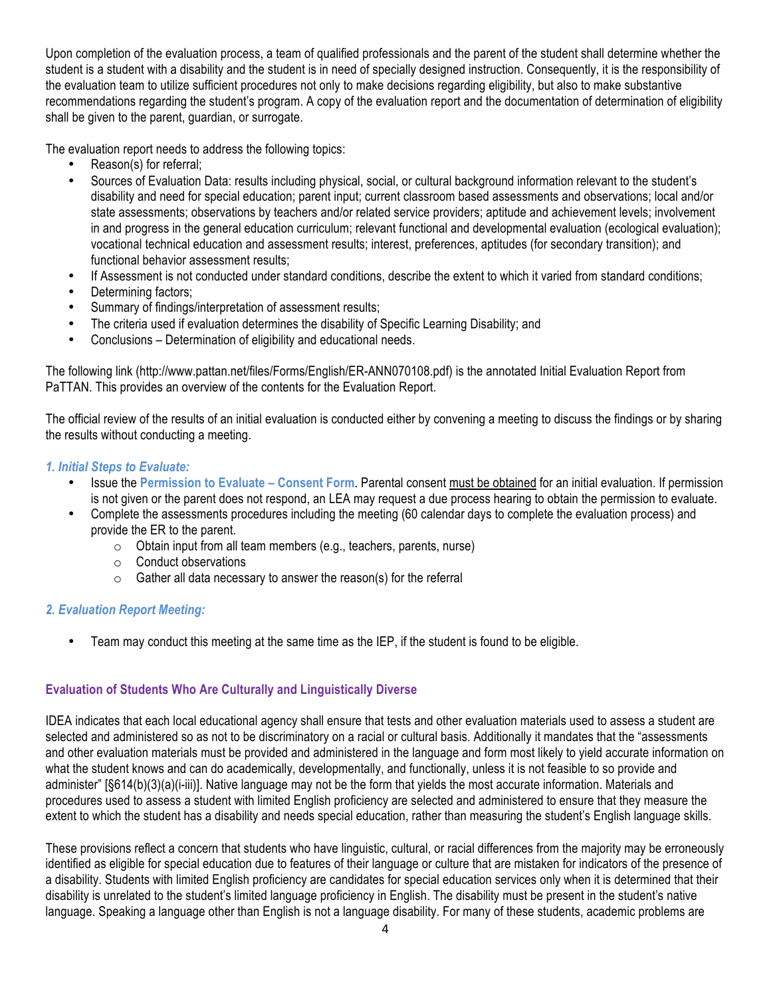Upon completion of the evaluation process, a team of qualified professionals and the parent of the student shall determine whether the student is a student with a disability and the student is in need of specially designed instruction. Consequently, it is the responsibility of the evaluation team to utilize sufficient procedures not only to make decisions regarding eligibility, but also to make substantive recommendations regarding the student's program. A copy of the evaluation report and the documentation of determination of eligibility shall be given to the parent, guardian, or surrogate.

The evaluation report needs to address the following topics:

- Reason(s) for referral;
- Sources of Evaluation Data: results including physical, social, or cultural background information relevant to the student's disability and need for special education; parent input; current classroom based assessments and observations; local and/or state assessments; observations by teachers and/or related service providers; aptitude and achievement levels; involvement in and progress in the general education curriculum; relevant functional and developmental evaluation (ecological evaluation); vocational technical education and assessment results; interest, preferences, aptitudes (for secondary transition); and functional behavior assessment results;
- If Assessment is not conducted under standard conditions, describe the extent to which it varied from standard conditions;
- Determining factors;
- Summary of findings/interpretation of assessment results;
- The criteria used if evaluation determines the disability of Specific Learning Disability; and
- Conclusions Determination of eligibility and educational needs.

The following link (http://www.pattan.net/files/Forms/English/ER-ANN070108.pdf) is the annotated Initial Evaluation Report from PaTTAN. This provides an overview of the contents for the Evaluation Report.

The official review of the results of an initial evaluation is conducted either by convening a meeting to discuss the findings or by sharing the results without conducting a meeting.

#### *1. Initial Steps to Evaluate:*

- Issue the **Permission to Evaluate Consent Form**. Parental consent must be obtained for an initial evaluation. If permission is not given or the parent does not respond, an LEA may request a due process hearing to obtain the permission to evaluate.
- Complete the assessments procedures including the meeting (60 calendar days to complete the evaluation process) and provide the ER to the parent.
	- o Obtain input from all team members (e.g., teachers, parents, nurse)
	- o Conduct observations
	- $\circ$  Gather all data necessary to answer the reason(s) for the referral

#### *2. Evaluation Report Meeting:*

• Team may conduct this meeting at the same time as the IEP, if the student is found to be eligible.

#### **Evaluation of Students Who Are Culturally and Linguistically Diverse**

IDEA indicates that each local educational agency shall ensure that tests and other evaluation materials used to assess a student are selected and administered so as not to be discriminatory on a racial or cultural basis. Additionally it mandates that the "assessments and other evaluation materials must be provided and administered in the language and form most likely to yield accurate information on what the student knows and can do academically, developmentally, and functionally, unless it is not feasible to so provide and administer" [§614(b)(3)(a)(i-iii)]. Native language may not be the form that yields the most accurate information. Materials and procedures used to assess a student with limited English proficiency are selected and administered to ensure that they measure the extent to which the student has a disability and needs special education, rather than measuring the student's English language skills.

These provisions reflect a concern that students who have linguistic, cultural, or racial differences from the majority may be erroneously identified as eligible for special education due to features of their language or culture that are mistaken for indicators of the presence of a disability. Students with limited English proficiency are candidates for special education services only when it is determined that their disability is unrelated to the student's limited language proficiency in English. The disability must be present in the student's native language. Speaking a language other than English is not a language disability. For many of these students, academic problems are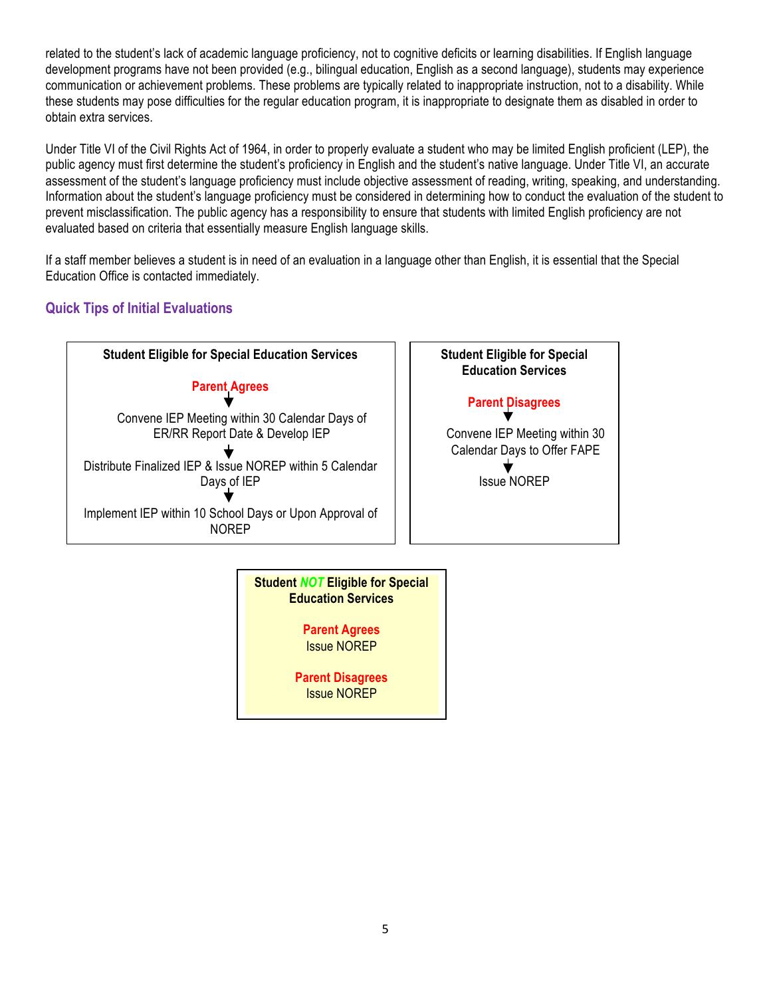related to the student's lack of academic language proficiency, not to cognitive deficits or learning disabilities. If English language development programs have not been provided (e.g., bilingual education, English as a second language), students may experience communication or achievement problems. These problems are typically related to inappropriate instruction, not to a disability. While these students may pose difficulties for the regular education program, it is inappropriate to designate them as disabled in order to obtain extra services.

Under Title VI of the Civil Rights Act of 1964, in order to properly evaluate a student who may be limited English proficient (LEP), the public agency must first determine the student's proficiency in English and the student's native language. Under Title VI, an accurate assessment of the student's language proficiency must include objective assessment of reading, writing, speaking, and understanding. Information about the student's language proficiency must be considered in determining how to conduct the evaluation of the student to prevent misclassification. The public agency has a responsibility to ensure that students with limited English proficiency are not evaluated based on criteria that essentially measure English language skills.

If a staff member believes a student is in need of an evaluation in a language other than English, it is essential that the Special Education Office is contacted immediately.

#### **Quick Tips of Initial Evaluations**

![](_page_4_Figure_4.jpeg)

![](_page_4_Figure_5.jpeg)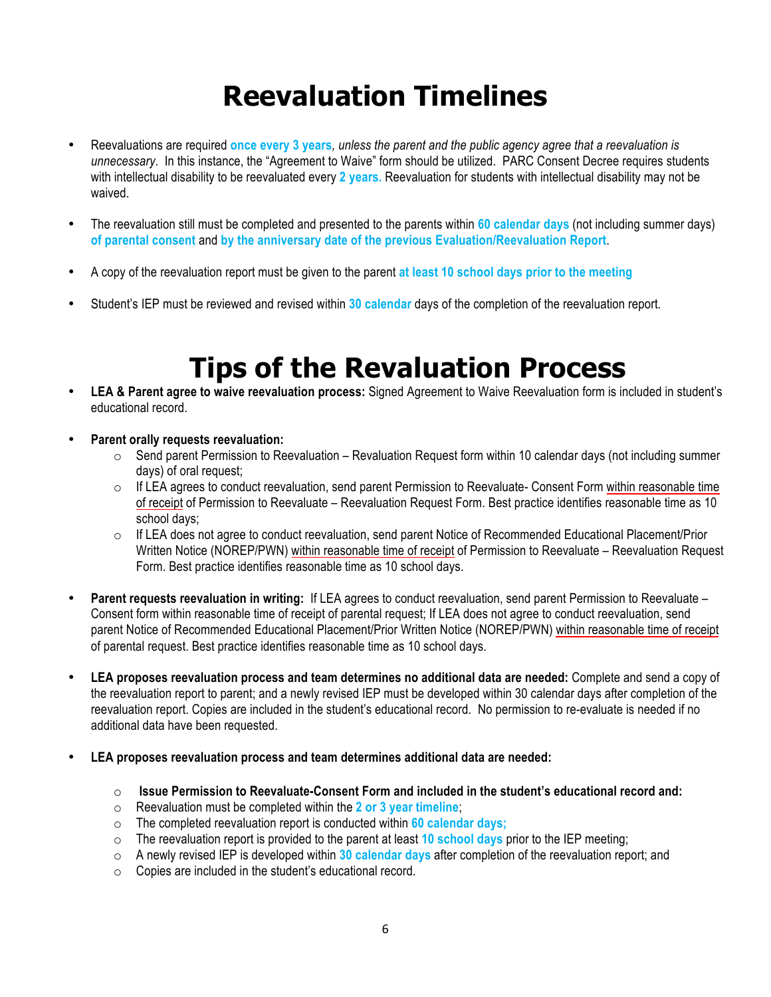## **Reevaluation Timelines**

- Reevaluations are required **once every 3 years***, unless the parent and the public agency agree that a reevaluation is unnecessary*. In this instance, the "Agreement to Waive" form should be utilized. PARC Consent Decree requires students with intellectual disability to be reevaluated every **2 years.** Reevaluation for students with intellectual disability may not be waived.
- The reevaluation still must be completed and presented to the parents within **60 calendar days** (not including summer days) **of parental consent** and **by the anniversary date of the previous Evaluation/Reevaluation Report**.
- A copy of the reevaluation report must be given to the parent **at least 10 school days prior to the meeting**
- Student's IEP must be reviewed and revised within **30 calendar** days of the completion of the reevaluation report.

## **Tips of the Revaluation Process**

- **LEA & Parent agree to waive reevaluation process:** Signed Agreement to Waive Reevaluation form is included in student's educational record.
- **Parent orally requests reevaluation:** 
	- $\circ$  Send parent Permission to Reevaluation Revaluation Request form within 10 calendar days (not including summer days) of oral request;
	- $\circ$  If LEA agrees to conduct reevaluation, send parent Permission to Reevaluate- Consent Form within reasonable time of receipt of Permission to Reevaluate – Reevaluation Request Form. Best practice identifies reasonable time as 10 school days;
	- $\circ$  If LEA does not agree to conduct reevaluation, send parent Notice of Recommended Educational Placement/Prior Written Notice (NOREP/PWN) within reasonable time of receipt of Permission to Reevaluate – Reevaluation Request Form. Best practice identifies reasonable time as 10 school days.
- **Parent requests reevaluation in writing:** If LEA agrees to conduct reevaluation, send parent Permission to Reevaluate Consent form within reasonable time of receipt of parental request; If LEA does not agree to conduct reevaluation, send parent Notice of Recommended Educational Placement/Prior Written Notice (NOREP/PWN) within reasonable time of receipt of parental request. Best practice identifies reasonable time as 10 school days.
- **LEA proposes reevaluation process and team determines no additional data are needed:** Complete and send a copy of the reevaluation report to parent; and a newly revised IEP must be developed within 30 calendar days after completion of the reevaluation report. Copies are included in the student's educational record. No permission to re-evaluate is needed if no additional data have been requested.
- **LEA proposes reevaluation process and team determines additional data are needed:**
	- o **Issue Permission to Reevaluate-Consent Form and included in the student's educational record and:**
	- o Reevaluation must be completed within the **2 or 3 year timeline**;
	- o The completed reevaluation report is conducted within **60 calendar days;**
	- o The reevaluation report is provided to the parent at least **10 school days** prior to the IEP meeting;
	- o A newly revised IEP is developed within **30 calendar days** after completion of the reevaluation report; and
	- o Copies are included in the student's educational record.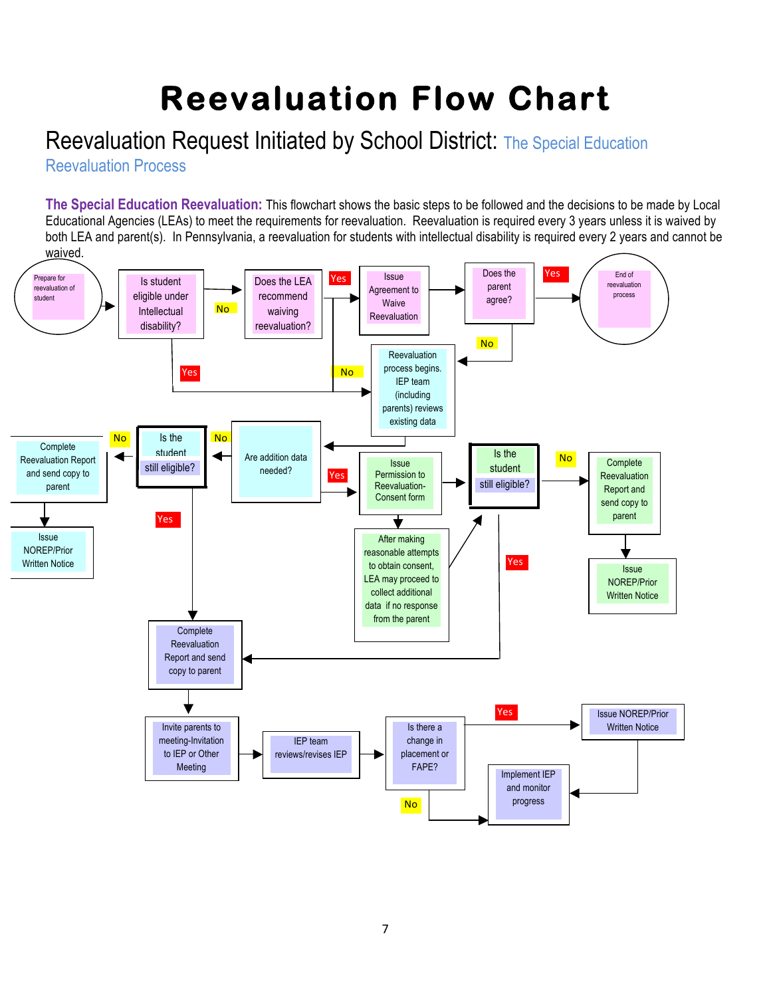# **Reevaluation Flow Chart**

### Reevaluation Request Initiated by School District: The Special Education

Reevaluation Process

**The Special Education Reevaluation:** This flowchart shows the basic steps to be followed and the decisions to be made by Local Educational Agencies (LEAs) to meet the requirements for reevaluation. Reevaluation is required every 3 years unless it is waived by both LEA and parent(s). In Pennsylvania, a reevaluation for students with intellectual disability is required every 2 years and cannot be waived.

![](_page_6_Figure_4.jpeg)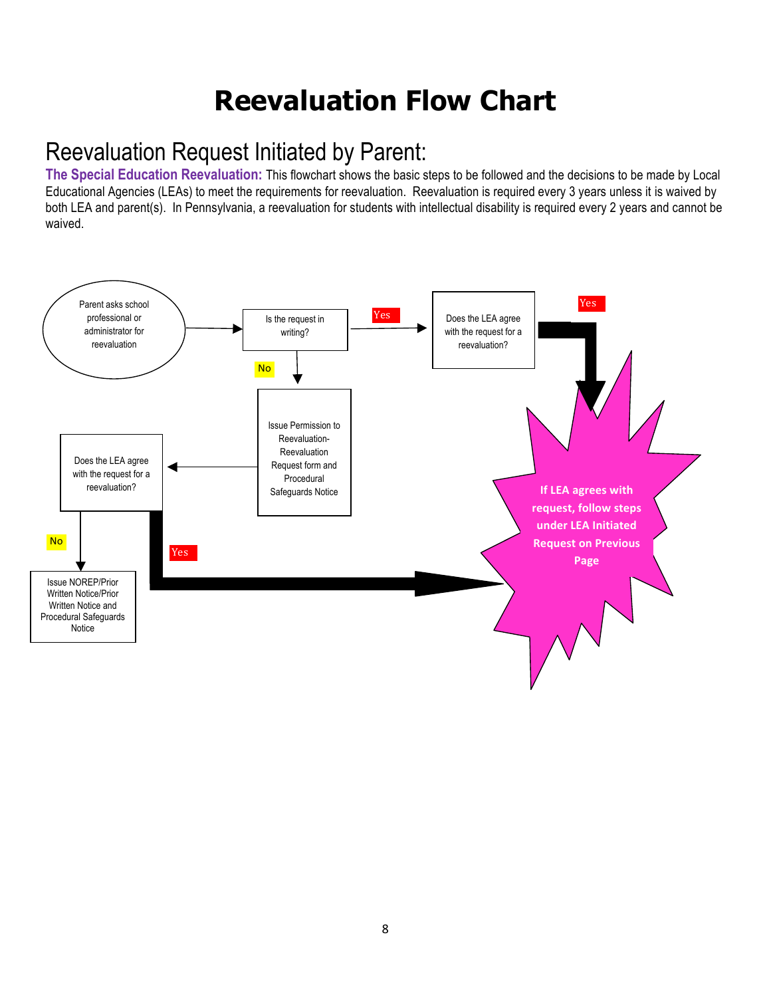## **Reevaluation Flow Chart**

### Reevaluation Request Initiated by Parent:

**The Special Education Reevaluation:** This flowchart shows the basic steps to be followed and the decisions to be made by Local Educational Agencies (LEAs) to meet the requirements for reevaluation. Reevaluation is required every 3 years unless it is waived by both LEA and parent(s). In Pennsylvania, a reevaluation for students with intellectual disability is required every 2 years and cannot be waived.

![](_page_7_Figure_3.jpeg)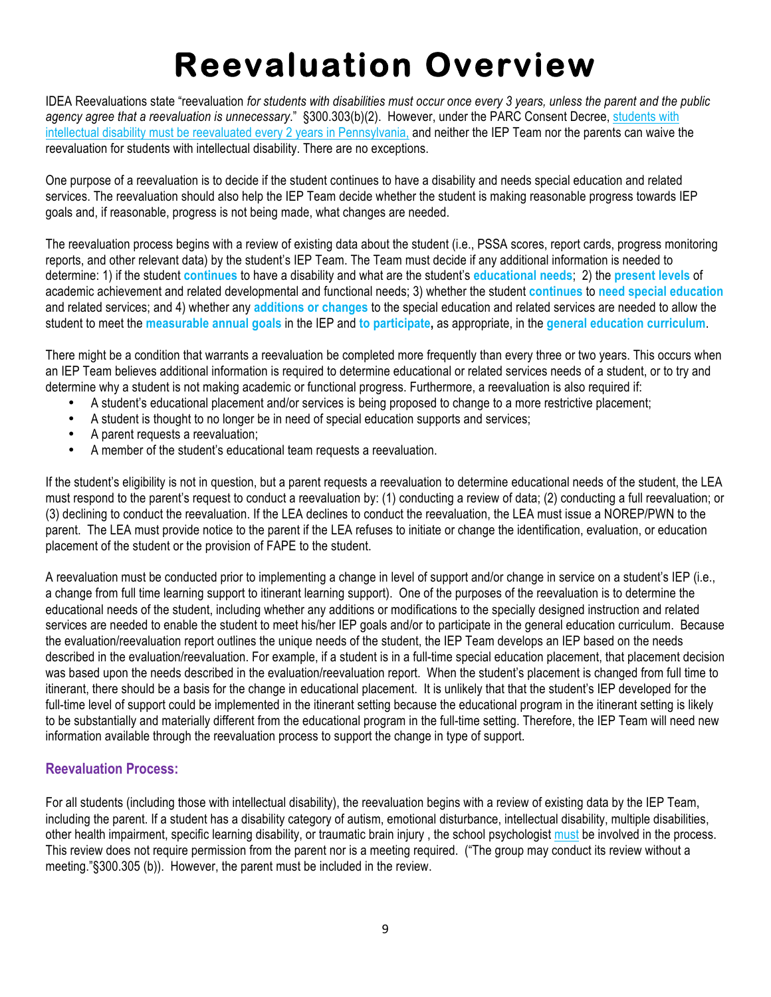## **Reevaluation Overview**

IDEA Reevaluations state "reevaluation *for students with disabilities must occur once every 3 years, unless the parent and the public*  agency agree that a reevaluation is unnecessary." §300.303(b)(2). However, under the PARC Consent Decree, students with intellectual disability must be reevaluated every 2 years in Pennsylvania, and neither the IEP Team nor the parents can waive the reevaluation for students with intellectual disability. There are no exceptions.

One purpose of a reevaluation is to decide if the student continues to have a disability and needs special education and related services. The reevaluation should also help the IEP Team decide whether the student is making reasonable progress towards IEP goals and, if reasonable, progress is not being made, what changes are needed.

The reevaluation process begins with a review of existing data about the student (i.e., PSSA scores, report cards, progress monitoring reports, and other relevant data) by the student's IEP Team. The Team must decide if any additional information is needed to determine: 1) if the student **continues** to have a disability and what are the student's **educational needs**; 2) the **present levels** of academic achievement and related developmental and functional needs; 3) whether the student **continues** to **need special education** and related services; and 4) whether any **additions or changes** to the special education and related services are needed to allow the student to meet the **measurable annual goals** in the IEP and **to participate,** as appropriate, in the **general education curriculum**.

There might be a condition that warrants a reevaluation be completed more frequently than every three or two years. This occurs when an IEP Team believes additional information is required to determine educational or related services needs of a student, or to try and determine why a student is not making academic or functional progress. Furthermore, a reevaluation is also required if:

- A student's educational placement and/or services is being proposed to change to a more restrictive placement;
- A student is thought to no longer be in need of special education supports and services;
- A parent requests a reevaluation;
- A member of the student's educational team requests a reevaluation.

If the student's eligibility is not in question, but a parent requests a reevaluation to determine educational needs of the student, the LEA must respond to the parent's request to conduct a reevaluation by: (1) conducting a review of data; (2) conducting a full reevaluation; or (3) declining to conduct the reevaluation. If the LEA declines to conduct the reevaluation, the LEA must issue a NOREP/PWN to the parent. The LEA must provide notice to the parent if the LEA refuses to initiate or change the identification, evaluation, or education placement of the student or the provision of FAPE to the student.

A reevaluation must be conducted prior to implementing a change in level of support and/or change in service on a student's IEP (i.e., a change from full time learning support to itinerant learning support). One of the purposes of the reevaluation is to determine the educational needs of the student, including whether any additions or modifications to the specially designed instruction and related services are needed to enable the student to meet his/her IEP goals and/or to participate in the general education curriculum. Because the evaluation/reevaluation report outlines the unique needs of the student, the IEP Team develops an IEP based on the needs described in the evaluation/reevaluation. For example, if a student is in a full-time special education placement, that placement decision was based upon the needs described in the evaluation/reevaluation report. When the student's placement is changed from full time to itinerant, there should be a basis for the change in educational placement. It is unlikely that that the student's IEP developed for the full-time level of support could be implemented in the itinerant setting because the educational program in the itinerant setting is likely to be substantially and materially different from the educational program in the full-time setting. Therefore, the IEP Team will need new information available through the reevaluation process to support the change in type of support.

#### **Reevaluation Process:**

For all students (including those with intellectual disability), the reevaluation begins with a review of existing data by the IEP Team, including the parent. If a student has a disability category of autism, emotional disturbance, intellectual disability, multiple disabilities, other health impairment, specific learning disability, or traumatic brain injury , the school psychologist must be involved in the process. This review does not require permission from the parent nor is a meeting required. ("The group may conduct its review without a meeting."§300.305 (b)). However, the parent must be included in the review.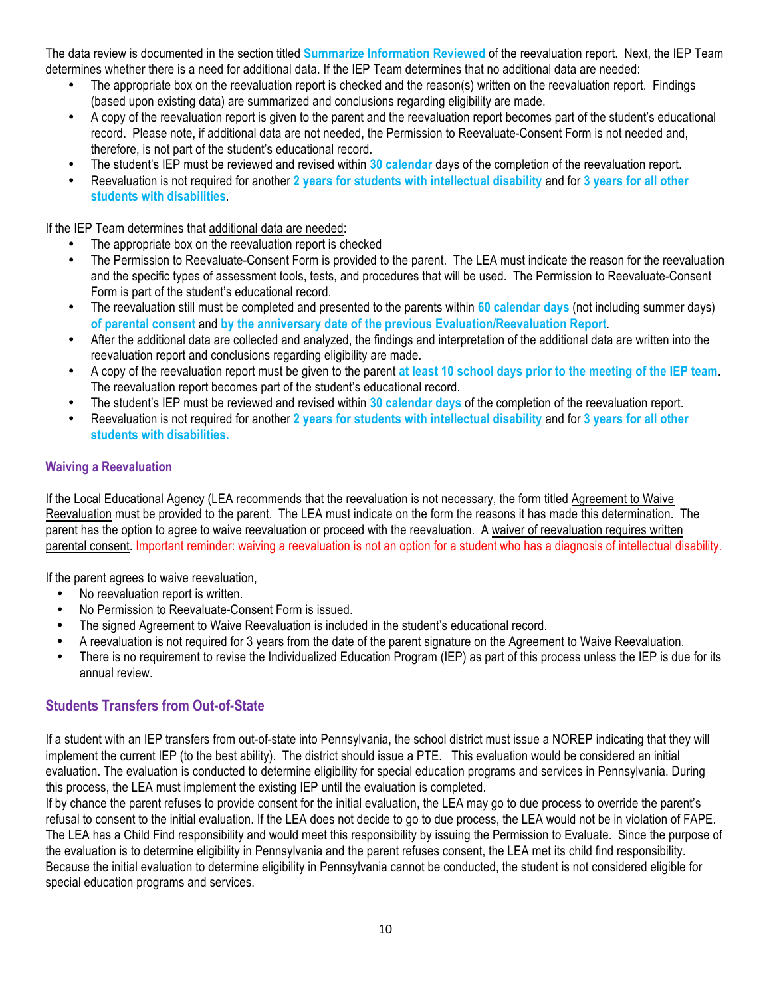The data review is documented in the section titled **Summarize Information Reviewed** of the reevaluation report. Next, the IEP Team determines whether there is a need for additional data. If the IEP Team determines that no additional data are needed:

- The appropriate box on the reevaluation report is checked and the reason(s) written on the reevaluation report. Findings (based upon existing data) are summarized and conclusions regarding eligibility are made.
- A copy of the reevaluation report is given to the parent and the reevaluation report becomes part of the student's educational record. Please note, if additional data are not needed, the Permission to Reevaluate-Consent Form is not needed and, therefore, is not part of the student's educational record.
- The student's IEP must be reviewed and revised within **30 calendar** days of the completion of the reevaluation report.
- Reevaluation is not required for another **2 years for students with intellectual disability** and for **3 years for all other students with disabilities**.

If the IEP Team determines that additional data are needed:

- The appropriate box on the reevaluation report is checked
- The Permission to Reevaluate-Consent Form is provided to the parent. The LEA must indicate the reason for the reevaluation and the specific types of assessment tools, tests, and procedures that will be used. The Permission to Reevaluate-Consent Form is part of the student's educational record.
- The reevaluation still must be completed and presented to the parents within **60 calendar days** (not including summer days) **of parental consent** and **by the anniversary date of the previous Evaluation/Reevaluation Report**.
- After the additional data are collected and analyzed, the findings and interpretation of the additional data are written into the reevaluation report and conclusions regarding eligibility are made.
- A copy of the reevaluation report must be given to the parent **at least 10 school days prior to the meeting of the IEP team**. The reevaluation report becomes part of the student's educational record.
- The student's IEP must be reviewed and revised within **30 calendar days** of the completion of the reevaluation report.
- Reevaluation is not required for another **2 years for students with intellectual disability** and for **3 years for all other students with disabilities.**

#### **Waiving a Reevaluation**

If the Local Educational Agency (LEA recommends that the reevaluation is not necessary, the form titled Agreement to Waive Reevaluation must be provided to the parent. The LEA must indicate on the form the reasons it has made this determination. The parent has the option to agree to waive reevaluation or proceed with the reevaluation. A waiver of reevaluation requires written parental consent. Important reminder: waiving a reevaluation is not an option for a student who has a diagnosis of intellectual disability.

If the parent agrees to waive reevaluation,

- No reevaluation report is written.
- No Permission to Reevaluate-Consent Form is issued.
- The signed Agreement to Waive Reevaluation is included in the student's educational record.
- A reevaluation is not required for 3 years from the date of the parent signature on the Agreement to Waive Reevaluation.<br>• There is no requirement to revise the Individualized Education Program (IEP) as part of this proc
- There is no requirement to revise the Individualized Education Program (IEP) as part of this process unless the IEP is due for its annual review.

#### **Students Transfers from Out-of-State**

If a student with an IEP transfers from out-of-state into Pennsylvania, the school district must issue a NOREP indicating that they will implement the current IEP (to the best ability). The district should issue a PTE. This evaluation would be considered an initial evaluation. The evaluation is conducted to determine eligibility for special education programs and services in Pennsylvania. During this process, the LEA must implement the existing IEP until the evaluation is completed.

If by chance the parent refuses to provide consent for the initial evaluation, the LEA may go to due process to override the parent's refusal to consent to the initial evaluation. If the LEA does not decide to go to due process, the LEA would not be in violation of FAPE. The LEA has a Child Find responsibility and would meet this responsibility by issuing the Permission to Evaluate. Since the purpose of the evaluation is to determine eligibility in Pennsylvania and the parent refuses consent, the LEA met its child find responsibility. Because the initial evaluation to determine eligibility in Pennsylvania cannot be conducted, the student is not considered eligible for special education programs and services.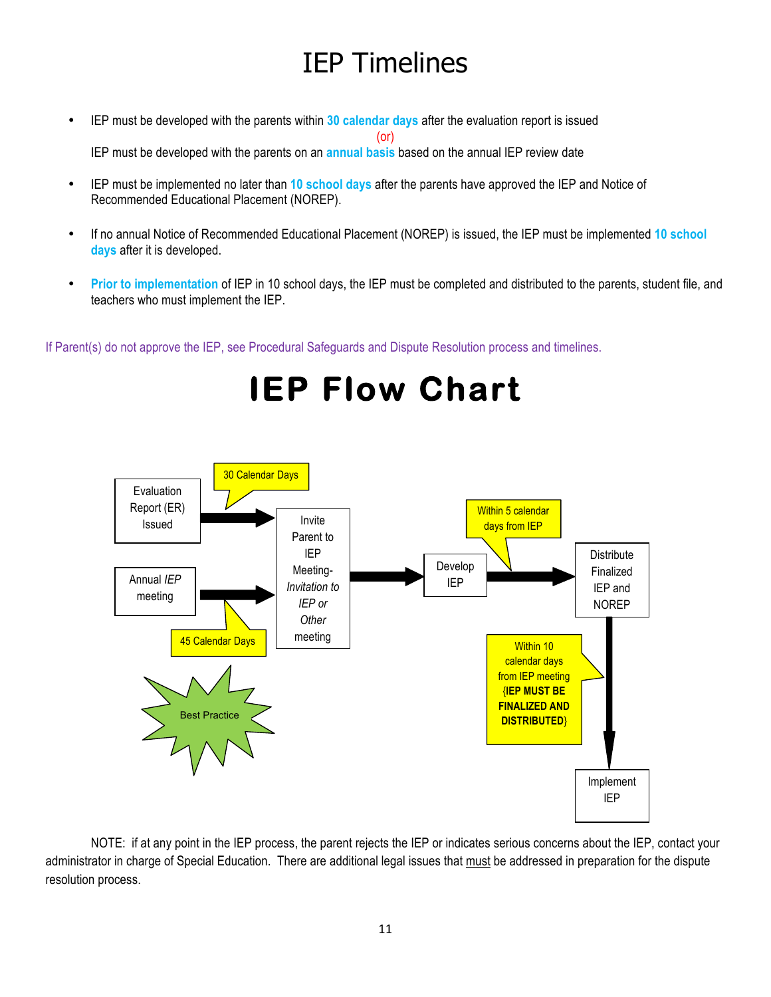## IEP Timelines

- IEP must be developed with the parents within **30 calendar days** after the evaluation report is issued (or) IEP must be developed with the parents on an **annual basis** based on the annual IEP review date
- IEP must be implemented no later than **10 school days** after the parents have approved the IEP and Notice of Recommended Educational Placement (NOREP).
- If no annual Notice of Recommended Educational Placement (NOREP) is issued, the IEP must be implemented **10 school days** after it is developed.
- **Prior to implementation** of IEP in 10 school days, the IEP must be completed and distributed to the parents, student file, and teachers who must implement the IEP.

If Parent(s) do not approve the IEP, see Procedural Safeguards and Dispute Resolution process and timelines.

![](_page_10_Figure_6.jpeg)

NOTE: if at any point in the IEP process, the parent rejects the IEP or indicates serious concerns about the IEP, contact your administrator in charge of Special Education. There are additional legal issues that must be addressed in preparation for the dispute resolution process.

**IEP Flow Chart**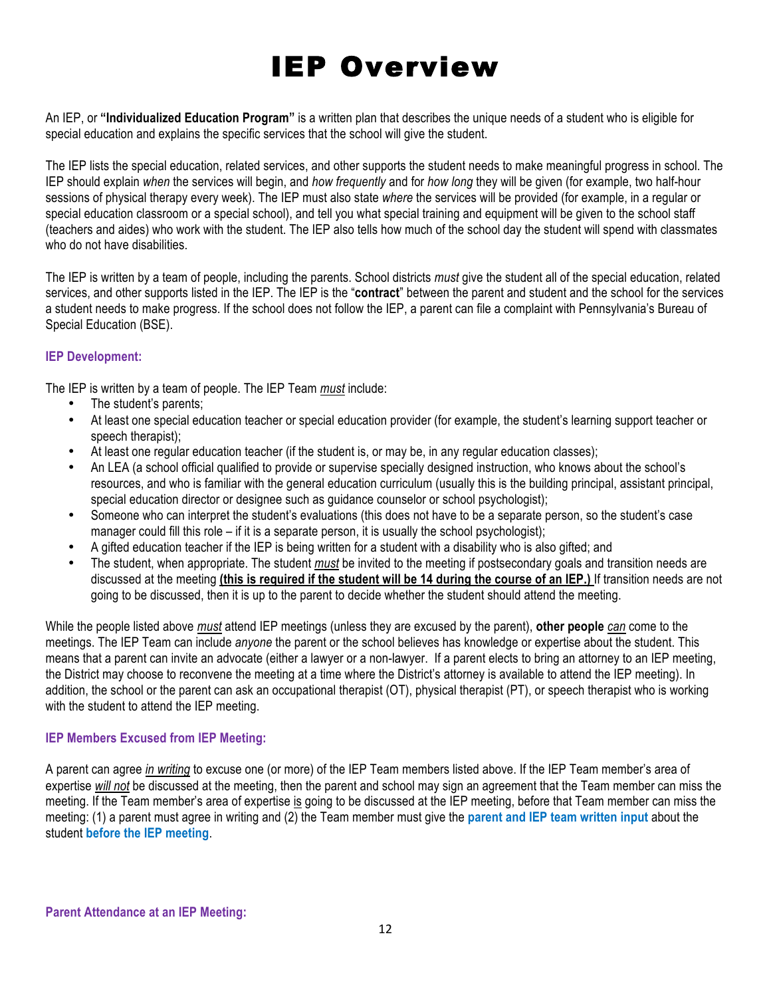## IEP Overview

An IEP, or **"Individualized Education Program"** is a written plan that describes the unique needs of a student who is eligible for special education and explains the specific services that the school will give the student.

The IEP lists the special education, related services, and other supports the student needs to make meaningful progress in school. The IEP should explain *when* the services will begin, and *how frequently* and for *how long* they will be given (for example, two half-hour sessions of physical therapy every week). The IEP must also state *where* the services will be provided (for example, in a regular or special education classroom or a special school), and tell you what special training and equipment will be given to the school staff (teachers and aides) who work with the student. The IEP also tells how much of the school day the student will spend with classmates who do not have disabilities.

The IEP is written by a team of people, including the parents. School districts *must* give the student all of the special education, related services, and other supports listed in the IEP. The IEP is the "**contract**" between the parent and student and the school for the services a student needs to make progress. If the school does not follow the IEP, a parent can file a complaint with Pennsylvania's Bureau of Special Education (BSE).

#### **IEP Development:**

The IEP is written by a team of people. The IEP Team *must* include:

- The student's parents:
- At least one special education teacher or special education provider (for example, the student's learning support teacher or speech therapist);
- At least one regular education teacher (if the student is, or may be, in any regular education classes);
- An LEA (a school official qualified to provide or supervise specially designed instruction, who knows about the school's resources, and who is familiar with the general education curriculum (usually this is the building principal, assistant principal, special education director or designee such as guidance counselor or school psychologist);
- Someone who can interpret the student's evaluations (this does not have to be a separate person, so the student's case manager could fill this role – if it is a separate person, it is usually the school psychologist);
- A gifted education teacher if the IEP is being written for a student with a disability who is also gifted; and
- The student, when appropriate. The student *must* be invited to the meeting if postsecondary goals and transition needs are discussed at the meeting **(this is required if the student will be 14 during the course of an IEP.)** If transition needs are not going to be discussed, then it is up to the parent to decide whether the student should attend the meeting.

While the people listed above *must* attend IEP meetings (unless they are excused by the parent), **other people** *can* come to the meetings. The IEP Team can include *anyone* the parent or the school believes has knowledge or expertise about the student. This means that a parent can invite an advocate (either a lawyer or a non-lawyer. If a parent elects to bring an attorney to an IEP meeting, the District may choose to reconvene the meeting at a time where the District's attorney is available to attend the IEP meeting). In addition, the school or the parent can ask an occupational therapist (OT), physical therapist (PT), or speech therapist who is working with the student to attend the IEP meeting.

#### **IEP Members Excused from IEP Meeting:**

A parent can agree *in writing* to excuse one (or more) of the IEP Team members listed above. If the IEP Team member's area of expertise *will not* be discussed at the meeting, then the parent and school may sign an agreement that the Team member can miss the meeting. If the Team member's area of expertise is going to be discussed at the IEP meeting, before that Team member can miss the meeting: (1) a parent must agree in writing and (2) the Team member must give the **parent and IEP team written input** about the student **before the IEP meeting**.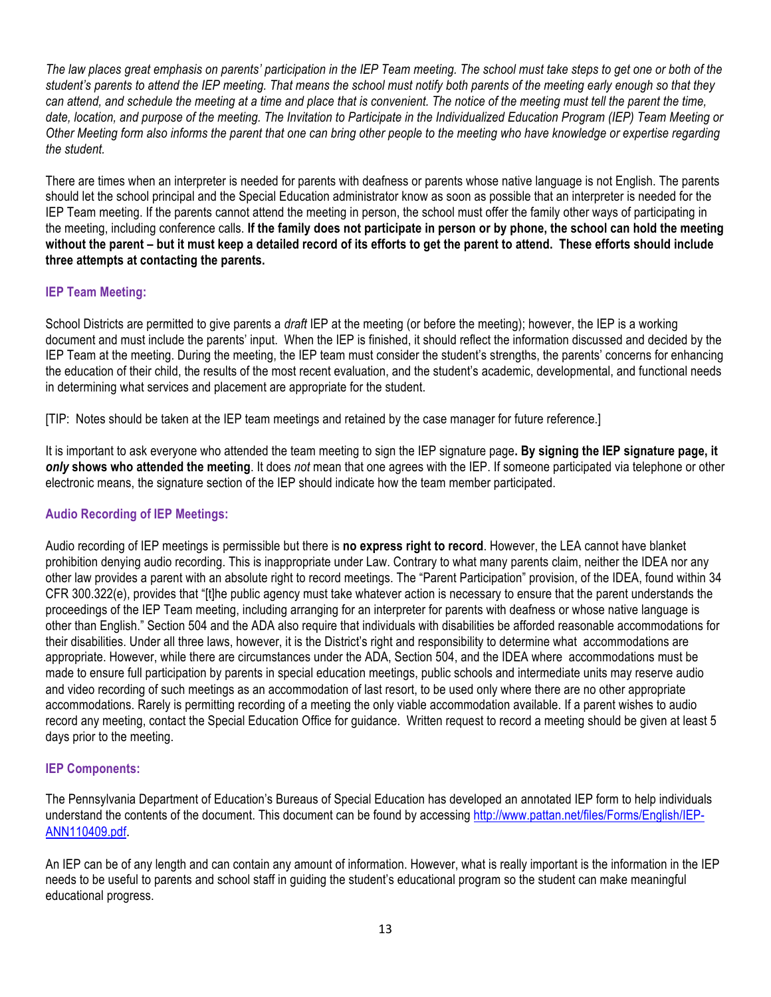*The law places great emphasis on parents' participation in the IEP Team meeting. The school must take steps to get one or both of the student's parents to attend the IEP meeting. That means the school must notify both parents of the meeting early enough so that they can attend, and schedule the meeting at a time and place that is convenient. The notice of the meeting must tell the parent the time, date, location, and purpose of the meeting. The Invitation to Participate in the Individualized Education Program (IEP) Team Meeting or Other Meeting form also informs the parent that one can bring other people to the meeting who have knowledge or expertise regarding the student.*

There are times when an interpreter is needed for parents with deafness or parents whose native language is not English. The parents should let the school principal and the Special Education administrator know as soon as possible that an interpreter is needed for the IEP Team meeting. If the parents cannot attend the meeting in person, the school must offer the family other ways of participating in the meeting, including conference calls. **If the family does not participate in person or by phone, the school can hold the meeting without the parent – but it must keep a detailed record of its efforts to get the parent to attend. These efforts should include three attempts at contacting the parents.** 

#### **IEP Team Meeting:**

School Districts are permitted to give parents a *draft* IEP at the meeting (or before the meeting); however, the IEP is a working document and must include the parents' input. When the IEP is finished, it should reflect the information discussed and decided by the IEP Team at the meeting. During the meeting, the IEP team must consider the student's strengths, the parents' concerns for enhancing the education of their child, the results of the most recent evaluation, and the student's academic, developmental, and functional needs in determining what services and placement are appropriate for the student.

[TIP: Notes should be taken at the IEP team meetings and retained by the case manager for future reference.]

It is important to ask everyone who attended the team meeting to sign the IEP signature page**. By signing the IEP signature page, it**  *only* **shows who attended the meeting**. It does *not* mean that one agrees with the IEP. If someone participated via telephone or other electronic means, the signature section of the IEP should indicate how the team member participated.

#### **Audio Recording of IEP Meetings:**

Audio recording of IEP meetings is permissible but there is **no express right to record**. However, the LEA cannot have blanket prohibition denying audio recording. This is inappropriate under Law. Contrary to what many parents claim, neither the IDEA nor any other law provides a parent with an absolute right to record meetings. The "Parent Participation" provision, of the IDEA, found within 34 CFR 300.322(e), provides that "[t]he public agency must take whatever action is necessary to ensure that the parent understands the proceedings of the IEP Team meeting, including arranging for an interpreter for parents with deafness or whose native language is other than English." Section 504 and the ADA also require that individuals with disabilities be afforded reasonable accommodations for their disabilities. Under all three laws, however, it is the District's right and responsibility to determine what accommodations are appropriate. However, while there are circumstances under the ADA, Section 504, and the IDEA where accommodations must be made to ensure full participation by parents in special education meetings, public schools and intermediate units may reserve audio and video recording of such meetings as an accommodation of last resort, to be used only where there are no other appropriate accommodations. Rarely is permitting recording of a meeting the only viable accommodation available. If a parent wishes to audio record any meeting, contact the Special Education Office for guidance. Written request to record a meeting should be given at least 5 days prior to the meeting.

#### **IEP Components:**

The Pennsylvania Department of Education's Bureaus of Special Education has developed an annotated IEP form to help individuals understand the contents of the document. This document can be found by accessing http://www.pattan.net/files/Forms/English/IEP-ANN110409.pdf. 

An IEP can be of any length and can contain any amount of information. However, what is really important is the information in the IEP needs to be useful to parents and school staff in guiding the student's educational program so the student can make meaningful educational progress.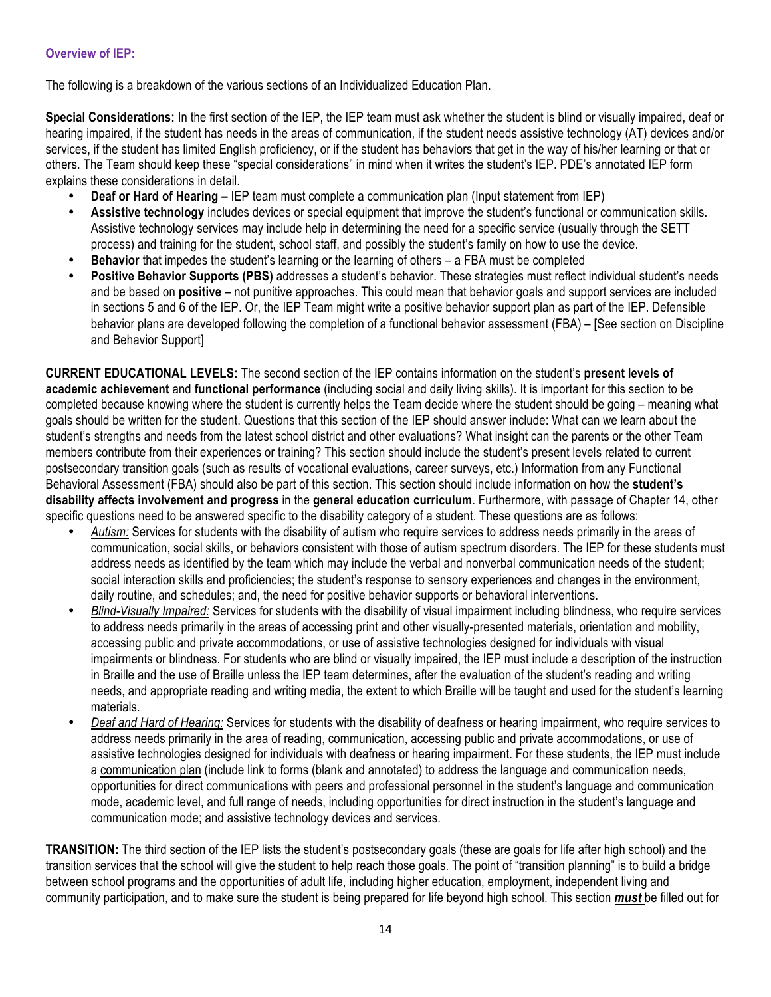#### **Overview of IEP:**

The following is a breakdown of the various sections of an Individualized Education Plan.

**Special Considerations:** In the first section of the IEP, the IEP team must ask whether the student is blind or visually impaired, deaf or hearing impaired, if the student has needs in the areas of communication, if the student needs assistive technology (AT) devices and/or services, if the student has limited English proficiency, or if the student has behaviors that get in the way of his/her learning or that or others. The Team should keep these "special considerations" in mind when it writes the student's IEP. PDE's annotated IEP form explains these considerations in detail.

- **Deaf or Hard of Hearing –** IEP team must complete a communication plan (Input statement from IEP)
- **Assistive technology** includes devices or special equipment that improve the student's functional or communication skills. Assistive technology services may include help in determining the need for a specific service (usually through the SETT process) and training for the student, school staff, and possibly the student's family on how to use the device.
- **Behavior** that impedes the student's learning or the learning of others a FBA must be completed
- **Positive Behavior Supports (PBS)** addresses a student's behavior. These strategies must reflect individual student's needs and be based on **positive** – not punitive approaches. This could mean that behavior goals and support services are included in sections 5 and 6 of the IEP. Or, the IEP Team might write a positive behavior support plan as part of the IEP. Defensible behavior plans are developed following the completion of a functional behavior assessment (FBA) – [See section on Discipline and Behavior Support]

**CURRENT EDUCATIONAL LEVELS:** The second section of the IEP contains information on the student's **present levels of academic achievement** and **functional performance** (including social and daily living skills). It is important for this section to be completed because knowing where the student is currently helps the Team decide where the student should be going – meaning what goals should be written for the student. Questions that this section of the IEP should answer include: What can we learn about the student's strengths and needs from the latest school district and other evaluations? What insight can the parents or the other Team members contribute from their experiences or training? This section should include the student's present levels related to current postsecondary transition goals (such as results of vocational evaluations, career surveys, etc.) Information from any Functional Behavioral Assessment (FBA) should also be part of this section. This section should include information on how the **student's disability affects involvement and progress** in the **general education curriculum**. Furthermore, with passage of Chapter 14, other specific questions need to be answered specific to the disability category of a student. These questions are as follows:

- *Autism:* Services for students with the disability of autism who require services to address needs primarily in the areas of communication, social skills, or behaviors consistent with those of autism spectrum disorders. The IEP for these students must address needs as identified by the team which may include the verbal and nonverbal communication needs of the student; social interaction skills and proficiencies; the student's response to sensory experiences and changes in the environment, daily routine, and schedules; and, the need for positive behavior supports or behavioral interventions.
- *Blind-Visually Impaired:* Services for students with the disability of visual impairment including blindness, who require services to address needs primarily in the areas of accessing print and other visually-presented materials, orientation and mobility, accessing public and private accommodations, or use of assistive technologies designed for individuals with visual impairments or blindness. For students who are blind or visually impaired, the IEP must include a description of the instruction in Braille and the use of Braille unless the IEP team determines, after the evaluation of the student's reading and writing needs, and appropriate reading and writing media, the extent to which Braille will be taught and used for the student's learning materials.
- *Deaf and Hard of Hearing:* Services for students with the disability of deafness or hearing impairment, who require services to address needs primarily in the area of reading, communication, accessing public and private accommodations, or use of assistive technologies designed for individuals with deafness or hearing impairment. For these students, the IEP must include a communication plan (include link to forms (blank and annotated) to address the language and communication needs, opportunities for direct communications with peers and professional personnel in the student's language and communication mode, academic level, and full range of needs, including opportunities for direct instruction in the student's language and communication mode; and assistive technology devices and services.

**TRANSITION:** The third section of the IEP lists the student's postsecondary goals (these are goals for life after high school) and the transition services that the school will give the student to help reach those goals. The point of "transition planning" is to build a bridge between school programs and the opportunities of adult life, including higher education, employment, independent living and community participation, and to make sure the student is being prepared for life beyond high school. This section *must* be filled out for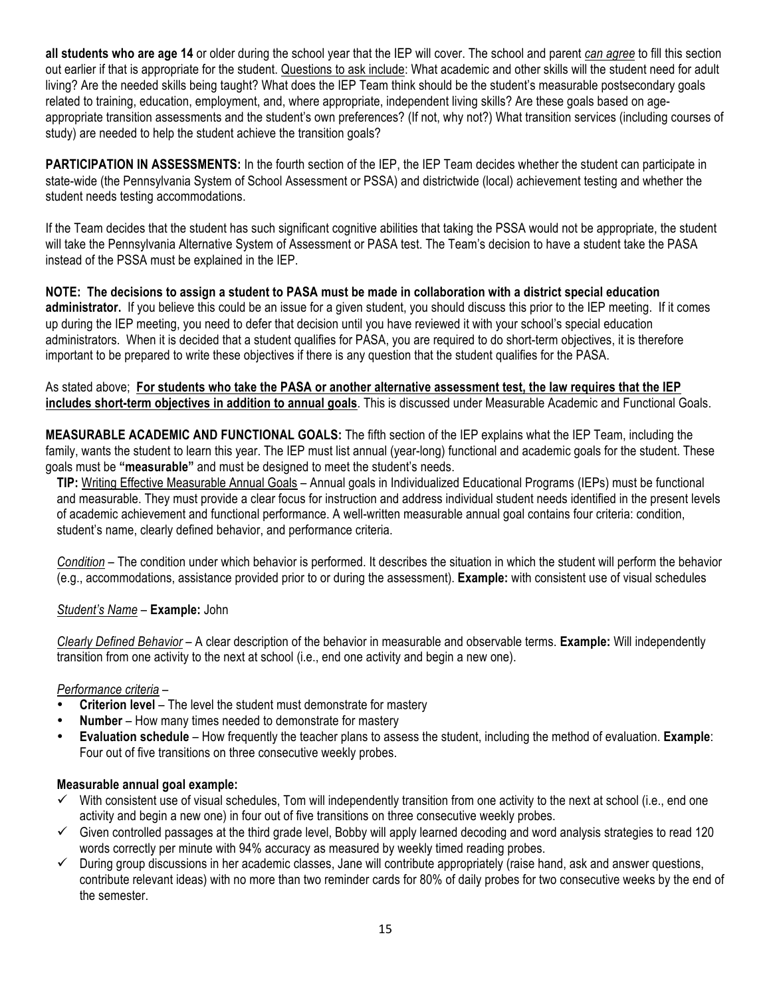**all students who are age 14** or older during the school year that the IEP will cover. The school and parent *can agree* to fill this section out earlier if that is appropriate for the student. Questions to ask include: What academic and other skills will the student need for adult living? Are the needed skills being taught? What does the IEP Team think should be the student's measurable postsecondary goals related to training, education, employment, and, where appropriate, independent living skills? Are these goals based on ageappropriate transition assessments and the student's own preferences? (If not, why not?) What transition services (including courses of study) are needed to help the student achieve the transition goals?

**PARTICIPATION IN ASSESSMENTS:** In the fourth section of the IEP, the IEP Team decides whether the student can participate in state-wide (the Pennsylvania System of School Assessment or PSSA) and districtwide (local) achievement testing and whether the student needs testing accommodations.

If the Team decides that the student has such significant cognitive abilities that taking the PSSA would not be appropriate, the student will take the Pennsylvania Alternative System of Assessment or PASA test. The Team's decision to have a student take the PASA instead of the PSSA must be explained in the IEP.

**NOTE: The decisions to assign a student to PASA must be made in collaboration with a district special education administrator.** If you believe this could be an issue for a given student, you should discuss this prior to the IEP meeting. If it comes up during the IEP meeting, you need to defer that decision until you have reviewed it with your school's special education administrators. When it is decided that a student qualifies for PASA, you are required to do short-term objectives, it is therefore important to be prepared to write these objectives if there is any question that the student qualifies for the PASA.

#### As stated above; **For students who take the PASA or another alternative assessment test, the law requires that the IEP includes short-term objectives in addition to annual goals**. This is discussed under Measurable Academic and Functional Goals.

**MEASURABLE ACADEMIC AND FUNCTIONAL GOALS:** The fifth section of the IEP explains what the IEP Team, including the family, wants the student to learn this year. The IEP must list annual (year-long) functional and academic goals for the student. These goals must be **"measurable"** and must be designed to meet the student's needs.

**TIP:** Writing Effective Measurable Annual Goals – Annual goals in Individualized Educational Programs (IEPs) must be functional and measurable. They must provide a clear focus for instruction and address individual student needs identified in the present levels of academic achievement and functional performance. A well-written measurable annual goal contains four criteria: condition, student's name, clearly defined behavior, and performance criteria.

*Condition* – The condition under which behavior is performed. It describes the situation in which the student will perform the behavior (e.g., accommodations, assistance provided prior to or during the assessment). **Example:** with consistent use of visual schedules

#### *Student's Name* – **Example:** John

*Clearly Defined Behavior* – A clear description of the behavior in measurable and observable terms. **Example:** Will independently transition from one activity to the next at school (i.e., end one activity and begin a new one).

#### *Performance criteria* –

- **Criterion level** The level the student must demonstrate for mastery
- **Number** How many times needed to demonstrate for mastery<br>• **Evaluation schedule** How frequently the teacher plans to ass
- **Evaluation schedule** How frequently the teacher plans to assess the student, including the method of evaluation. **Example**: Four out of five transitions on three consecutive weekly probes.

#### **Measurable annual goal example:**

- $\checkmark$  With consistent use of visual schedules, Tom will independently transition from one activity to the next at school (i.e., end one activity and begin a new one) in four out of five transitions on three consecutive weekly probes.
- $\checkmark$  Given controlled passages at the third grade level, Bobby will apply learned decoding and word analysis strategies to read 120 words correctly per minute with 94% accuracy as measured by weekly timed reading probes.
- $\checkmark$  During group discussions in her academic classes, Jane will contribute appropriately (raise hand, ask and answer questions, contribute relevant ideas) with no more than two reminder cards for 80% of daily probes for two consecutive weeks by the end of the semester.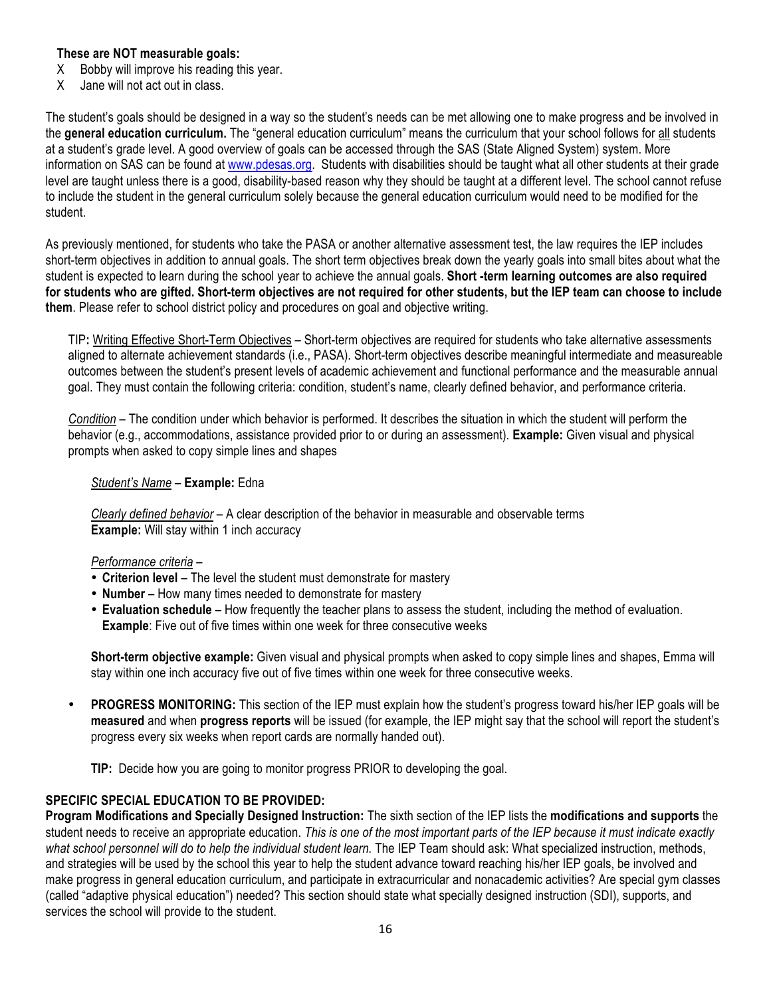#### **These are NOT measurable goals:**

- X Bobby will improve his reading this year.
- X Jane will not act out in class.

The student's goals should be designed in a way so the student's needs can be met allowing one to make progress and be involved in the **general education curriculum.** The "general education curriculum" means the curriculum that your school follows for all students at a student's grade level. A good overview of goals can be accessed through the SAS (State Aligned System) system. More information on SAS can be found at www.pdesas.org. Students with disabilities should be taught what all other students at their grade level are taught unless there is a good, disability-based reason why they should be taught at a different level. The school cannot refuse to include the student in the general curriculum solely because the general education curriculum would need to be modified for the student.

As previously mentioned, for students who take the PASA or another alternative assessment test, the law requires the IEP includes short-term objectives in addition to annual goals. The short term objectives break down the yearly goals into small bites about what the student is expected to learn during the school year to achieve the annual goals. **Short -term learning outcomes are also required for students who are gifted. Short-term objectives are not required for other students, but the IEP team can choose to include them**. Please refer to school district policy and procedures on goal and objective writing.

TIP**:** Writing Effective Short-Term Objectives – Short-term objectives are required for students who take alternative assessments aligned to alternate achievement standards (i.e., PASA). Short-term objectives describe meaningful intermediate and measureable outcomes between the student's present levels of academic achievement and functional performance and the measurable annual goal. They must contain the following criteria: condition, student's name, clearly defined behavior, and performance criteria.

*Condition* – The condition under which behavior is performed. It describes the situation in which the student will perform the behavior (e.g., accommodations, assistance provided prior to or during an assessment). **Example:** Given visual and physical prompts when asked to copy simple lines and shapes

#### *Student's Name* – **Example:** Edna

*Clearly defined behavior* – A clear description of the behavior in measurable and observable terms **Example:** Will stay within 1 inch accuracy

#### *Performance criteria* –

- **Criterion level** The level the student must demonstrate for mastery
- **Number** How many times needed to demonstrate for mastery
- **Evaluation schedule**  How frequently the teacher plans to assess the student, including the method of evaluation. **Example**: Five out of five times within one week for three consecutive weeks

**Short-term objective example:** Given visual and physical prompts when asked to copy simple lines and shapes, Emma will stay within one inch accuracy five out of five times within one week for three consecutive weeks.

• **PROGRESS MONITORING:** This section of the IEP must explain how the student's progress toward his/her IEP goals will be **measured** and when **progress reports** will be issued (for example, the IEP might say that the school will report the student's progress every six weeks when report cards are normally handed out).

**TIP:** Decide how you are going to monitor progress PRIOR to developing the goal.

#### **SPECIFIC SPECIAL EDUCATION TO BE PROVIDED:**

**Program Modifications and Specially Designed Instruction:** The sixth section of the IEP lists the **modifications and supports** the student needs to receive an appropriate education. *This is one of the most important parts of the IEP because it must indicate exactly*  what school personnel will do to help the individual student learn. The IEP Team should ask: What specialized instruction. methods. and strategies will be used by the school this year to help the student advance toward reaching his/her IEP goals, be involved and make progress in general education curriculum, and participate in extracurricular and nonacademic activities? Are special gym classes (called "adaptive physical education") needed? This section should state what specially designed instruction (SDI), supports, and services the school will provide to the student.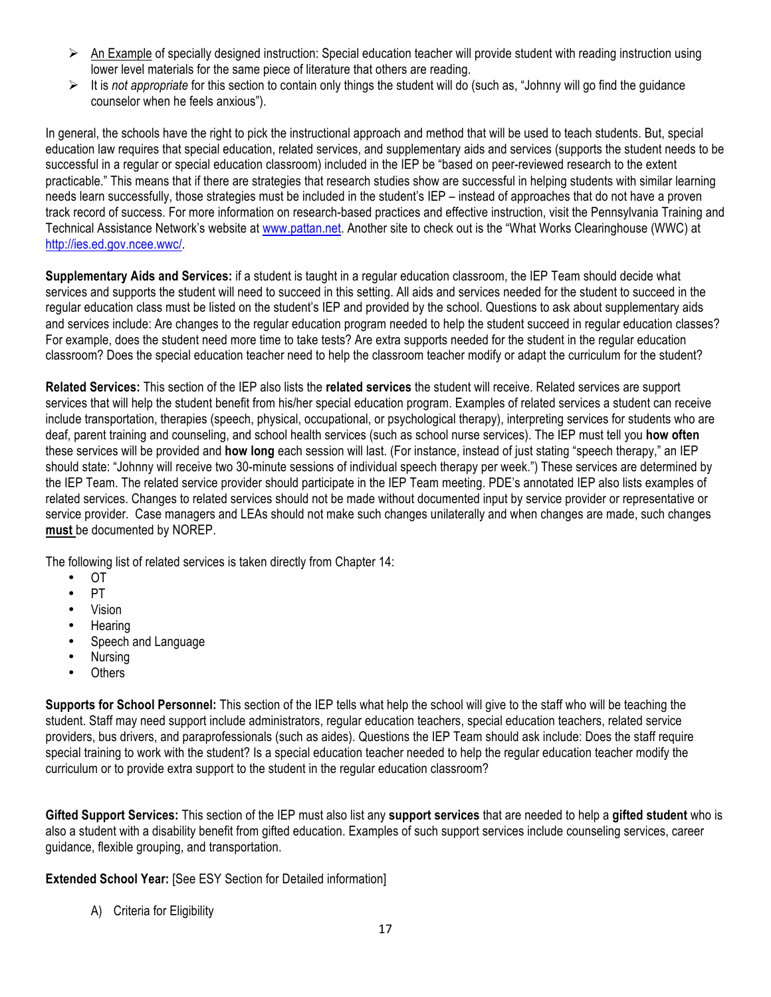- $\triangleright$  An Example of specially designed instruction: Special education teacher will provide student with reading instruction using lower level materials for the same piece of literature that others are reading.
- It is *not appropriate* for this section to contain only things the student will do (such as, "Johnny will go find the guidance counselor when he feels anxious").

In general, the schools have the right to pick the instructional approach and method that will be used to teach students. But, special education law requires that special education, related services, and supplementary aids and services (supports the student needs to be successful in a regular or special education classroom) included in the IEP be "based on peer-reviewed research to the extent practicable." This means that if there are strategies that research studies show are successful in helping students with similar learning needs learn successfully, those strategies must be included in the student's IEP – instead of approaches that do not have a proven track record of success. For more information on research-based practices and effective instruction, visit the Pennsylvania Training and Technical Assistance Network's website at www.pattan.net. Another site to check out is the "What Works Clearinghouse (WWC) at http://ies.ed.gov.ncee.wwc/.

**Supplementary Aids and Services:** if a student is taught in a regular education classroom, the IEP Team should decide what services and supports the student will need to succeed in this setting. All aids and services needed for the student to succeed in the regular education class must be listed on the student's IEP and provided by the school. Questions to ask about supplementary aids and services include: Are changes to the regular education program needed to help the student succeed in regular education classes? For example, does the student need more time to take tests? Are extra supports needed for the student in the regular education classroom? Does the special education teacher need to help the classroom teacher modify or adapt the curriculum for the student?

**Related Services:** This section of the IEP also lists the **related services** the student will receive. Related services are support services that will help the student benefit from his/her special education program. Examples of related services a student can receive include transportation, therapies (speech, physical, occupational, or psychological therapy), interpreting services for students who are deaf, parent training and counseling, and school health services (such as school nurse services). The IEP must tell you **how often** these services will be provided and **how long** each session will last. (For instance, instead of just stating "speech therapy," an IEP should state: "Johnny will receive two 30-minute sessions of individual speech therapy per week.") These services are determined by the IEP Team. The related service provider should participate in the IEP Team meeting. PDE's annotated IEP also lists examples of related services. Changes to related services should not be made without documented input by service provider or representative or service provider. Case managers and LEAs should not make such changes unilaterally and when changes are made, such changes **must** be documented by NOREP.

The following list of related services is taken directly from Chapter 14:

- OT
- PT
- Vision
- Hearing
- Speech and Language
- Nursing
- Others

**Supports for School Personnel:** This section of the IEP tells what help the school will give to the staff who will be teaching the student. Staff may need support include administrators, regular education teachers, special education teachers, related service providers, bus drivers, and paraprofessionals (such as aides). Questions the IEP Team should ask include: Does the staff require special training to work with the student? Is a special education teacher needed to help the regular education teacher modify the curriculum or to provide extra support to the student in the regular education classroom?

**Gifted Support Services:** This section of the IEP must also list any **support services** that are needed to help a **gifted student** who is also a student with a disability benefit from gifted education. Examples of such support services include counseling services, career guidance, flexible grouping, and transportation.

**Extended School Year:** [See ESY Section for Detailed information]

A) Criteria for Eligibility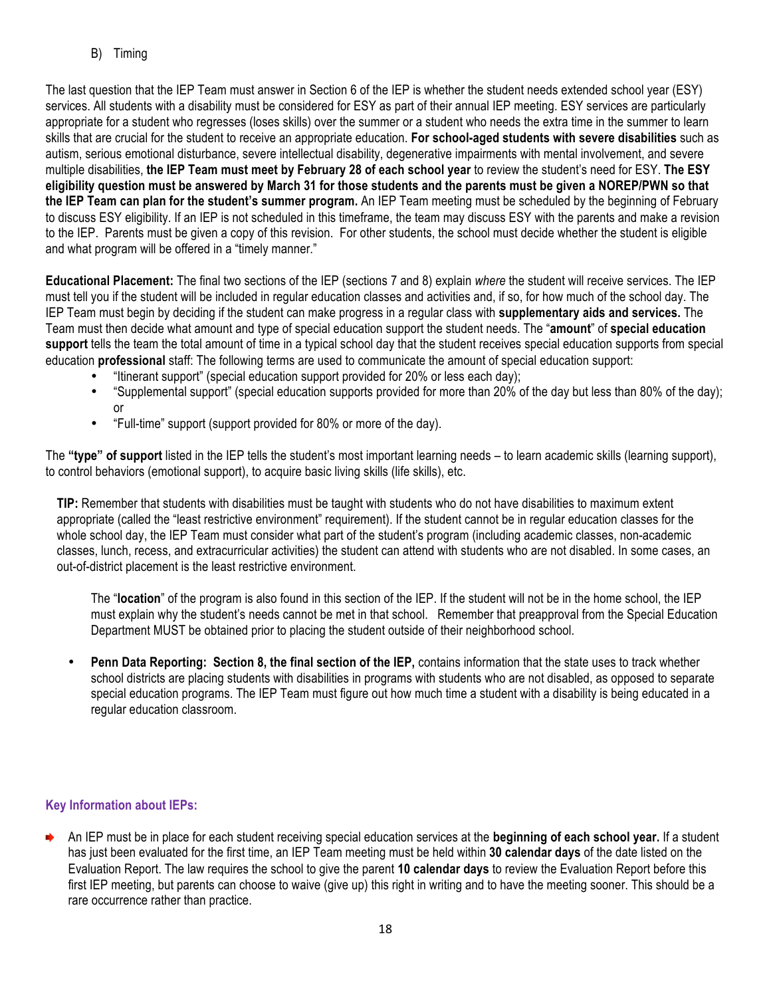B) Timing

The last question that the IEP Team must answer in Section 6 of the IEP is whether the student needs extended school year (ESY) services. All students with a disability must be considered for ESY as part of their annual IEP meeting. ESY services are particularly appropriate for a student who regresses (loses skills) over the summer or a student who needs the extra time in the summer to learn skills that are crucial for the student to receive an appropriate education. **For school-aged students with severe disabilities** such as autism, serious emotional disturbance, severe intellectual disability, degenerative impairments with mental involvement, and severe multiple disabilities, **the IEP Team must meet by February 28 of each school year** to review the student's need for ESY. **The ESY eligibility question must be answered by March 31 for those students and the parents must be given a NOREP/PWN so that the IEP Team can plan for the student's summer program.** An IEP Team meeting must be scheduled by the beginning of February to discuss ESY eligibility. If an IEP is not scheduled in this timeframe, the team may discuss ESY with the parents and make a revision to the IEP. Parents must be given a copy of this revision. For other students, the school must decide whether the student is eligible and what program will be offered in a "timely manner."

**Educational Placement:** The final two sections of the IEP (sections 7 and 8) explain *where* the student will receive services. The IEP must tell you if the student will be included in regular education classes and activities and, if so, for how much of the school day. The IEP Team must begin by deciding if the student can make progress in a regular class with **supplementary aids and services.** The Team must then decide what amount and type of special education support the student needs. The "**amount**" of **special education support** tells the team the total amount of time in a typical school day that the student receives special education supports from special education **professional** staff: The following terms are used to communicate the amount of special education support:

- "Itinerant support" (special education support provided for 20% or less each day);
- "Supplemental support" (special education supports provided for more than 20% of the day but less than 80% of the day); or
- "Full-time" support (support provided for 80% or more of the day).

The **"type" of support** listed in the IEP tells the student's most important learning needs – to learn academic skills (learning support), to control behaviors (emotional support), to acquire basic living skills (life skills), etc.

**TIP:** Remember that students with disabilities must be taught with students who do not have disabilities to maximum extent appropriate (called the "least restrictive environment" requirement). If the student cannot be in regular education classes for the whole school day, the IEP Team must consider what part of the student's program (including academic classes, non-academic classes, lunch, recess, and extracurricular activities) the student can attend with students who are not disabled. In some cases, an out-of-district placement is the least restrictive environment.

The "**location**" of the program is also found in this section of the IEP. If the student will not be in the home school, the IEP must explain why the student's needs cannot be met in that school. Remember that preapproval from the Special Education Department MUST be obtained prior to placing the student outside of their neighborhood school.

• **Penn Data Reporting: Section 8, the final section of the IEP,** contains information that the state uses to track whether school districts are placing students with disabilities in programs with students who are not disabled, as opposed to separate special education programs. The IEP Team must figure out how much time a student with a disability is being educated in a regular education classroom.

#### **Key Information about IEPs:**

An IEP must be in place for each student receiving special education services at the **beginning of each school year.** If a student has just been evaluated for the first time, an IEP Team meeting must be held within **30 calendar days** of the date listed on the Evaluation Report. The law requires the school to give the parent **10 calendar days** to review the Evaluation Report before this first IEP meeting, but parents can choose to waive (give up) this right in writing and to have the meeting sooner. This should be a rare occurrence rather than practice.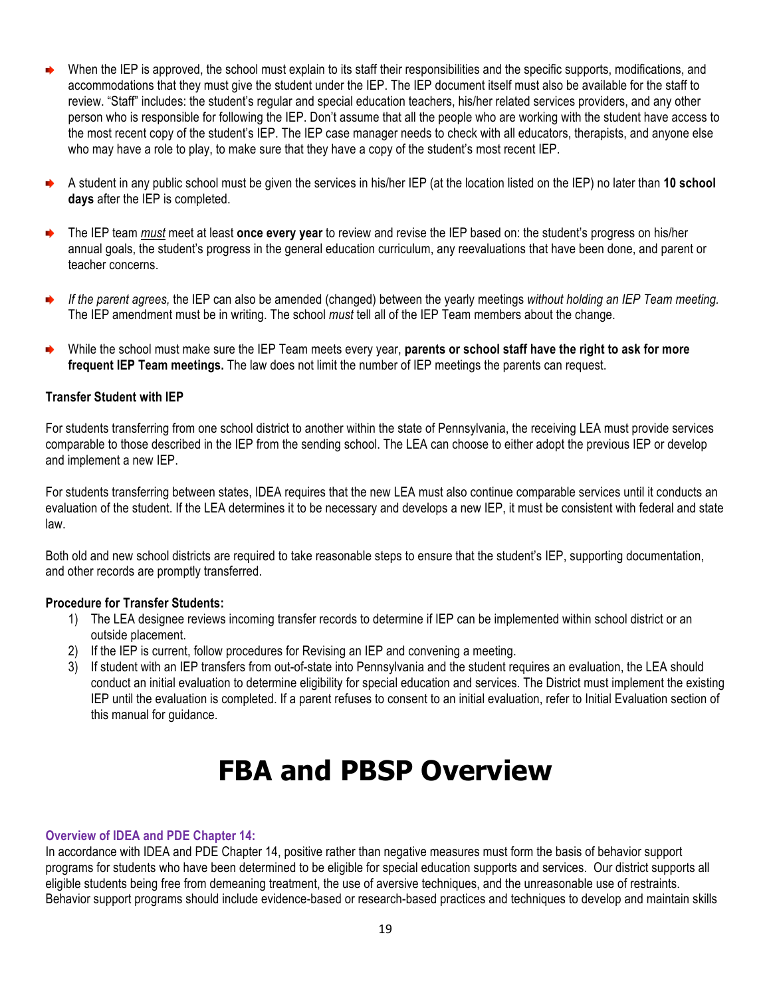- When the IEP is approved, the school must explain to its staff their responsibilities and the specific supports, modifications, and accommodations that they must give the student under the IEP. The IEP document itself must also be available for the staff to review. "Staff" includes: the student's regular and special education teachers, his/her related services providers, and any other person who is responsible for following the IEP. Don't assume that all the people who are working with the student have access to the most recent copy of the student's IEP. The IEP case manager needs to check with all educators, therapists, and anyone else who may have a role to play, to make sure that they have a copy of the student's most recent IEP.
- A student in any public school must be given the services in his/her IEP (at the location listed on the IEP) no later than **10 school days** after the IEP is completed.
- The IEP team *must* meet at least **once every year** to review and revise the IEP based on: the student's progress on his/her annual goals, the student's progress in the general education curriculum, any reevaluations that have been done, and parent or teacher concerns.
- *If the parent agrees,* the IEP can also be amended (changed) between the yearly meetings *without holding an IEP Team meeting.* ◆ The IEP amendment must be in writing. The school *must* tell all of the IEP Team members about the change.
- While the school must make sure the IEP Team meets every year, **parents or school staff have the right to ask for more frequent IEP Team meetings.** The law does not limit the number of IEP meetings the parents can request.

#### **Transfer Student with IEP**

For students transferring from one school district to another within the state of Pennsylvania, the receiving LEA must provide services comparable to those described in the IEP from the sending school. The LEA can choose to either adopt the previous IEP or develop and implement a new IEP.

For students transferring between states, IDEA requires that the new LEA must also continue comparable services until it conducts an evaluation of the student. If the LEA determines it to be necessary and develops a new IEP, it must be consistent with federal and state law.

Both old and new school districts are required to take reasonable steps to ensure that the student's IEP, supporting documentation, and other records are promptly transferred.

#### **Procedure for Transfer Students:**

- 1) The LEA designee reviews incoming transfer records to determine if IEP can be implemented within school district or an outside placement.
- 2) If the IEP is current, follow procedures for Revising an IEP and convening a meeting.
- 3) If student with an IEP transfers from out-of-state into Pennsylvania and the student requires an evaluation, the LEA should conduct an initial evaluation to determine eligibility for special education and services. The District must implement the existing IEP until the evaluation is completed. If a parent refuses to consent to an initial evaluation, refer to Initial Evaluation section of this manual for guidance.

### **FBA and PBSP Overview**

#### **Overview of IDEA and PDE Chapter 14:**

In accordance with IDEA and PDE Chapter 14, positive rather than negative measures must form the basis of behavior support programs for students who have been determined to be eligible for special education supports and services. Our district supports all eligible students being free from demeaning treatment, the use of aversive techniques, and the unreasonable use of restraints. Behavior support programs should include evidence-based or research-based practices and techniques to develop and maintain skills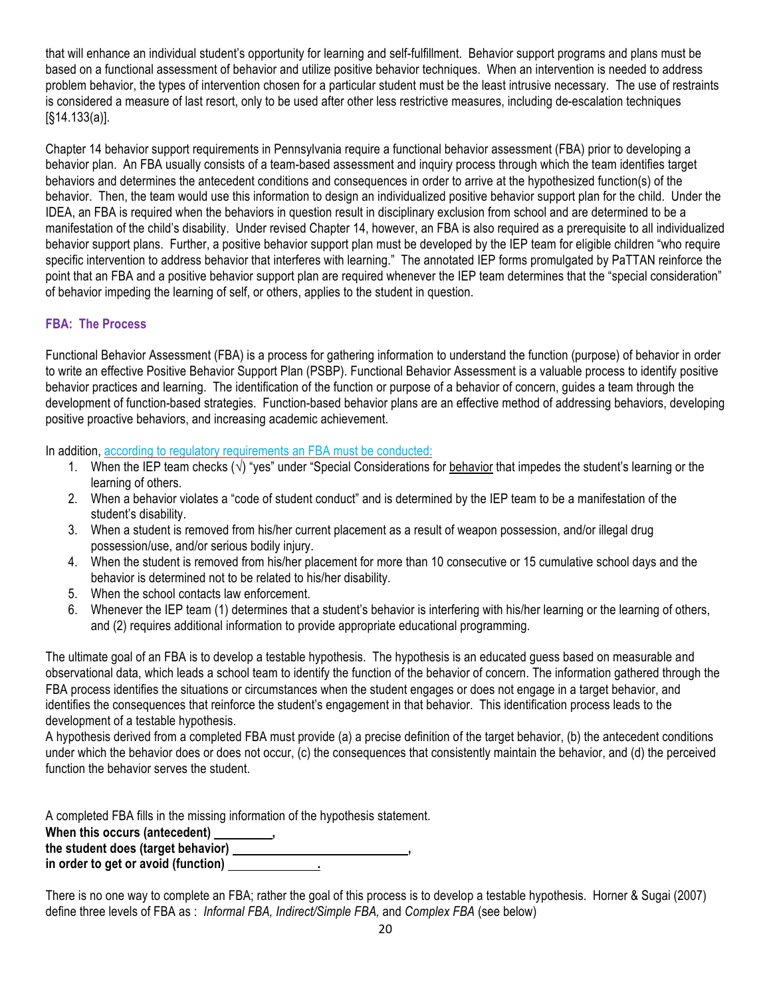that will enhance an individual student's opportunity for learning and self-fulfillment. Behavior support programs and plans must be based on a functional assessment of behavior and utilize positive behavior techniques. When an intervention is needed to address problem behavior, the types of intervention chosen for a particular student must be the least intrusive necessary. The use of restraints is considered a measure of last resort, only to be used after other less restrictive measures, including de-escalation techniques [§14.133(a)].

Chapter 14 behavior support requirements in Pennsylvania require a functional behavior assessment (FBA) prior to developing a behavior plan. An FBA usually consists of a team-based assessment and inquiry process through which the team identifies target behaviors and determines the antecedent conditions and consequences in order to arrive at the hypothesized function(s) of the behavior. Then, the team would use this information to design an individualized positive behavior support plan for the child. Under the IDEA, an FBA is required when the behaviors in question result in disciplinary exclusion from school and are determined to be a manifestation of the child's disability. Under revised Chapter 14, however, an FBA is also required as a prerequisite to all individualized behavior support plans. Further, a positive behavior support plan must be developed by the IEP team for eligible children "who require specific intervention to address behavior that interferes with learning." The annotated IEP forms promulgated by PaTTAN reinforce the point that an FBA and a positive behavior support plan are required whenever the IEP team determines that the "special consideration" of behavior impeding the learning of self, or others, applies to the student in question.

#### **FBA: The Process**

Functional Behavior Assessment (FBA) is a process for gathering information to understand the function (purpose) of behavior in order to write an effective Positive Behavior Support Plan (PSBP). Functional Behavior Assessment is a valuable process to identify positive behavior practices and learning. The identification of the function or purpose of a behavior of concern, guides a team through the development of function-based strategies. Function-based behavior plans are an effective method of addressing behaviors, developing positive proactive behaviors, and increasing academic achievement.

In addition, according to regulatory requirements an FBA must be conducted:

- 1. When the IEP team checks  $(\sqrt{)}$  "yes" under "Special Considerations for behavior that impedes the student's learning or the learning of others.
- 2. When a behavior violates a "code of student conduct" and is determined by the IEP team to be a manifestation of the student's disability.
- 3. When a student is removed from his/her current placement as a result of weapon possession, and/or illegal drug possession/use, and/or serious bodily injury.
- 4. When the student is removed from his/her placement for more than 10 consecutive or 15 cumulative school days and the behavior is determined not to be related to his/her disability.
- 5. When the school contacts law enforcement.
- 6. Whenever the IEP team (1) determines that a student's behavior is interfering with his/her learning or the learning of others, and (2) requires additional information to provide appropriate educational programming.

The ultimate goal of an FBA is to develop a testable hypothesis. The hypothesis is an educated guess based on measurable and observational data, which leads a school team to identify the function of the behavior of concern. The information gathered through the FBA process identifies the situations or circumstances when the student engages or does not engage in a target behavior, and identifies the consequences that reinforce the student's engagement in that behavior. This identification process leads to the development of a testable hypothesis.

A hypothesis derived from a completed FBA must provide (a) a precise definition of the target behavior, (b) the antecedent conditions under which the behavior does or does not occur, (c) the consequences that consistently maintain the behavior, and (d) the perceived function the behavior serves the student.

A completed FBA fills in the missing information of the hypothesis statement. When this occurs (antecedent) \_\_\_\_\_\_\_\_\_\_, the student does (target behavior) \_\_\_\_\_\_\_\_\_\_\_\_\_

**in order to get or avoid (function) .**

There is no one way to complete an FBA; rather the goal of this process is to develop a testable hypothesis. Horner & Sugai (2007) define three levels of FBA as : *Informal FBA, Indirect/Simple FBA,* and *Complex FBA* (see below)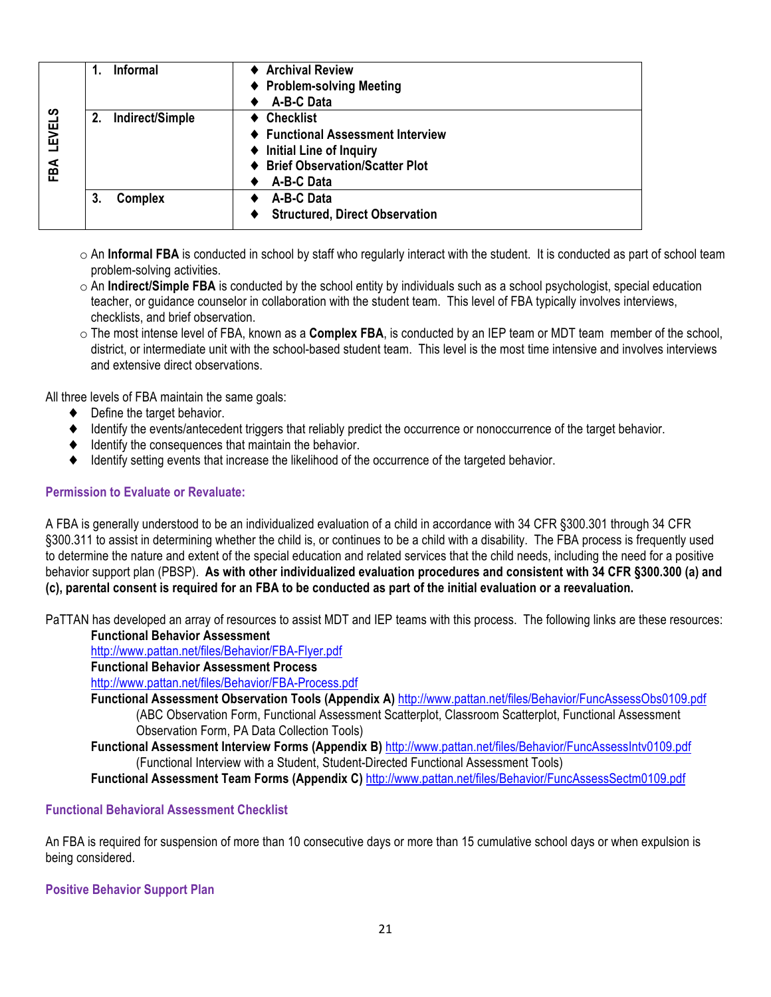|               | <b>Informal</b>    | ♦ Archival Review                     |
|---------------|--------------------|---------------------------------------|
|               |                    | ♦ Problem-solving Meeting             |
|               |                    | A-B-C Data                            |
| <b>LEVELS</b> | 2. Indirect/Simple | $\triangleleft$ Checklist             |
|               |                    | ♦ Functional Assessment Interview     |
|               |                    | ♦ Initial Line of Inquiry             |
| FBA           |                    | <b>Brief Observation/Scatter Plot</b> |
|               |                    | A-B-C Data                            |
|               | Complex<br>3.      | A-B-C Data                            |
|               |                    | <b>Structured, Direct Observation</b> |
|               |                    |                                       |

- o An **Informal FBA** is conducted in school by staff who regularly interact with the student. It is conducted as part of school team problem-solving activities.
- $\circ$  An **Indirect/Simple FBA** is conducted by the school entity by individuals such as a school psychologist, special education teacher, or guidance counselor in collaboration with the student team. This level of FBA typically involves interviews, checklists, and brief observation.
- o The most intense level of FBA, known as a **Complex FBA**, is conducted by an IEP team or MDT team member of the school, district, or intermediate unit with the school-based student team. This level is the most time intensive and involves interviews and extensive direct observations.

All three levels of FBA maintain the same goals:

- ♦ Define the target behavior.
- ♦ Identify the events/antecedent triggers that reliably predict the occurrence or nonoccurrence of the target behavior.
- ♦ Identify the consequences that maintain the behavior.
- ♦ Identify setting events that increase the likelihood of the occurrence of the targeted behavior.

#### **Permission to Evaluate or Revaluate:**

A FBA is generally understood to be an individualized evaluation of a child in accordance with 34 CFR §300.301 through 34 CFR §300.311 to assist in determining whether the child is, or continues to be a child with a disability. The FBA process is frequently used to determine the nature and extent of the special education and related services that the child needs, including the need for a positive behavior support plan (PBSP). **As with other individualized evaluation procedures and consistent with 34 CFR §300.300 (a) and (c), parental consent is required for an FBA to be conducted as part of the initial evaluation or a reevaluation.**

PaTTAN has developed an array of resources to assist MDT and IEP teams with this process. The following links are these resources:

#### **Functional Behavior Assessment**

http://www.pattan.net/files/Behavior/FBA-Flyer.pdf

**Functional Behavior Assessment Process**

http://www.pattan.net/files/Behavior/FBA-Process.pdf

**Functional Assessment Observation Tools (Appendix A)** http://www.pattan.net/files/Behavior/FuncAssessObs0109.pdf (ABC Observation Form, Functional Assessment Scatterplot, Classroom Scatterplot, Functional Assessment Observation Form, PA Data Collection Tools)

**Functional Assessment Interview Forms (Appendix B)** http://www.pattan.net/files/Behavior/FuncAssessIntv0109.pdf (Functional Interview with a Student, Student-Directed Functional Assessment Tools)

**Functional Assessment Team Forms (Appendix C)** http://www.pattan.net/files/Behavior/FuncAssessSectm0109.pdf

#### **Functional Behavioral Assessment Checklist**

An FBA is required for suspension of more than 10 consecutive days or more than 15 cumulative school days or when expulsion is being considered.

**Positive Behavior Support Plan**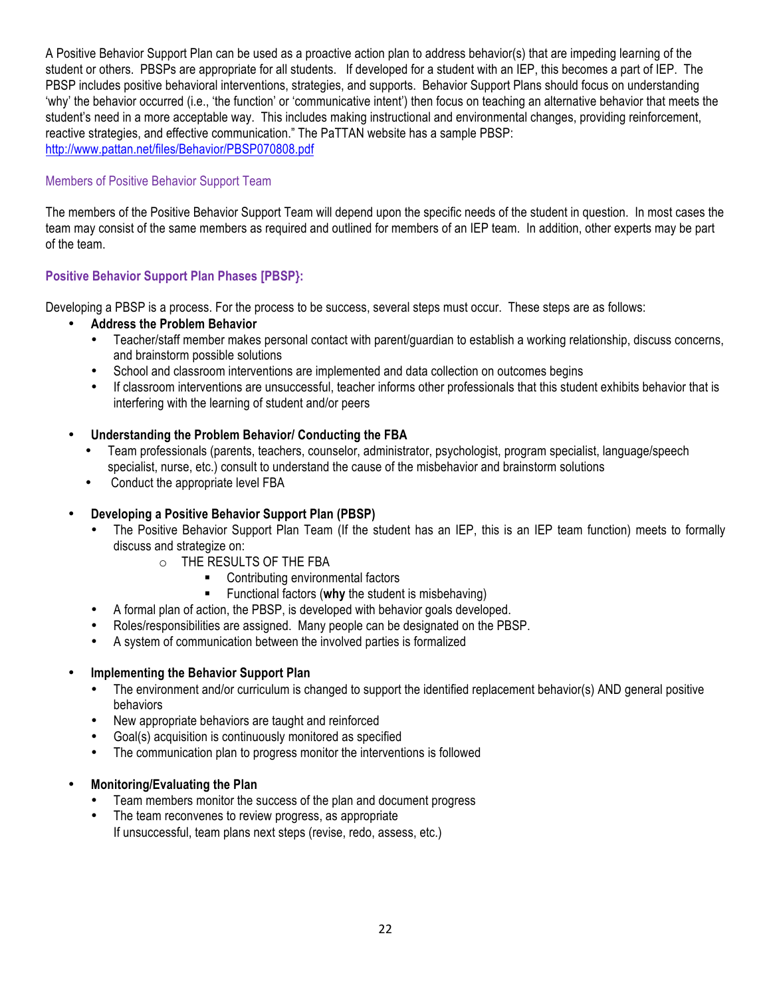A Positive Behavior Support Plan can be used as a proactive action plan to address behavior(s) that are impeding learning of the student or others. PBSPs are appropriate for all students. If developed for a student with an IEP, this becomes a part of IEP. The PBSP includes positive behavioral interventions, strategies, and supports. Behavior Support Plans should focus on understanding 'why' the behavior occurred (i.e., 'the function' or 'communicative intent') then focus on teaching an alternative behavior that meets the student's need in a more acceptable way. This includes making instructional and environmental changes, providing reinforcement, reactive strategies, and effective communication." The PaTTAN website has a sample PBSP: http://www.pattan.net/files/Behavior/PBSP070808.pdf

#### Members of Positive Behavior Support Team

The members of the Positive Behavior Support Team will depend upon the specific needs of the student in question. In most cases the team may consist of the same members as required and outlined for members of an IEP team. In addition, other experts may be part of the team.

#### **Positive Behavior Support Plan Phases [PBSP}:**

Developing a PBSP is a process. For the process to be success, several steps must occur. These steps are as follows:

- **Address the Problem Behavior**
	- Teacher/staff member makes personal contact with parent/guardian to establish a working relationship, discuss concerns, and brainstorm possible solutions
	- School and classroom interventions are implemented and data collection on outcomes begins
	- If classroom interventions are unsuccessful, teacher informs other professionals that this student exhibits behavior that is interfering with the learning of student and/or peers
- **Understanding the Problem Behavior/ Conducting the FBA**
	- Team professionals (parents, teachers, counselor, administrator, psychologist, program specialist, language/speech specialist, nurse, etc.) consult to understand the cause of the misbehavior and brainstorm solutions
	- Conduct the appropriate level FBA

#### • **Developing a Positive Behavior Support Plan (PBSP)**

- The Positive Behavior Support Plan Team (If the student has an IEP, this is an IEP team function) meets to formally discuss and strategize on:
	- o THE RESULTS OF THE FBA
		- Contributing environmental factors
		- Functional factors (**why** the student is misbehaving)
- A formal plan of action, the PBSP, is developed with behavior goals developed.
- Roles/responsibilities are assigned. Many people can be designated on the PBSP.
- A system of communication between the involved parties is formalized

#### • **Implementing the Behavior Support Plan**

- The environment and/or curriculum is changed to support the identified replacement behavior(s) AND general positive behaviors
- New appropriate behaviors are taught and reinforced
- Goal(s) acquisition is continuously monitored as specified
- The communication plan to progress monitor the interventions is followed
- **Monitoring/Evaluating the Plan**
	- Team members monitor the success of the plan and document progress
	- The team reconvenes to review progress, as appropriate If unsuccessful, team plans next steps (revise, redo, assess, etc.)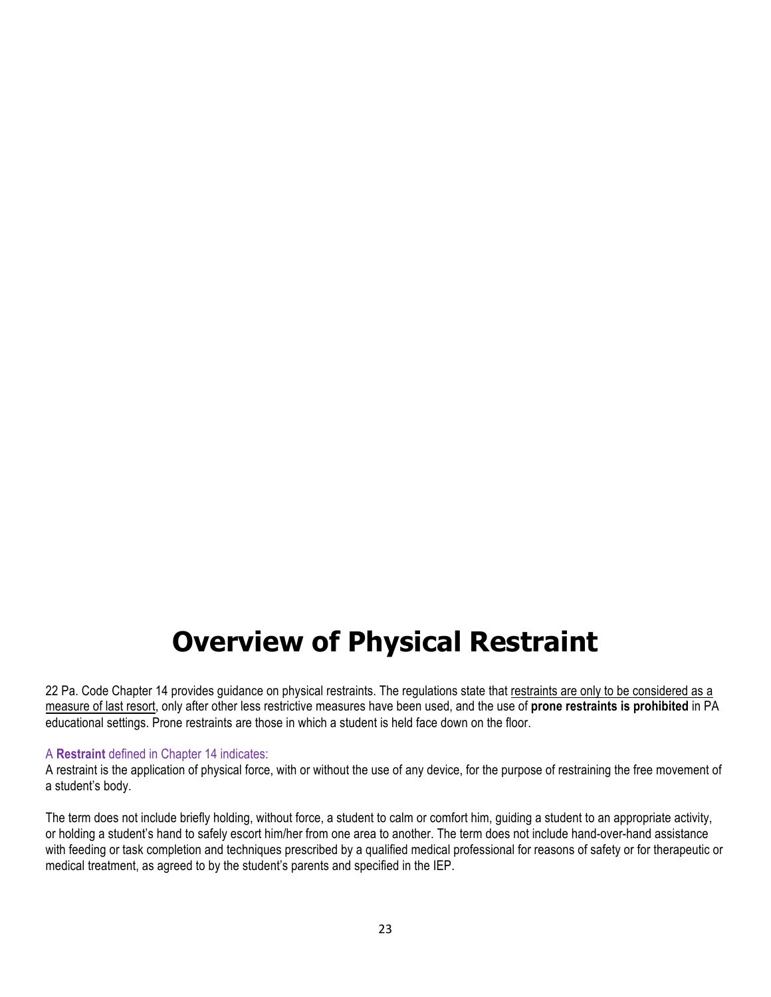### **Overview of Physical Restraint**

22 Pa. Code Chapter 14 provides guidance on physical restraints. The regulations state that restraints are only to be considered as a measure of last resort, only after other less restrictive measures have been used, and the use of **prone restraints is prohibited** in PA educational settings. Prone restraints are those in which a student is held face down on the floor.

#### A **Restraint** defined in Chapter 14 indicates:

A restraint is the application of physical force, with or without the use of any device, for the purpose of restraining the free movement of a student's body.

The term does not include briefly holding, without force, a student to calm or comfort him, guiding a student to an appropriate activity, or holding a student's hand to safely escort him/her from one area to another. The term does not include hand-over-hand assistance with feeding or task completion and techniques prescribed by a qualified medical professional for reasons of safety or for therapeutic or medical treatment, as agreed to by the student's parents and specified in the IEP.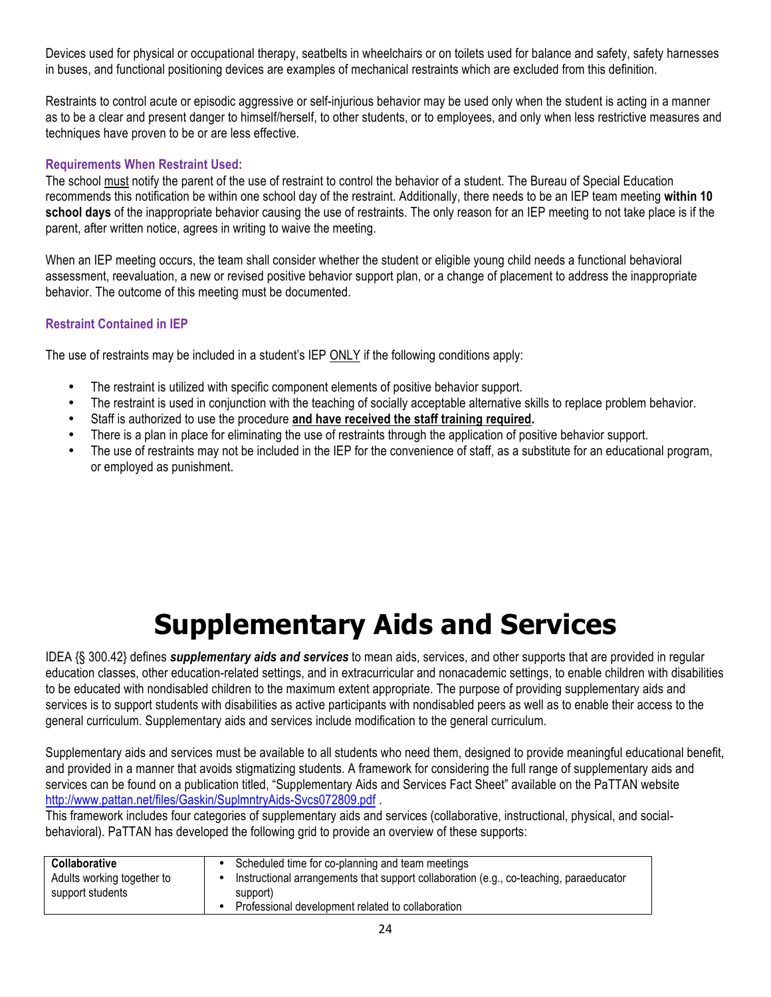Devices used for physical or occupational therapy, seatbelts in wheelchairs or on toilets used for balance and safety, safety harnesses in buses, and functional positioning devices are examples of mechanical restraints which are excluded from this definition.

Restraints to control acute or episodic aggressive or self-injurious behavior may be used only when the student is acting in a manner as to be a clear and present danger to himself/herself, to other students, or to employees, and only when less restrictive measures and techniques have proven to be or are less effective.

#### **Requirements When Restraint Used:**

The school must notify the parent of the use of restraint to control the behavior of a student. The Bureau of Special Education recommends this notification be within one school day of the restraint. Additionally, there needs to be an IEP team meeting **within 10 school days** of the inappropriate behavior causing the use of restraints. The only reason for an IEP meeting to not take place is if the parent, after written notice, agrees in writing to waive the meeting.

When an IEP meeting occurs, the team shall consider whether the student or eligible young child needs a functional behavioral assessment, reevaluation, a new or revised positive behavior support plan, or a change of placement to address the inappropriate behavior. The outcome of this meeting must be documented.

#### **Restraint Contained in IEP**

The use of restraints may be included in a student's IEP ONLY if the following conditions apply:

- The restraint is utilized with specific component elements of positive behavior support.
- The restraint is used in conjunction with the teaching of socially acceptable alternative skills to replace problem behavior.
- Staff is authorized to use the procedure **and have received the staff training required.**
- There is a plan in place for eliminating the use of restraints through the application of positive behavior support.
- The use of restraints may not be included in the IEP for the convenience of staff, as a substitute for an educational program, or employed as punishment.

## **Supplementary Aids and Services**

IDEA {§ 300.42} defines *supplementary aids and services* to mean aids, services, and other supports that are provided in regular education classes, other education-related settings, and in extracurricular and nonacademic settings, to enable children with disabilities to be educated with nondisabled children to the maximum extent appropriate. The purpose of providing supplementary aids and services is to support students with disabilities as active participants with nondisabled peers as well as to enable their access to the general curriculum. Supplementary aids and services include modification to the general curriculum.

Supplementary aids and services must be available to all students who need them, designed to provide meaningful educational benefit, and provided in a manner that avoids stigmatizing students. A framework for considering the full range of supplementary aids and services can be found on a publication titled, "Supplementary Aids and Services Fact Sheet" available on the PaTTAN website http://www.pattan.net/files/Gaskin/SuplmntryAids-Svcs072809.pdf

This framework includes four categories of supplementary aids and services (collaborative, instructional, physical, and socialbehavioral). PaTTAN has developed the following grid to provide an overview of these supports:

| Collaborative<br>Adults working together to<br>support students | Scheduled time for co-planning and team meetings<br>Instructional arrangements that support collaboration (e.g., co-teaching, paraeducator<br>support)<br>Professional development related to collaboration |
|-----------------------------------------------------------------|-------------------------------------------------------------------------------------------------------------------------------------------------------------------------------------------------------------|
|-----------------------------------------------------------------|-------------------------------------------------------------------------------------------------------------------------------------------------------------------------------------------------------------|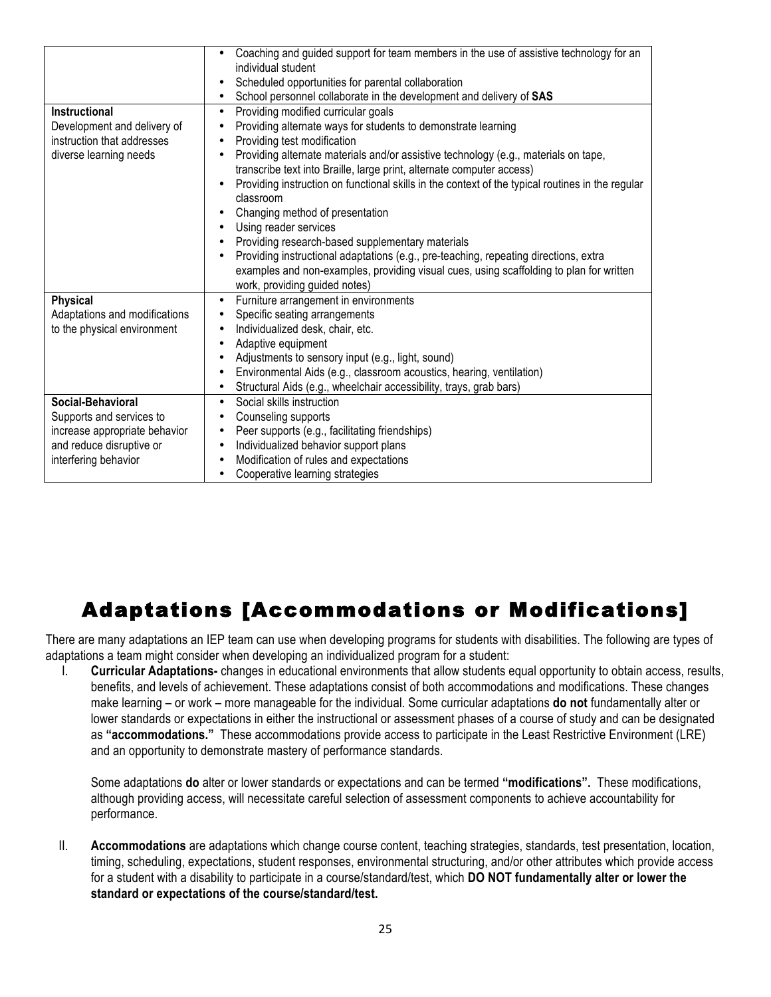|                                                                                                             | Coaching and guided support for team members in the use of assistive technology for an<br>individual student<br>Scheduled opportunities for parental collaboration                                                                                                                                                                                                                                                                                                                                                                                                                                                                                                                                                                                       |  |
|-------------------------------------------------------------------------------------------------------------|----------------------------------------------------------------------------------------------------------------------------------------------------------------------------------------------------------------------------------------------------------------------------------------------------------------------------------------------------------------------------------------------------------------------------------------------------------------------------------------------------------------------------------------------------------------------------------------------------------------------------------------------------------------------------------------------------------------------------------------------------------|--|
|                                                                                                             | School personnel collaborate in the development and delivery of SAS<br>٠                                                                                                                                                                                                                                                                                                                                                                                                                                                                                                                                                                                                                                                                                 |  |
| <b>Instructional</b><br>Development and delivery of<br>instruction that addresses<br>diverse learning needs | Providing modified curricular goals<br>Providing alternate ways for students to demonstrate learning<br>Providing test modification<br>Providing alternate materials and/or assistive technology (e.g., materials on tape,<br>transcribe text into Braille, large print, alternate computer access)<br>Providing instruction on functional skills in the context of the typical routines in the regular<br>classroom<br>Changing method of presentation<br>Using reader services<br>Providing research-based supplementary materials<br>Providing instructional adaptations (e.g., pre-teaching, repeating directions, extra<br>examples and non-examples, providing visual cues, using scaffolding to plan for written<br>work, providing guided notes) |  |
| <b>Physical</b>                                                                                             | Furniture arrangement in environments<br>$\bullet$                                                                                                                                                                                                                                                                                                                                                                                                                                                                                                                                                                                                                                                                                                       |  |
| Adaptations and modifications                                                                               | Specific seating arrangements                                                                                                                                                                                                                                                                                                                                                                                                                                                                                                                                                                                                                                                                                                                            |  |
| to the physical environment                                                                                 | Individualized desk, chair, etc.                                                                                                                                                                                                                                                                                                                                                                                                                                                                                                                                                                                                                                                                                                                         |  |
|                                                                                                             | Adaptive equipment                                                                                                                                                                                                                                                                                                                                                                                                                                                                                                                                                                                                                                                                                                                                       |  |
|                                                                                                             | Adjustments to sensory input (e.g., light, sound)                                                                                                                                                                                                                                                                                                                                                                                                                                                                                                                                                                                                                                                                                                        |  |
|                                                                                                             | Environmental Aids (e.g., classroom acoustics, hearing, ventilation)                                                                                                                                                                                                                                                                                                                                                                                                                                                                                                                                                                                                                                                                                     |  |
|                                                                                                             | Structural Aids (e.g., wheelchair accessibility, trays, grab bars)                                                                                                                                                                                                                                                                                                                                                                                                                                                                                                                                                                                                                                                                                       |  |
| Social-Behavioral                                                                                           | Social skills instruction                                                                                                                                                                                                                                                                                                                                                                                                                                                                                                                                                                                                                                                                                                                                |  |
| Supports and services to                                                                                    | Counseling supports                                                                                                                                                                                                                                                                                                                                                                                                                                                                                                                                                                                                                                                                                                                                      |  |
| increase appropriate behavior                                                                               | Peer supports (e.g., facilitating friendships)                                                                                                                                                                                                                                                                                                                                                                                                                                                                                                                                                                                                                                                                                                           |  |
| and reduce disruptive or                                                                                    | Individualized behavior support plans                                                                                                                                                                                                                                                                                                                                                                                                                                                                                                                                                                                                                                                                                                                    |  |
| interfering behavior                                                                                        | Modification of rules and expectations                                                                                                                                                                                                                                                                                                                                                                                                                                                                                                                                                                                                                                                                                                                   |  |
|                                                                                                             | Cooperative learning strategies                                                                                                                                                                                                                                                                                                                                                                                                                                                                                                                                                                                                                                                                                                                          |  |

### Adaptations [Accommodations or Modifications]

There are many adaptations an IEP team can use when developing programs for students with disabilities. The following are types of adaptations a team might consider when developing an individualized program for a student:

I. **Curricular Adaptations-** changes in educational environments that allow students equal opportunity to obtain access, results, benefits, and levels of achievement. These adaptations consist of both accommodations and modifications. These changes make learning – or work – more manageable for the individual. Some curricular adaptations **do not** fundamentally alter or lower standards or expectations in either the instructional or assessment phases of a course of study and can be designated as **"accommodations."** These accommodations provide access to participate in the Least Restrictive Environment (LRE) and an opportunity to demonstrate mastery of performance standards.

Some adaptations **do** alter or lower standards or expectations and can be termed **"modifications".** These modifications, although providing access, will necessitate careful selection of assessment components to achieve accountability for performance.

II. **Accommodations** are adaptations which change course content, teaching strategies, standards, test presentation, location, timing, scheduling, expectations, student responses, environmental structuring, and/or other attributes which provide access for a student with a disability to participate in a course/standard/test, which **DO NOT fundamentally alter or lower the standard or expectations of the course/standard/test.**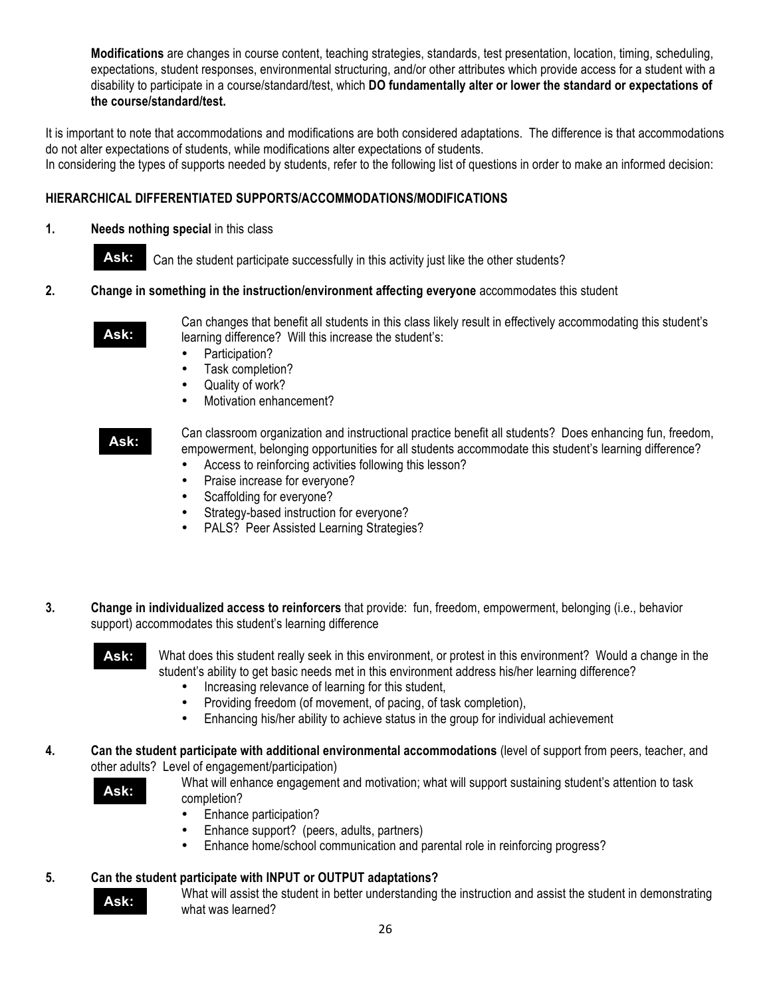**Modifications** are changes in course content, teaching strategies, standards, test presentation, location, timing, scheduling, expectations, student responses, environmental structuring, and/or other attributes which provide access for a student with a disability to participate in a course/standard/test, which **DO fundamentally alter or lower the standard or expectations of the course/standard/test.**

It is important to note that accommodations and modifications are both considered adaptations. The difference is that accommodations do not alter expectations of students, while modifications alter expectations of students.

In considering the types of supports needed by students, refer to the following list of questions in order to make an informed decision:

#### **HIERARCHICAL DIFFERENTIATED SUPPORTS/ACCOMMODATIONS/MODIFICATIONS**

#### **1. Needs nothing special** in this class

![](_page_25_Picture_5.jpeg)

Can the student participate successfully in this activity just like the other students?

#### **2. Change in something in the instruction/environment affecting everyone** accommodates this student **:**

![](_page_25_Picture_8.jpeg)

**:**

Can changes that benefit all students in this class likely result in effectively accommodating this student's learning difference? Will this increase the student's:

- Participation?
	- Task completion?
- Quality of work?<br>• Motivation enhan
- Motivation enhancement?

#### **Ask:**

**:**

**Ask: Ask:** Can classroom organization and instructional practice benefit all students? Does enhancing fun, freedom, empowerment, belonging opportunities for all students accommodate this student's learning difference?

- Access to reinforcing activities following this lesson?
- Praise increase for everyone?
- Scaffolding for everyone?
- Strategy-based instruction for everyone?<br>• PAI S? Peer Assisted Learning Strategie
- PALS? Peer Assisted Learning Strategies?
- **3. Change in individualized access to reinforcers** that provide: fun, freedom, empowerment, belonging (i.e., behavior support) accommodates this student's learning difference

![](_page_25_Picture_22.jpeg)

**:**

What does this student really seek in this environment, or protest in this environment? Would a change in the student's ability to get basic needs met in this environment address his/her learning difference?

- Increasing relevance of learning for this student,
- Providing freedom (of movement, of pacing, of task completion),<br>• Fnhancing his/her ability to achieve status in the group for individent
- Enhancing his/her ability to achieve status in the group for individual achievement
- **4. Can the student participate with additional environmental accommodations** (level of support from peers, teacher, and other adults? Level of engagement/participation)

![](_page_25_Picture_28.jpeg)

**Ask: :**

**:**

- What will enhance engagement and motivation; what will support sustaining student's attention to task completion?
	- Enhance participation?
	- Enhance support? (peers, adults, partners)
	- Enhance home/school communication and parental role in reinforcing progress?

#### **5. Can the student participate with INPUT or OUTPUT adaptations?**

What will assist the student in better understanding the instruction and assist the student in demonstrating what was learned?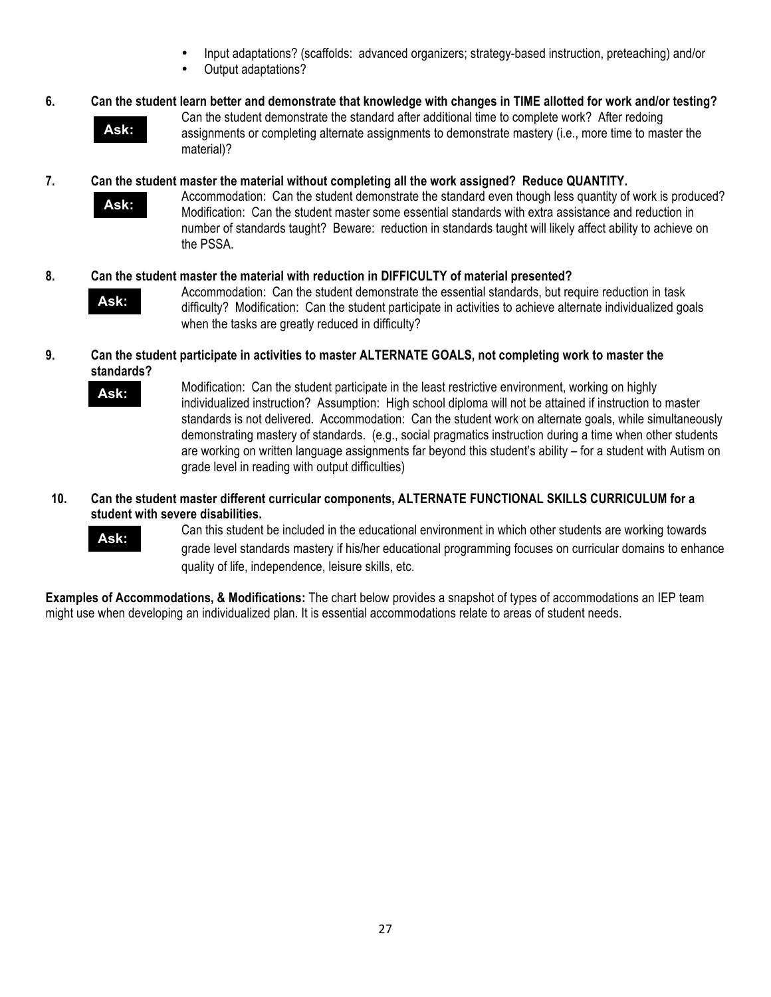- Input adaptations? (scaffolds: advanced organizers; strategy-based instruction, preteaching) and/or
- Output adaptations?

#### **6. Can the student learn better and demonstrate that knowledge with changes in TIME allotted for work and/or testing?**

![](_page_26_Picture_3.jpeg)

**:**

Can the student demonstrate the standard after additional time to complete work? After redoing assignments or completing alternate assignments to demonstrate mastery (i.e., more time to master the material)?

#### **7. Can the student master the material without completing all the work assigned? Reduce QUANTITY.**

**Ask:**

**:**

Accommodation: Can the student demonstrate the standard even though less quantity of work is produced? Modification: Can the student master some essential standards with extra assistance and reduction in number of standards taught? Beware: reduction in standards taught will likely affect ability to achieve on the PSSA.

#### **8. Can the student master the material with reduction in DIFFICULTY of material presented?**

![](_page_26_Picture_9.jpeg)

**Ask: :**

**:**

Accommodation: Can the student demonstrate the essential standards, but require reduction in task difficulty? Modification: Can the student participate in activities to achieve alternate individualized goals when the tasks are greatly reduced in difficulty?

#### **9. Can the student participate in activities to master ALTERNATE GOALS, not completing work to master the standards?**

Modification: Can the student participate in the least restrictive environment, working on highly individualized instruction? Assumption: High school diploma will not be attained if instruction to master standards is not delivered. Accommodation: Can the student work on alternate goals, while simultaneously demonstrating mastery of standards. (e.g., social pragmatics instruction during a time when other students are working on written language assignments far beyond this student's ability – for a student with Autism on grade level in reading with output difficulties)

#### **10. Can the student master different curricular components, ALTERNATE FUNCTIONAL SKILLS CURRICULUM for a student with severe disabilities.**

![](_page_26_Picture_14.jpeg)

**:**

Can this student be included in the educational environment in which other students are working towards grade level standards mastery if his/her educational programming focuses on curricular domains to enhance quality of life, independence, leisure skills, etc.

**Examples of Accommodations, & Modifications:** The chart below provides a snapshot of types of accommodations an IEP team might use when developing an individualized plan. It is essential accommodations relate to areas of student needs.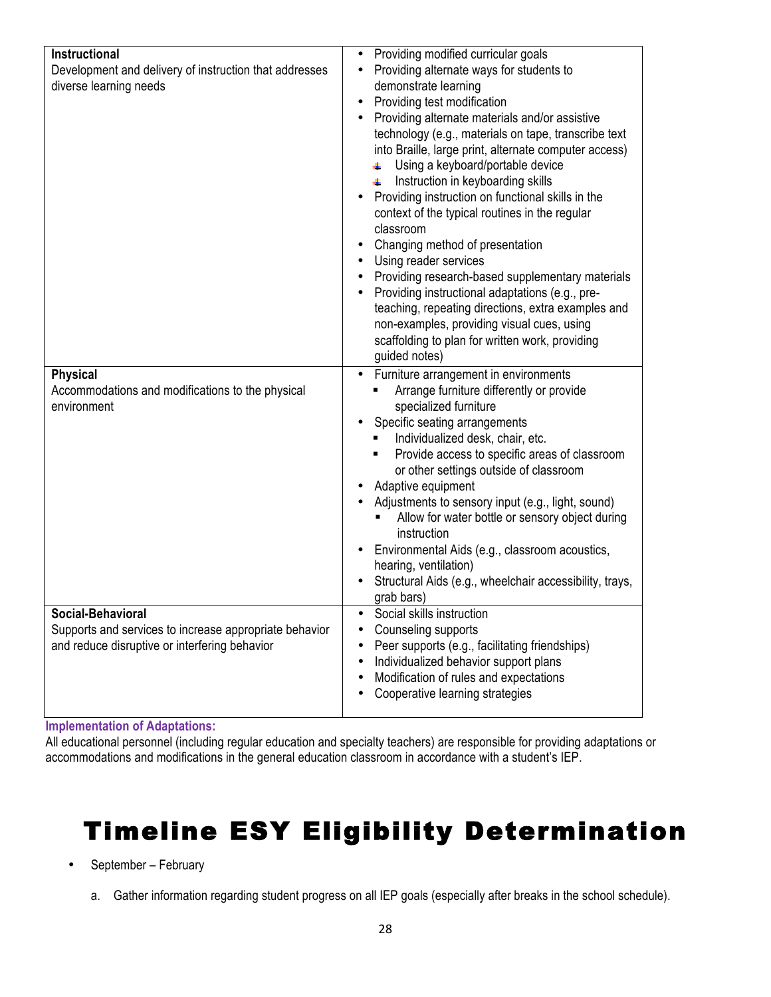| Instructional                                          | Providing modified curricular goals<br>$\bullet$                  |
|--------------------------------------------------------|-------------------------------------------------------------------|
| Development and delivery of instruction that addresses | Providing alternate ways for students to                          |
| diverse learning needs                                 | demonstrate learning                                              |
|                                                        | Providing test modification<br>$\bullet$                          |
|                                                        | Providing alternate materials and/or assistive                    |
|                                                        | technology (e.g., materials on tape, transcribe text              |
|                                                        | into Braille, large print, alternate computer access)             |
|                                                        | Using a keyboard/portable device                                  |
|                                                        | Instruction in keyboarding skills<br>4.                           |
|                                                        | Providing instruction on functional skills in the                 |
|                                                        | context of the typical routines in the regular                    |
|                                                        | classroom                                                         |
|                                                        | Changing method of presentation                                   |
|                                                        | Using reader services                                             |
|                                                        | Providing research-based supplementary materials                  |
|                                                        | Providing instructional adaptations (e.g., pre-                   |
|                                                        | teaching, repeating directions, extra examples and                |
|                                                        | non-examples, providing visual cues, using                        |
|                                                        | scaffolding to plan for written work, providing                   |
|                                                        | guided notes)                                                     |
| <b>Physical</b>                                        | Furniture arrangement in environments<br>$\bullet$                |
| Accommodations and modifications to the physical       | Arrange furniture differently or provide                          |
| environment                                            | specialized furniture                                             |
|                                                        | Specific seating arrangements<br>Individualized desk, chair, etc. |
|                                                        | Provide access to specific areas of classroom<br>٠                |
|                                                        | or other settings outside of classroom                            |
|                                                        | Adaptive equipment                                                |
|                                                        | Adjustments to sensory input (e.g., light, sound)                 |
|                                                        | Allow for water bottle or sensory object during                   |
|                                                        | instruction                                                       |
|                                                        | Environmental Aids (e.g., classroom acoustics,<br>٠               |
|                                                        | hearing, ventilation)                                             |
|                                                        | Structural Aids (e.g., wheelchair accessibility, trays,           |
|                                                        | grab bars)                                                        |
| Social-Behavioral                                      | Social skills instruction<br>$\bullet$                            |
| Supports and services to increase appropriate behavior | Counseling supports                                               |
| and reduce disruptive or interfering behavior          | Peer supports (e.g., facilitating friendships)<br>٠               |
|                                                        | Individualized behavior support plans<br>٠                        |
|                                                        | Modification of rules and expectations<br>$\bullet$               |
|                                                        | Cooperative learning strategies                                   |
|                                                        |                                                                   |

**Implementation of Adaptations:**

All educational personnel (including regular education and specialty teachers) are responsible for providing adaptations or accommodations and modifications in the general education classroom in accordance with a student's IEP.

### Timeline ESY Eligibility Determination

- September February
	- a. Gather information regarding student progress on all IEP goals (especially after breaks in the school schedule).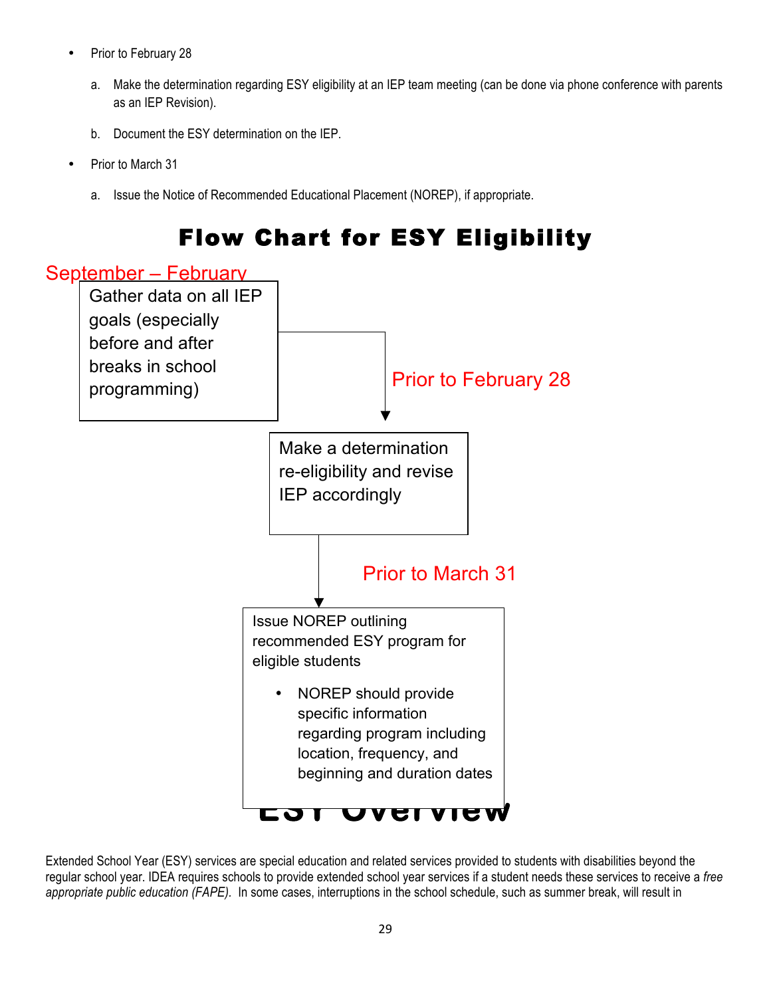- Prior to February 28
	- a. Make the determination regarding ESY eligibility at an IEP team meeting (can be done via phone conference with parents as an IEP Revision).
	- b. Document the ESY determination on the IEP.
- Prior to March 31
	- a. Issue the Notice of Recommended Educational Placement (NOREP), if appropriate.

![](_page_28_Figure_5.jpeg)

Extended School Year (ESY) services are special education and related services provided to students with disabilities beyond the regular school year. IDEA requires schools to provide extended school year services if a student needs these services to receive a *free appropriate public education (FAPE).* In some cases, interruptions in the school schedule, such as summer break, will result in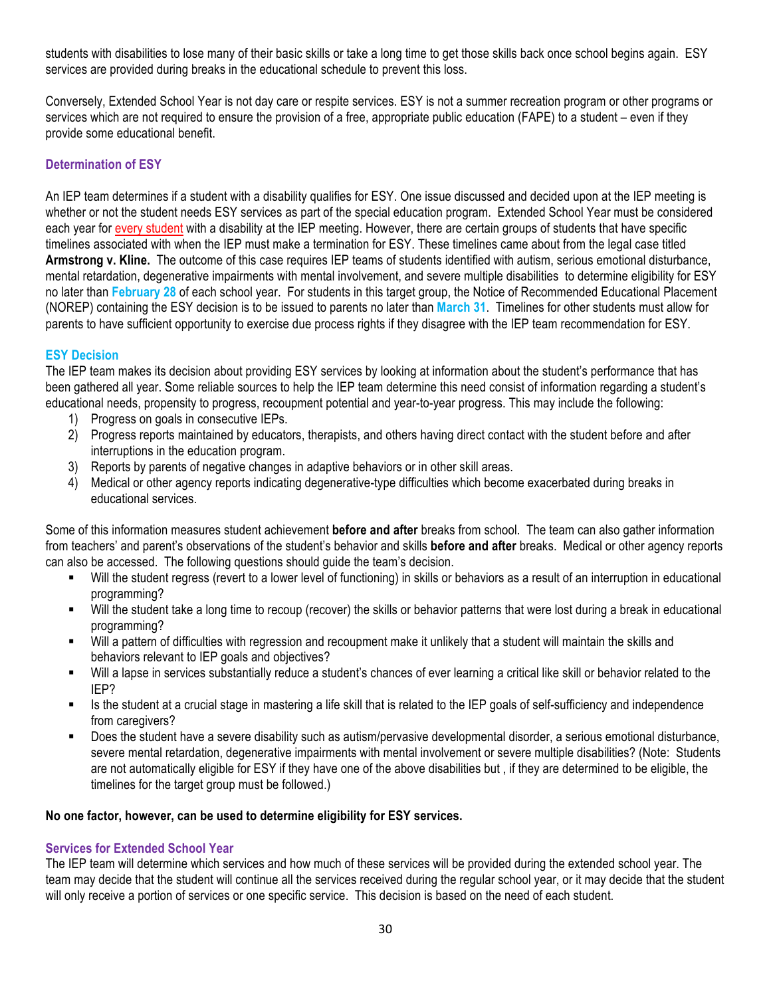students with disabilities to lose many of their basic skills or take a long time to get those skills back once school begins again. ESY services are provided during breaks in the educational schedule to prevent this loss.

Conversely, Extended School Year is not day care or respite services. ESY is not a summer recreation program or other programs or services which are not required to ensure the provision of a free, appropriate public education (FAPE) to a student – even if they provide some educational benefit.

#### **Determination of ESY**

An IEP team determines if a student with a disability qualifies for ESY. One issue discussed and decided upon at the IEP meeting is whether or not the student needs ESY services as part of the special education program. Extended School Year must be considered each year for every student with a disability at the IEP meeting. However, there are certain groups of students that have specific timelines associated with when the IEP must make a termination for ESY. These timelines came about from the legal case titled **Armstrong v. Kline.** The outcome of this case requires IEP teams of students identified with autism, serious emotional disturbance, mental retardation, degenerative impairments with mental involvement, and severe multiple disabilities to determine eligibility for ESY no later than **February 28** of each school year. For students in this target group, the Notice of Recommended Educational Placement (NOREP) containing the ESY decision is to be issued to parents no later than **March 31**. Timelines for other students must allow for parents to have sufficient opportunity to exercise due process rights if they disagree with the IEP team recommendation for ESY.

#### **ESY Decision**

The IEP team makes its decision about providing ESY services by looking at information about the student's performance that has been gathered all year. Some reliable sources to help the IEP team determine this need consist of information regarding a student's educational needs, propensity to progress, recoupment potential and year-to-year progress. This may include the following:

- 1) Progress on goals in consecutive IEPs.
- 2) Progress reports maintained by educators, therapists, and others having direct contact with the student before and after interruptions in the education program.
- 3) Reports by parents of negative changes in adaptive behaviors or in other skill areas.
- 4) Medical or other agency reports indicating degenerative-type difficulties which become exacerbated during breaks in educational services.

Some of this information measures student achievement **before and after** breaks from school. The team can also gather information from teachers' and parent's observations of the student's behavior and skills **before and after** breaks. Medical or other agency reports can also be accessed. The following questions should guide the team's decision.

- Will the student regress (revert to a lower level of functioning) in skills or behaviors as a result of an interruption in educational programming?
- Will the student take a long time to recoup (recover) the skills or behavior patterns that were lost during a break in educational programming?
- Will a pattern of difficulties with regression and recoupment make it unlikely that a student will maintain the skills and behaviors relevant to IEP goals and objectives?
- Will a lapse in services substantially reduce a student's chances of ever learning a critical like skill or behavior related to the IEP?
- Is the student at a crucial stage in mastering a life skill that is related to the IEP goals of self-sufficiency and independence from caregivers?
- Does the student have a severe disability such as autism/pervasive developmental disorder, a serious emotional disturbance, severe mental retardation, degenerative impairments with mental involvement or severe multiple disabilities? (Note: Students are not automatically eligible for ESY if they have one of the above disabilities but , if they are determined to be eligible, the timelines for the target group must be followed.)

#### **No one factor, however, can be used to determine eligibility for ESY services.**

#### **Services for Extended School Year**

The IEP team will determine which services and how much of these services will be provided during the extended school year. The team may decide that the student will continue all the services received during the regular school year, or it may decide that the student will only receive a portion of services or one specific service. This decision is based on the need of each student.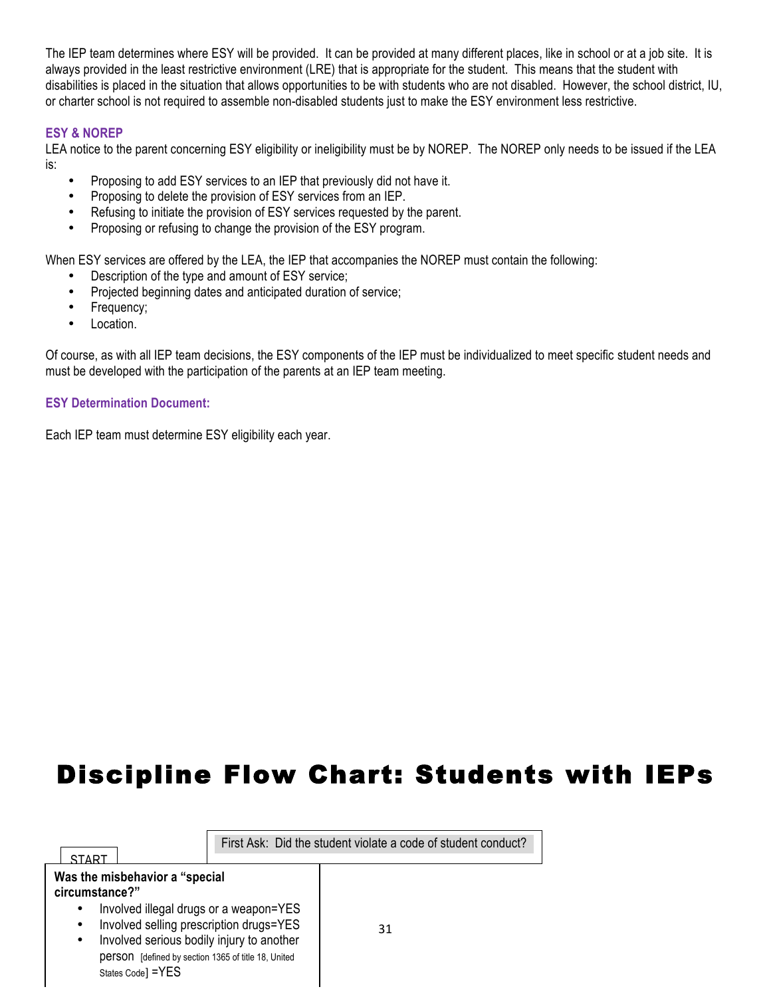The IEP team determines where ESY will be provided. It can be provided at many different places, like in school or at a job site. It is always provided in the least restrictive environment (LRE) that is appropriate for the student. This means that the student with disabilities is placed in the situation that allows opportunities to be with students who are not disabled. However, the school district, IU, or charter school is not required to assemble non-disabled students just to make the ESY environment less restrictive.

#### **ESY & NOREP**

LEA notice to the parent concerning ESY eligibility or ineligibility must be by NOREP. The NOREP only needs to be issued if the LEA is:

- Proposing to add ESY services to an IEP that previously did not have it.
- Proposing to delete the provision of ESY services from an IEP.
- Refusing to initiate the provision of ESY services requested by the parent.
- Proposing or refusing to change the provision of the ESY program.

When ESY services are offered by the LEA, the IEP that accompanies the NOREP must contain the following:

- Description of the type and amount of ESY service;
- Projected beginning dates and anticipated duration of service;
- Frequency;
- Location.

Of course, as with all IEP team decisions, the ESY components of the IEP must be individualized to meet specific student needs and must be developed with the participation of the parents at an IEP team meeting.

#### **ESY Determination Document:**

Each IEP team must determine ESY eligibility each year.

### Discipline Flow Chart: Students with IEPs

| ST∆RT                                                                                                                                                                                                                                                                                           | First Ask: Did the student violate a code of student conduct? |
|-------------------------------------------------------------------------------------------------------------------------------------------------------------------------------------------------------------------------------------------------------------------------------------------------|---------------------------------------------------------------|
| Was the misbehavior a "special<br>circumstance?"<br>Involved illegal drugs or a weapon=YES<br>Involved selling prescription drugs=YES<br>$\bullet$<br>Involved serious bodily injury to another<br>$\bullet$<br><b>DETSON</b> [defined by section 1365 of title 18, United<br>States Code] =YES | 31                                                            |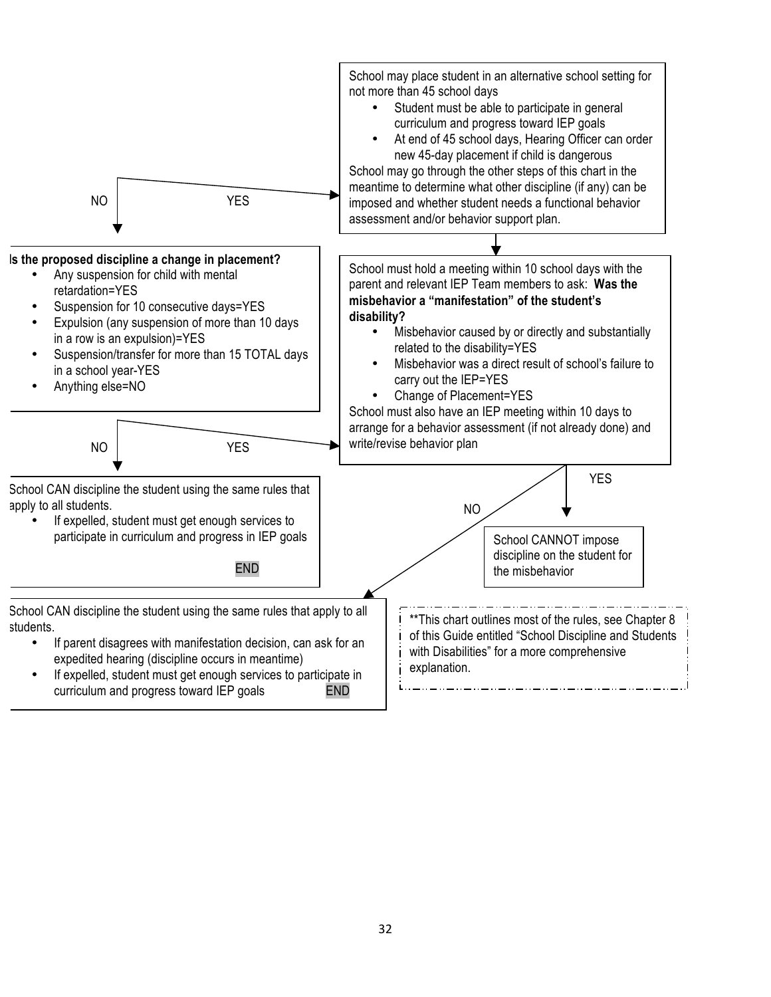![](_page_31_Figure_0.jpeg)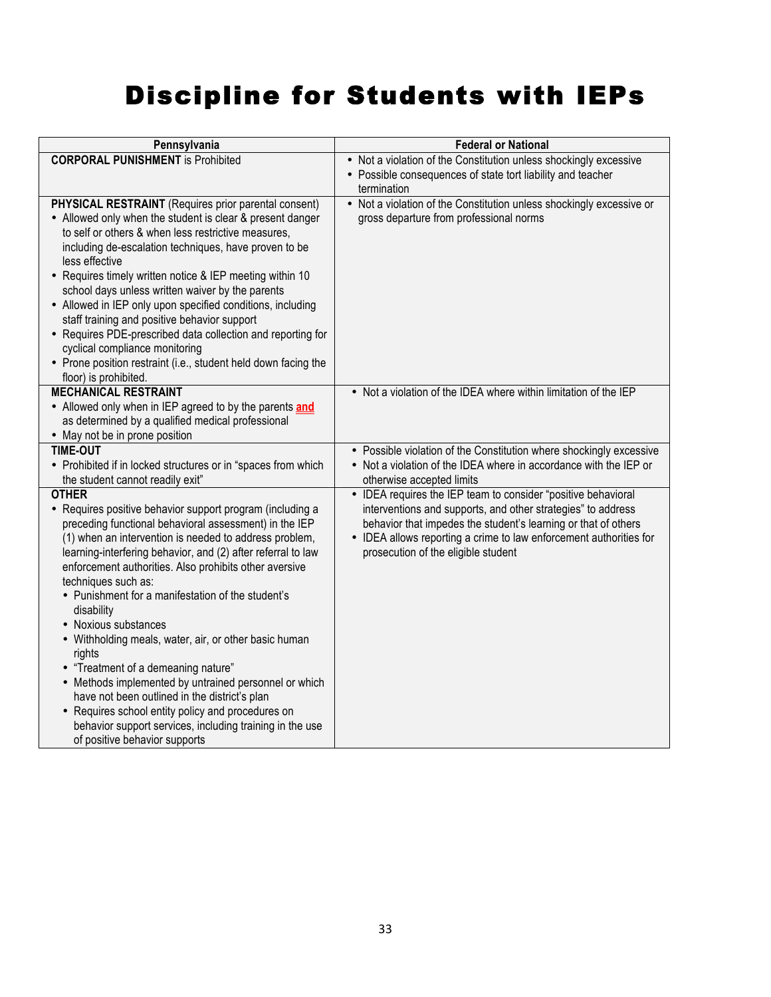## Discipline for Students with IEPs

| Pennsylvania                                                                                                                                                                                                                                                                                                                                                                                                                                                                                                                                                                                                                                                                                                                                                                                                    | <b>Federal or National</b>                                                                                                                                                                                                                                                                                   |  |  |
|-----------------------------------------------------------------------------------------------------------------------------------------------------------------------------------------------------------------------------------------------------------------------------------------------------------------------------------------------------------------------------------------------------------------------------------------------------------------------------------------------------------------------------------------------------------------------------------------------------------------------------------------------------------------------------------------------------------------------------------------------------------------------------------------------------------------|--------------------------------------------------------------------------------------------------------------------------------------------------------------------------------------------------------------------------------------------------------------------------------------------------------------|--|--|
| <b>CORPORAL PUNISHMENT</b> is Prohibited                                                                                                                                                                                                                                                                                                                                                                                                                                                                                                                                                                                                                                                                                                                                                                        | • Not a violation of the Constitution unless shockingly excessive                                                                                                                                                                                                                                            |  |  |
|                                                                                                                                                                                                                                                                                                                                                                                                                                                                                                                                                                                                                                                                                                                                                                                                                 | • Possible consequences of state tort liability and teacher<br>termination                                                                                                                                                                                                                                   |  |  |
| PHYSICAL RESTRAINT (Requires prior parental consent)<br>• Allowed only when the student is clear & present danger<br>to self or others & when less restrictive measures,<br>including de-escalation techniques, have proven to be<br>less effective<br>• Requires timely written notice & IEP meeting within 10<br>school days unless written waiver by the parents<br>• Allowed in IEP only upon specified conditions, including<br>staff training and positive behavior support<br>• Requires PDE-prescribed data collection and reporting for<br>cyclical compliance monitoring<br>• Prone position restraint (i.e., student held down facing the<br>floor) is prohibited.                                                                                                                                   | • Not a violation of the Constitution unless shockingly excessive or<br>gross departure from professional norms                                                                                                                                                                                              |  |  |
| <b>MECHANICAL RESTRAINT</b><br>• Allowed only when in IEP agreed to by the parents and<br>as determined by a qualified medical professional                                                                                                                                                                                                                                                                                                                                                                                                                                                                                                                                                                                                                                                                     | • Not a violation of the IDEA where within limitation of the IEP                                                                                                                                                                                                                                             |  |  |
| • May not be in prone position                                                                                                                                                                                                                                                                                                                                                                                                                                                                                                                                                                                                                                                                                                                                                                                  |                                                                                                                                                                                                                                                                                                              |  |  |
| <b>TIME-OUT</b>                                                                                                                                                                                                                                                                                                                                                                                                                                                                                                                                                                                                                                                                                                                                                                                                 | • Possible violation of the Constitution where shockingly excessive                                                                                                                                                                                                                                          |  |  |
| • Prohibited if in locked structures or in "spaces from which                                                                                                                                                                                                                                                                                                                                                                                                                                                                                                                                                                                                                                                                                                                                                   | • Not a violation of the IDEA where in accordance with the IEP or                                                                                                                                                                                                                                            |  |  |
| the student cannot readily exit"                                                                                                                                                                                                                                                                                                                                                                                                                                                                                                                                                                                                                                                                                                                                                                                | otherwise accepted limits                                                                                                                                                                                                                                                                                    |  |  |
| <b>OTHER</b><br>• Requires positive behavior support program (including a<br>preceding functional behavioral assessment) in the IEP<br>(1) when an intervention is needed to address problem,<br>learning-interfering behavior, and (2) after referral to law<br>enforcement authorities. Also prohibits other aversive<br>techniques such as:<br>• Punishment for a manifestation of the student's<br>disability<br>• Noxious substances<br>• Withholding meals, water, air, or other basic human<br>rights<br>• "Treatment of a demeaning nature"<br>• Methods implemented by untrained personnel or which<br>have not been outlined in the district's plan<br>• Requires school entity policy and procedures on<br>behavior support services, including training in the use<br>of positive behavior supports | • IDEA requires the IEP team to consider "positive behavioral<br>interventions and supports, and other strategies" to address<br>behavior that impedes the student's learning or that of others<br>• IDEA allows reporting a crime to law enforcement authorities for<br>prosecution of the eligible student |  |  |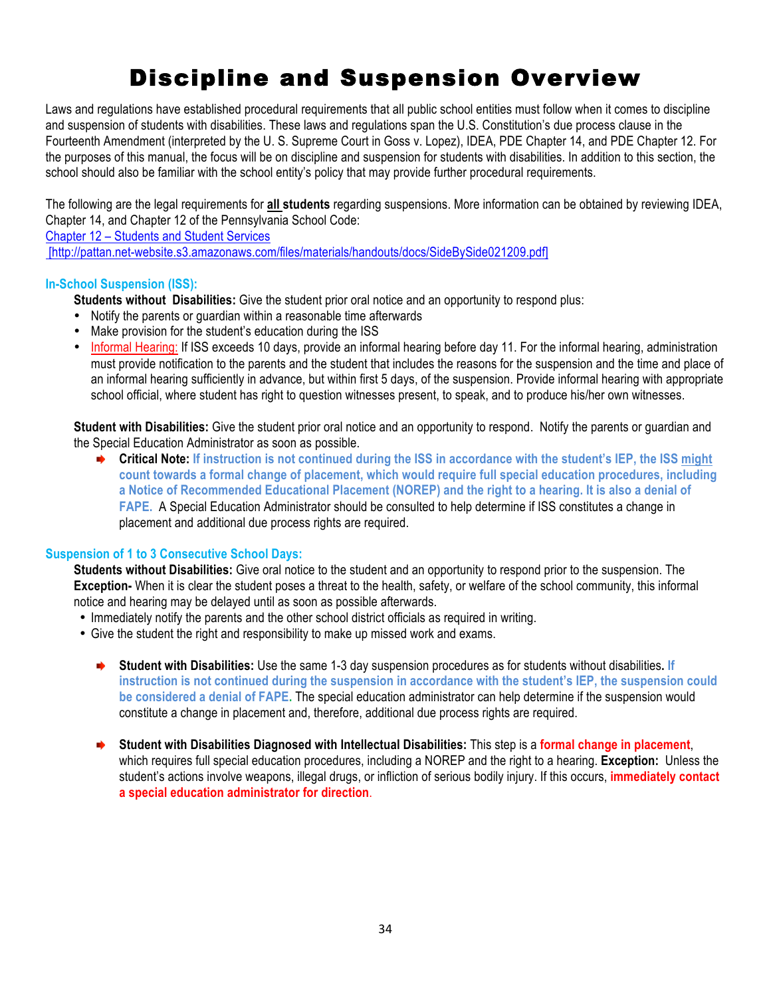### Discipline and Suspension Overview

Laws and regulations have established procedural requirements that all public school entities must follow when it comes to discipline and suspension of students with disabilities. These laws and regulations span the U.S. Constitution's due process clause in the Fourteenth Amendment (interpreted by the U. S. Supreme Court in Goss v. Lopez), IDEA, PDE Chapter 14, and PDE Chapter 12. For the purposes of this manual, the focus will be on discipline and suspension for students with disabilities. In addition to this section, the school should also be familiar with the school entity's policy that may provide further procedural requirements.

The following are the legal requirements for **all students** regarding suspensions. More information can be obtained by reviewing IDEA, Chapter 14, and Chapter 12 of the Pennsylvania School Code:

Chapter 12 – Students and Student Services

[http://pattan.net-website.s3.amazonaws.com/files/materials/handouts/docs/SideBySide021209.pdf]

#### **In-School Suspension (ISS):**

**Students without Disabilities:** Give the student prior oral notice and an opportunity to respond plus:

- Notify the parents or guardian within a reasonable time afterwards
- Make provision for the student's education during the ISS
- Informal Hearing: If ISS exceeds 10 days, provide an informal hearing before day 11. For the informal hearing, administration must provide notification to the parents and the student that includes the reasons for the suspension and the time and place of an informal hearing sufficiently in advance, but within first 5 days, of the suspension. Provide informal hearing with appropriate school official, where student has right to question witnesses present, to speak, and to produce his/her own witnesses.

**Student with Disabilities:** Give the student prior oral notice and an opportunity to respond. Notify the parents or guardian and the Special Education Administrator as soon as possible.

**Critical Note: If instruction is not continued during the ISS in accordance with the student's IEP, the ISS might count towards a formal change of placement, which would require full special education procedures, including a Notice of Recommended Educational Placement (NOREP) and the right to a hearing. It is also a denial of FAPE.** A Special Education Administrator should be consulted to help determine if ISS constitutes a change in placement and additional due process rights are required.

#### **Suspension of 1 to 3 Consecutive School Days:**

**Students without Disabilities:** Give oral notice to the student and an opportunity to respond prior to the suspension. The **Exception-** When it is clear the student poses a threat to the health, safety, or welfare of the school community, this informal notice and hearing may be delayed until as soon as possible afterwards.

- Immediately notify the parents and the other school district officials as required in writing.
- Give the student the right and responsibility to make up missed work and exams.
	- **Student with Disabilities:** Use the same 1-3 day suspension procedures as for students without disabilities**. If**   $\blacktriangleright$ **instruction is not continued during the suspension in accordance with the student's IEP, the suspension could be considered a denial of FAPE.** The special education administrator can help determine if the suspension would constitute a change in placement and, therefore, additional due process rights are required.
	- **Student with Disabilities Diagnosed with Intellectual Disabilities:** This step is a **formal change in placement**, which requires full special education procedures, including a NOREP and the right to a hearing. **Exception:** Unless the student's actions involve weapons, illegal drugs, or infliction of serious bodily injury. If this occurs, **immediately contact a special education administrator for direction**.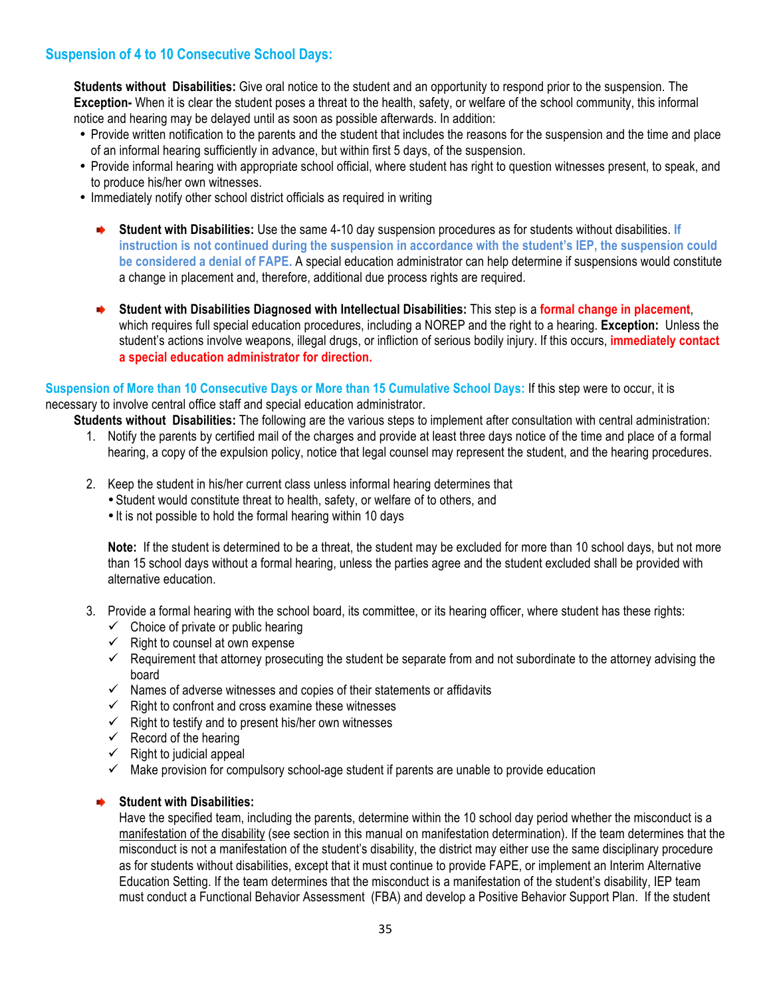#### **Suspension of 4 to 10 Consecutive School Days:**

**Students without Disabilities:** Give oral notice to the student and an opportunity to respond prior to the suspension. The **Exception-** When it is clear the student poses a threat to the health, safety, or welfare of the school community, this informal notice and hearing may be delayed until as soon as possible afterwards. In addition:

- Provide written notification to the parents and the student that includes the reasons for the suspension and the time and place of an informal hearing sufficiently in advance, but within first 5 days, of the suspension.
- Provide informal hearing with appropriate school official, where student has right to question witnesses present, to speak, and to produce his/her own witnesses.
- Immediately notify other school district officials as required in writing
	- **Student with Disabilities:** Use the same 4-10 day suspension procedures as for students without disabilities. **If instruction is not continued during the suspension in accordance with the student's IEP, the suspension could be considered a denial of FAPE.** A special education administrator can help determine if suspensions would constitute a change in placement and, therefore, additional due process rights are required.
	- **Student with Disabilities Diagnosed with Intellectual Disabilities:** This step is a **formal change in placement**, which requires full special education procedures, including a NOREP and the right to a hearing. **Exception:** Unless the student's actions involve weapons, illegal drugs, or infliction of serious bodily injury. If this occurs, **immediately contact a special education administrator for direction.**

#### **Suspension of More than 10 Consecutive Days or More than 15 Cumulative School Days:** If this step were to occur, it is necessary to involve central office staff and special education administrator.

**Students without Disabilities:** The following are the various steps to implement after consultation with central administration:

- 1. Notify the parents by certified mail of the charges and provide at least three days notice of the time and place of a formal hearing, a copy of the expulsion policy, notice that legal counsel may represent the student, and the hearing procedures.
- 2. Keep the student in his/her current class unless informal hearing determines that
	- •Student would constitute threat to health, safety, or welfare of to others, and
	- It is not possible to hold the formal hearing within 10 days

**Note:** If the student is determined to be a threat, the student may be excluded for more than 10 school days, but not more than 15 school days without a formal hearing, unless the parties agree and the student excluded shall be provided with alternative education.

- 3. Provide a formal hearing with the school board, its committee, or its hearing officer, where student has these rights:
	- $\checkmark$  Choice of private or public hearing
	- $\checkmark$  Right to counsel at own expense
	- $\checkmark$  Requirement that attorney prosecuting the student be separate from and not subordinate to the attorney advising the board
	- $\checkmark$  Names of adverse witnesses and copies of their statements or affidavits
	- $\checkmark$  Right to confront and cross examine these witnesses
	- $\checkmark$  Right to testify and to present his/her own witnesses
	- $\checkmark$  Record of the hearing
	- $\checkmark$  Right to judicial appeal
	- $\checkmark$  Make provision for compulsory school-age student if parents are unable to provide education

#### **Student with Disabilities:**

Have the specified team, including the parents, determine within the 10 school day period whether the misconduct is a manifestation of the disability (see section in this manual on manifestation determination). If the team determines that the misconduct is not a manifestation of the student's disability, the district may either use the same disciplinary procedure as for students without disabilities, except that it must continue to provide FAPE, or implement an Interim Alternative Education Setting. If the team determines that the misconduct is a manifestation of the student's disability, IEP team must conduct a Functional Behavior Assessment (FBA) and develop a Positive Behavior Support Plan. If the student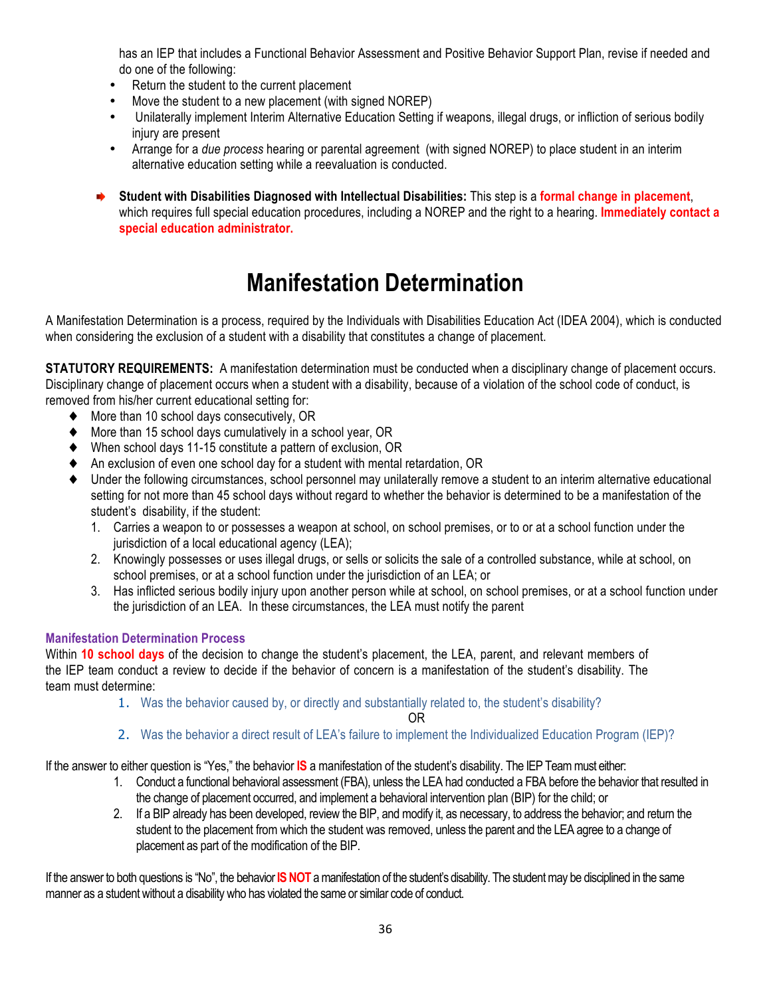has an IEP that includes a Functional Behavior Assessment and Positive Behavior Support Plan, revise if needed and do one of the following:

- Return the student to the current placement
- Move the student to a new placement (with signed NOREP)
- Unilaterally implement Interim Alternative Education Setting if weapons, illegal drugs, or infliction of serious bodily injury are present
- Arrange for a *due process* hearing or parental agreement (with signed NOREP) to place student in an interim alternative education setting while a reevaluation is conducted.
- ⋫ **Student with Disabilities Diagnosed with Intellectual Disabilities:** This step is a **formal change in placement**, which requires full special education procedures, including a NOREP and the right to a hearing. **Immediately contact a special education administrator.**

### **Manifestation Determination**

A Manifestation Determination is a process, required by the Individuals with Disabilities Education Act (IDEA 2004), which is conducted when considering the exclusion of a student with a disability that constitutes a change of placement.

**STATUTORY REQUIREMENTS:** A manifestation determination must be conducted when a disciplinary change of placement occurs. Disciplinary change of placement occurs when a student with a disability, because of a violation of the school code of conduct, is removed from his/her current educational setting for:

- ♦ More than 10 school days consecutively, OR
- More than 15 school days cumulatively in a school year, OR
- ♦ When school days 11-15 constitute a pattern of exclusion, OR
- ♦ An exclusion of even one school day for a student with mental retardation, OR
- Under the following circumstances, school personnel may unilaterally remove a student to an interim alternative educational setting for not more than 45 school days without regard to whether the behavior is determined to be a manifestation of the student's disability, if the student:
	- 1. Carries a weapon to or possesses a weapon at school, on school premises, or to or at a school function under the jurisdiction of a local educational agency (LEA);
	- 2. Knowingly possesses or uses illegal drugs, or sells or solicits the sale of a controlled substance, while at school, on school premises, or at a school function under the jurisdiction of an LEA; or
	- 3. Has inflicted serious bodily injury upon another person while at school, on school premises, or at a school function under the jurisdiction of an LEA. In these circumstances, the LEA must notify the parent

#### **Manifestation Determination Process**

Within **10 school days** of the decision to change the student's placement, the LEA, parent, and relevant members of the IEP team conduct a review to decide if the behavior of concern is a manifestation of the student's disability. The team must determine:

1. Was the behavior caused by, or directly and substantially related to, the student's disability?

OR

2. Was the behavior a direct result of LEA's failure to implement the Individualized Education Program (IEP)?

If the answer to either question is "Yes," the behavior **IS** a manifestation of the student's disability. The IEP Team must either:

- 1. Conduct a functional behavioral assessment (FBA), unless the LEA had conducted a FBA before the behavior that resulted in the change of placement occurred, and implement a behavioral intervention plan (BIP) for the child; or
- 2. If a BIP already has been developed, review the BIP, and modify it, as necessary, to address the behavior; and return the student to the placement from which the student was removed, unless the parent and the LEA agree to a change of placement as part of the modification of the BIP.

If the answer to both questions is "No", the behavior **IS NOT** a manifestation of the student's disability. The student may be disciplined in the same manner as a student without a disability who has violated the same or similar code of conduct.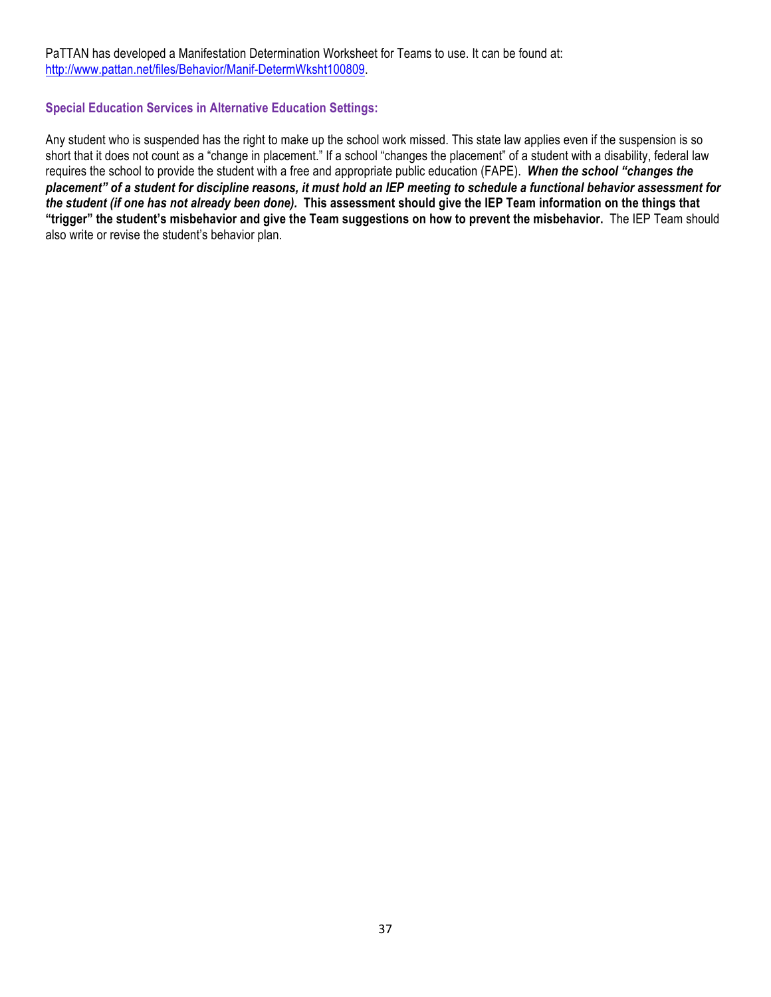PaTTAN has developed a Manifestation Determination Worksheet for Teams to use. It can be found at: http://www.pattan.net/files/Behavior/Manif-DetermWksht100809.

#### **Special Education Services in Alternative Education Settings:**

Any student who is suspended has the right to make up the school work missed. This state law applies even if the suspension is so short that it does not count as a "change in placement." If a school "changes the placement" of a student with a disability, federal law requires the school to provide the student with a free and appropriate public education (FAPE). *When the school "changes the placement" of a student for discipline reasons, it must hold an IEP meeting to schedule a functional behavior assessment for the student (if one has not already been done).* **This assessment should give the IEP Team information on the things that "trigger" the student's misbehavior and give the Team suggestions on how to prevent the misbehavior.** The IEP Team should also write or revise the student's behavior plan.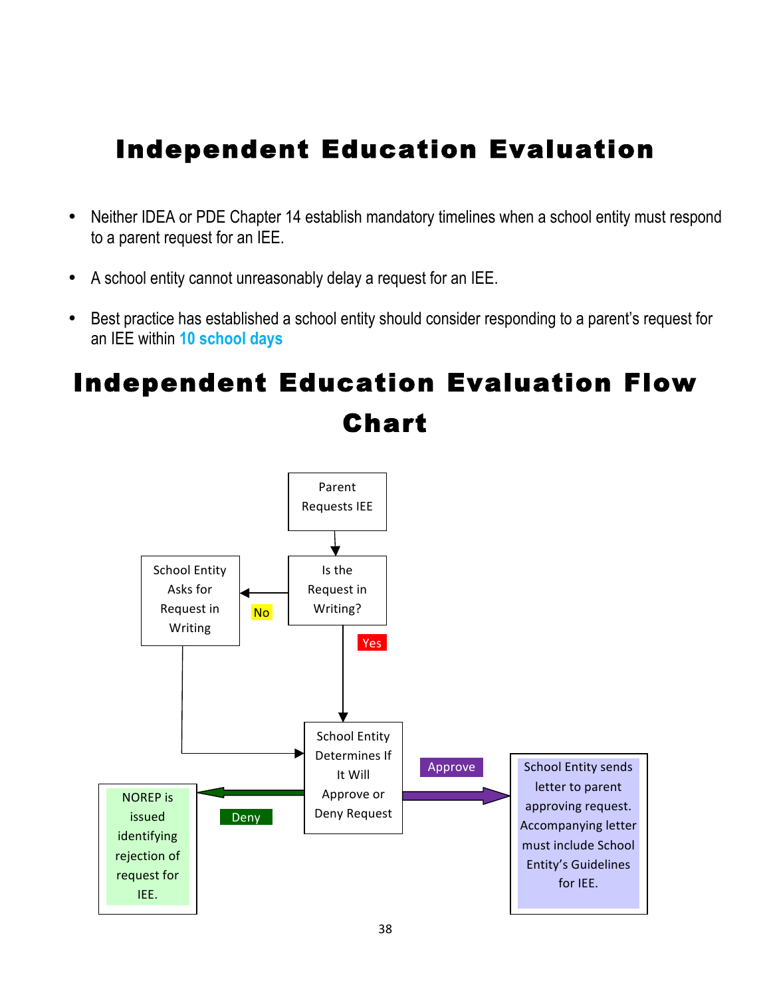### Independent Education Evaluation

- Neither IDEA or PDE Chapter 14 establish mandatory timelines when a school entity must respond to a parent request for an IEE.
- A school entity cannot unreasonably delay a request for an IEE.
- Best practice has established a school entity should consider responding to a parent's request for an IEE within **10 school days**

## Independent Education Evaluation Flow Chart

![](_page_37_Figure_5.jpeg)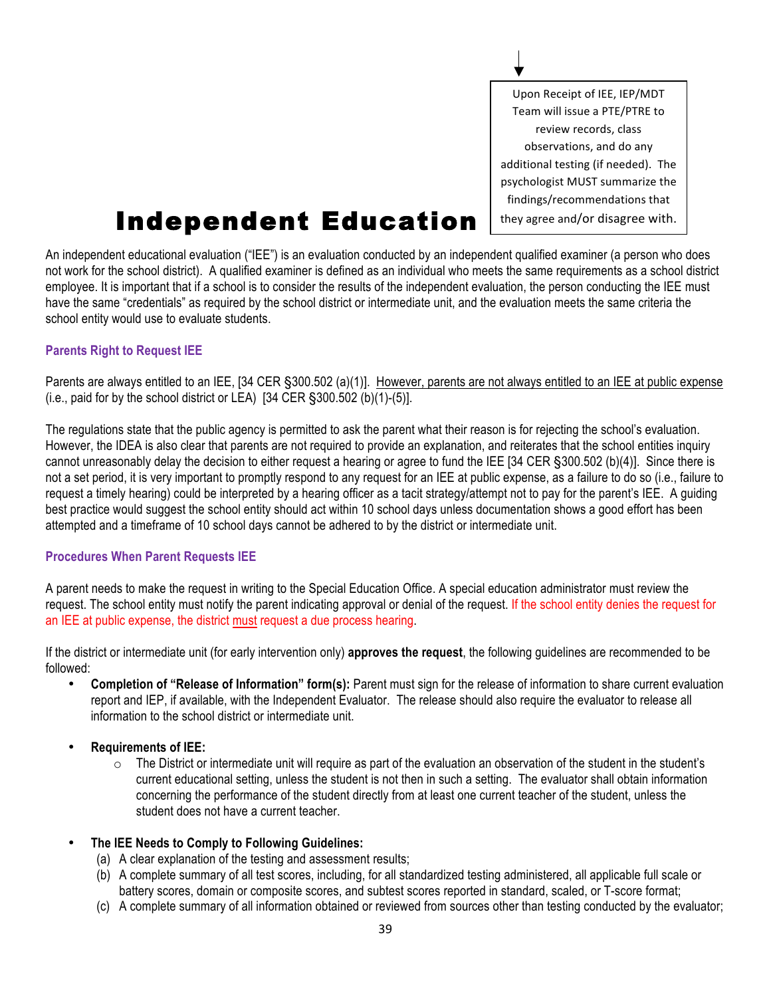Upon Receipt of IEE, IEP/MDT Team will issue a PTE/PTRE to review records, class observations, and do any additional testing (if needed). The psychologist MUST summarize the findings/recommendations that they agree and/or disagree with.

### **Independent Education**

An independent educational evaluation ("IEE") is an evaluation conducted by an independent qualified examiner (a person who does not work for the school district). A qualified examiner is defined as an individual who meets the same requirements as a school district employee. It is important that if a school is to consider the results of the independent evaluation, the person conducting the IEE must have the same "credentials" as required by the school district or intermediate unit, and the evaluation meets the same criteria the school entity would use to evaluate students.

#### **Parents Right to Request IEE**

Parents are always entitled to an IEE, [34 CER §300.502 (a)(1)]. However, parents are not always entitled to an IEE at public expense (i.e., paid for by the school district or LEA)  $[34 \text{ CER } \S 300.502 \text{ (b)}(1)$ - $(5)$ ].

The regulations state that the public agency is permitted to ask the parent what their reason is for rejecting the school's evaluation. However, the IDEA is also clear that parents are not required to provide an explanation, and reiterates that the school entities inquiry cannot unreasonably delay the decision to either request a hearing or agree to fund the IEE [34 CER §300.502 (b)(4)]. Since there is not a set period, it is very important to promptly respond to any request for an IEE at public expense, as a failure to do so (i.e., failure to request a timely hearing) could be interpreted by a hearing officer as a tacit strategy/attempt not to pay for the parent's IEE. A guiding best practice would suggest the school entity should act within 10 school days unless documentation shows a good effort has been attempted and a timeframe of 10 school days cannot be adhered to by the district or intermediate unit.

#### **Procedures When Parent Requests IEE**

A parent needs to make the request in writing to the Special Education Office. A special education administrator must review the request. The school entity must notify the parent indicating approval or denial of the request. If the school entity denies the request for an IEE at public expense, the district must request a due process hearing.

If the district or intermediate unit (for early intervention only) **approves the request**, the following guidelines are recommended to be followed:

• **Completion of "Release of Information" form(s):** Parent must sign for the release of information to share current evaluation report and IEP, if available, with the Independent Evaluator. The release should also require the evaluator to release all information to the school district or intermediate unit.

#### • **Requirements of IEE:**

- $\circ$  The District or intermediate unit will require as part of the evaluation an observation of the student in the student's current educational setting, unless the student is not then in such a setting. The evaluator shall obtain information concerning the performance of the student directly from at least one current teacher of the student, unless the student does not have a current teacher.
- **The IEE Needs to Comply to Following Guidelines:**
	- (a) A clear explanation of the testing and assessment results;
	- (b) A complete summary of all test scores, including, for all standardized testing administered, all applicable full scale or battery scores, domain or composite scores, and subtest scores reported in standard, scaled, or T-score format;
	- (c) A complete summary of all information obtained or reviewed from sources other than testing conducted by the evaluator;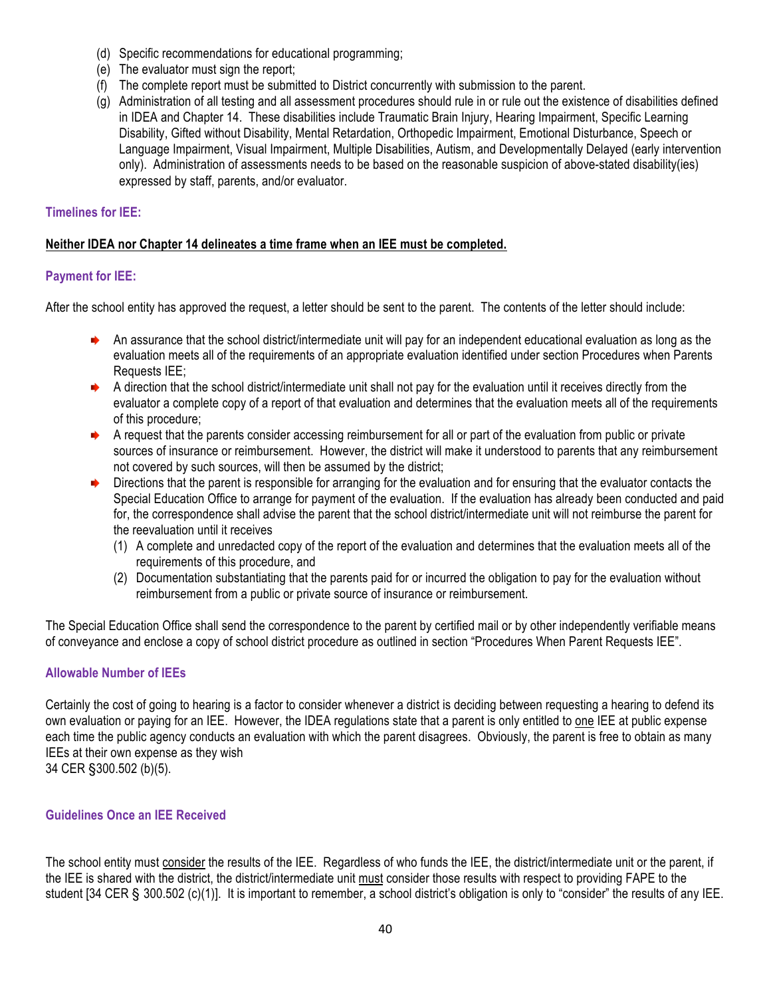- (d) Specific recommendations for educational programming;
- (e) The evaluator must sign the report;
- (f) The complete report must be submitted to District concurrently with submission to the parent.
- (g) Administration of all testing and all assessment procedures should rule in or rule out the existence of disabilities defined in IDEA and Chapter 14. These disabilities include Traumatic Brain Injury, Hearing Impairment, Specific Learning Disability, Gifted without Disability, Mental Retardation, Orthopedic Impairment, Emotional Disturbance, Speech or Language Impairment, Visual Impairment, Multiple Disabilities, Autism, and Developmentally Delayed (early intervention only). Administration of assessments needs to be based on the reasonable suspicion of above-stated disability(ies) expressed by staff, parents, and/or evaluator.

#### **Timelines for IEE:**

#### **Neither IDEA nor Chapter 14 delineates a time frame when an IEE must be completed.**

#### **Payment for IEE:**

After the school entity has approved the request, a letter should be sent to the parent. The contents of the letter should include:

- An assurance that the school district/intermediate unit will pay for an independent educational evaluation as long as the evaluation meets all of the requirements of an appropriate evaluation identified under section Procedures when Parents Requests IEE;
- A direction that the school district/intermediate unit shall not pay for the evaluation until it receives directly from the evaluator a complete copy of a report of that evaluation and determines that the evaluation meets all of the requirements of this procedure;
- A request that the parents consider accessing reimbursement for all or part of the evaluation from public or private sources of insurance or reimbursement. However, the district will make it understood to parents that any reimbursement not covered by such sources, will then be assumed by the district;
- $\rightarrow$  Directions that the parent is responsible for arranging for the evaluation and for ensuring that the evaluator contacts the Special Education Office to arrange for payment of the evaluation. If the evaluation has already been conducted and paid for, the correspondence shall advise the parent that the school district/intermediate unit will not reimburse the parent for the reevaluation until it receives
	- (1) A complete and unredacted copy of the report of the evaluation and determines that the evaluation meets all of the requirements of this procedure, and
	- (2) Documentation substantiating that the parents paid for or incurred the obligation to pay for the evaluation without reimbursement from a public or private source of insurance or reimbursement.

The Special Education Office shall send the correspondence to the parent by certified mail or by other independently verifiable means of conveyance and enclose a copy of school district procedure as outlined in section "Procedures When Parent Requests IEE".

#### **Allowable Number of IEEs**

Certainly the cost of going to hearing is a factor to consider whenever a district is deciding between requesting a hearing to defend its own evaluation or paying for an IEE. However, the IDEA regulations state that a parent is only entitled to one IEE at public expense each time the public agency conducts an evaluation with which the parent disagrees. Obviously, the parent is free to obtain as many IEEs at their own expense as they wish 34 CER §300.502 (b)(5).

#### **Guidelines Once an IEE Received**

The school entity must consider the results of the IEE. Regardless of who funds the IEE, the district/intermediate unit or the parent, if the IEE is shared with the district, the district/intermediate unit must consider those results with respect to providing FAPE to the student [34 CER § 300.502 (c)(1)]. It is important to remember, a school district's obligation is only to "consider" the results of any IEE.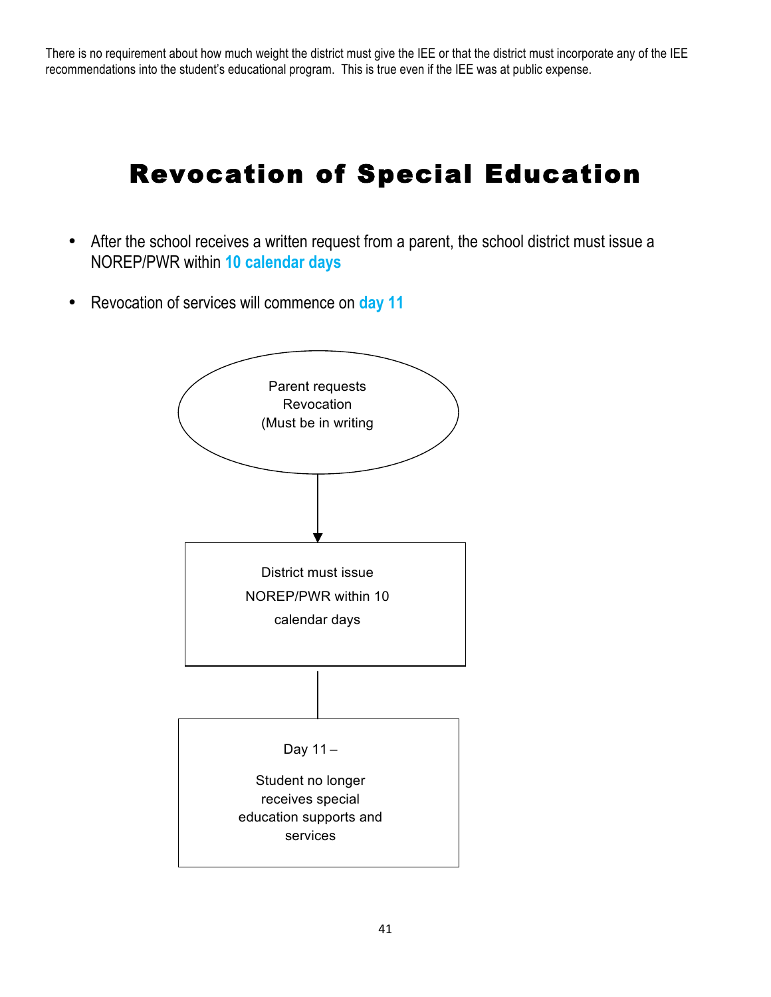There is no requirement about how much weight the district must give the IEE or that the district must incorporate any of the IEE recommendations into the student's educational program. This is true even if the IEE was at public expense.

### Revocation of Special Education

- After the school receives a written request from a parent, the school district must issue a NOREP/PWR within **10 calendar days**
- Revocation of services will commence on **day 11**

![](_page_40_Figure_4.jpeg)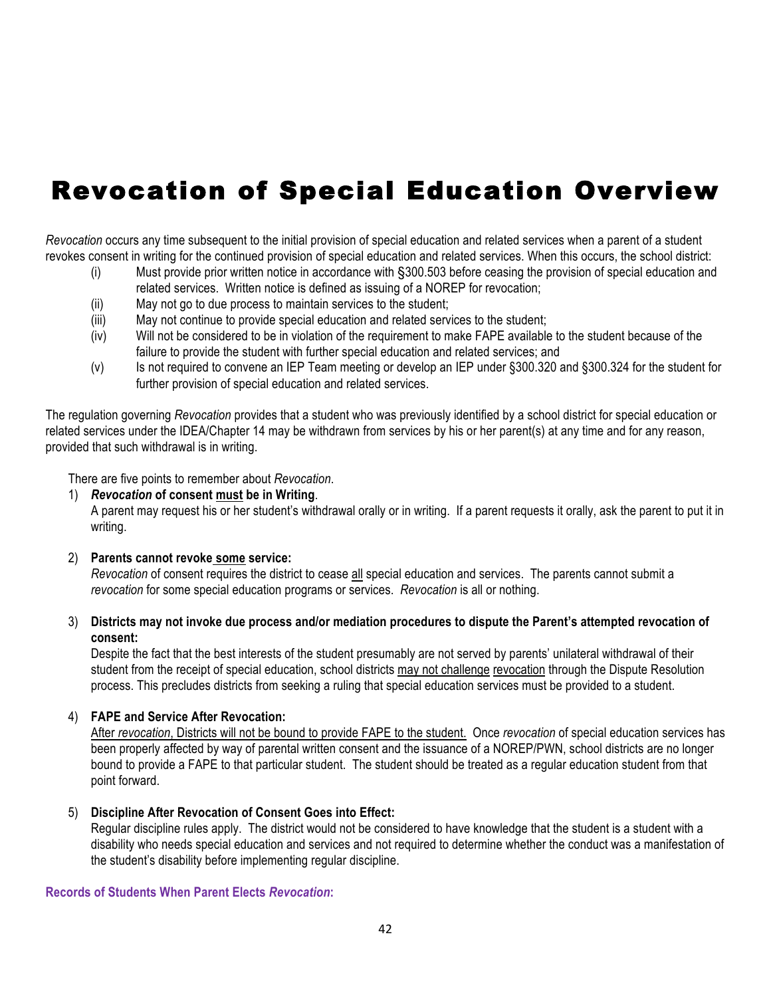### Revocation of Special Education Overview

*Revocation* occurs any time subsequent to the initial provision of special education and related services when a parent of a student revokes consent in writing for the continued provision of special education and related services. When this occurs, the school district:

- (i) Must provide prior written notice in accordance with §300.503 before ceasing the provision of special education and related services. Written notice is defined as issuing of a NOREP for revocation;
- (ii) May not go to due process to maintain services to the student;
- (iii) May not continue to provide special education and related services to the student;
- (iv) Will not be considered to be in violation of the requirement to make FAPE available to the student because of the failure to provide the student with further special education and related services; and
- (v) Is not required to convene an IEP Team meeting or develop an IEP under §300.320 and §300.324 for the student for further provision of special education and related services.

The regulation governing *Revocation* provides that a student who was previously identified by a school district for special education or related services under the IDEA/Chapter 14 may be withdrawn from services by his or her parent(s) at any time and for any reason, provided that such withdrawal is in writing.

There are five points to remember about *Revocation*.

1) *Revocation* **of consent must be in Writing**.

A parent may request his or her student's withdrawal orally or in writing. If a parent requests it orally, ask the parent to put it in writing.

2) **Parents cannot revoke some service:**

*Revocation* of consent requires the district to cease all special education and services. The parents cannot submit a *revocation* for some special education programs or services. *Revocation* is all or nothing.

3) **Districts may not invoke due process and/or mediation procedures to dispute the Parent's attempted revocation of consent:**

Despite the fact that the best interests of the student presumably are not served by parents' unilateral withdrawal of their student from the receipt of special education, school districts may not challenge revocation through the Dispute Resolution process. This precludes districts from seeking a ruling that special education services must be provided to a student.

#### 4) **FAPE and Service After Revocation:**

After *revocation*, Districts will not be bound to provide FAPE to the student. Once *revocation* of special education services has been properly affected by way of parental written consent and the issuance of a NOREP/PWN, school districts are no longer bound to provide a FAPE to that particular student. The student should be treated as a regular education student from that point forward.

#### 5) **Discipline After Revocation of Consent Goes into Effect:**

Regular discipline rules apply. The district would not be considered to have knowledge that the student is a student with a disability who needs special education and services and not required to determine whether the conduct was a manifestation of the student's disability before implementing regular discipline.

#### **Records of Students When Parent Elects** *Revocation***:**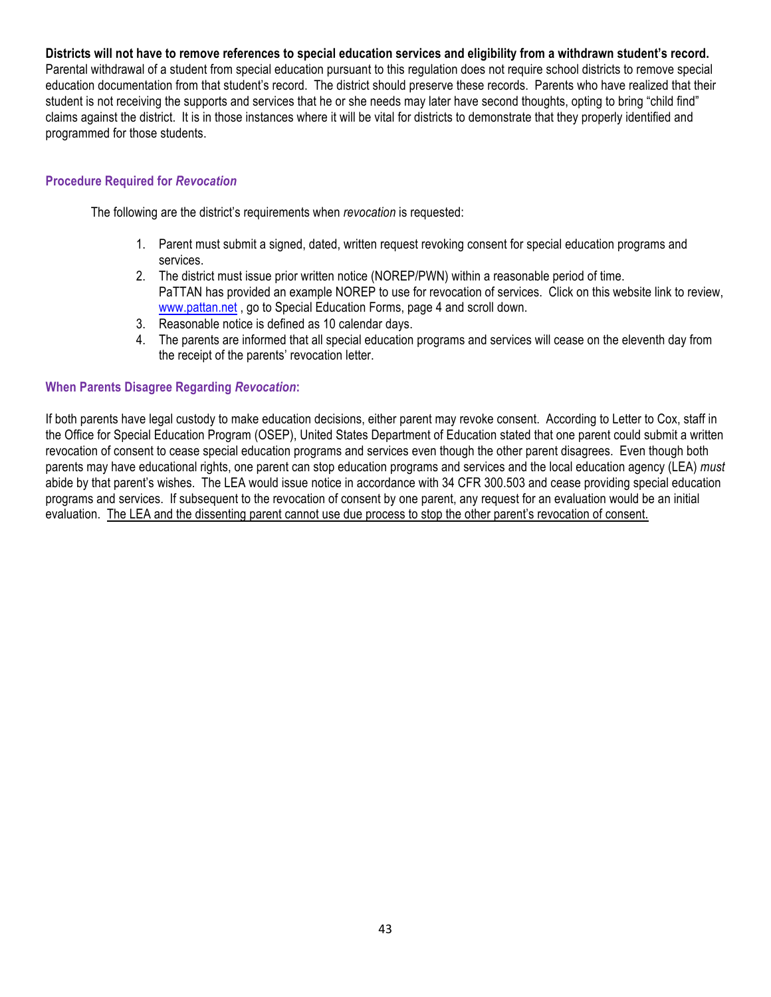#### **Districts will not have to remove references to special education services and eligibility from a withdrawn student's record.**

Parental withdrawal of a student from special education pursuant to this regulation does not require school districts to remove special education documentation from that student's record. The district should preserve these records. Parents who have realized that their student is not receiving the supports and services that he or she needs may later have second thoughts, opting to bring "child find" claims against the district. It is in those instances where it will be vital for districts to demonstrate that they properly identified and programmed for those students.

#### **Procedure Required for** *Revocation*

The following are the district's requirements when *revocation* is requested:

- 1. Parent must submit a signed, dated, written request revoking consent for special education programs and services.
- 2. The district must issue prior written notice (NOREP/PWN) within a reasonable period of time. PaTTAN has provided an example NOREP to use for revocation of services. Click on this website link to review, www.pattan.net , go to Special Education Forms, page 4 and scroll down.
- 3. Reasonable notice is defined as 10 calendar days.
- 4. The parents are informed that all special education programs and services will cease on the eleventh day from the receipt of the parents' revocation letter.

#### **When Parents Disagree Regarding** *Revocation***:**

If both parents have legal custody to make education decisions, either parent may revoke consent. According to Letter to Cox, staff in the Office for Special Education Program (OSEP), United States Department of Education stated that one parent could submit a written revocation of consent to cease special education programs and services even though the other parent disagrees. Even though both parents may have educational rights, one parent can stop education programs and services and the local education agency (LEA) *must* abide by that parent's wishes. The LEA would issue notice in accordance with 34 CFR 300.503 and cease providing special education programs and services. If subsequent to the revocation of consent by one parent, any request for an evaluation would be an initial evaluation. The LEA and the dissenting parent cannot use due process to stop the other parent's revocation of consent.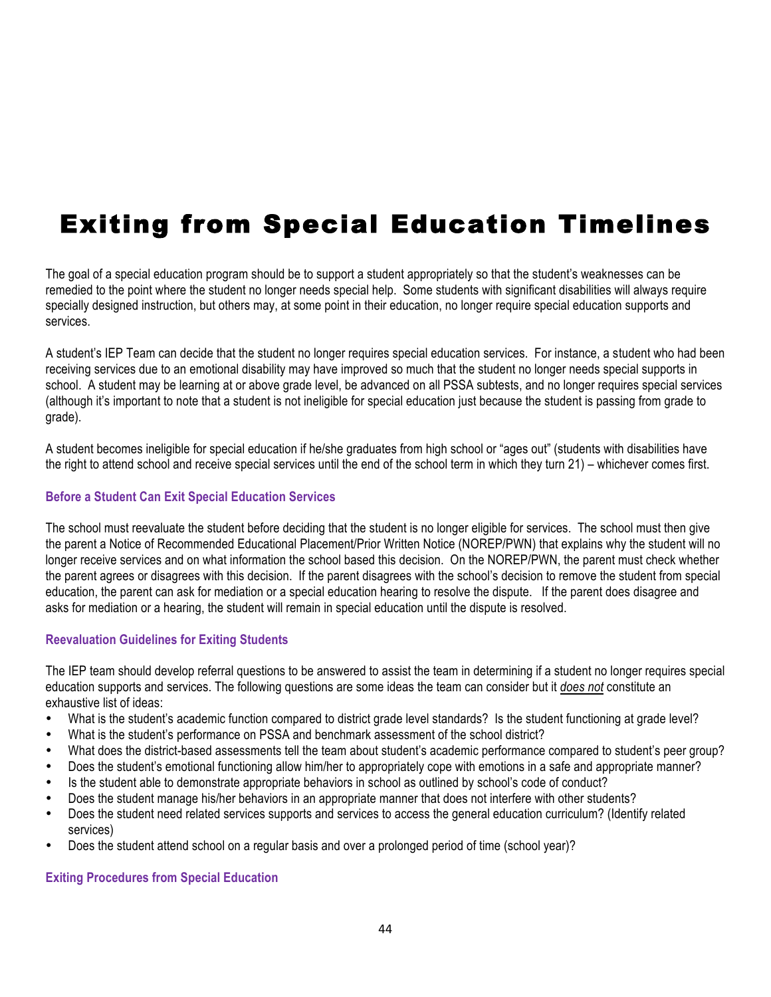### Exiting from Special Education Timelines

The goal of a special education program should be to support a student appropriately so that the student's weaknesses can be remedied to the point where the student no longer needs special help. Some students with significant disabilities will always require specially designed instruction, but others may, at some point in their education, no longer require special education supports and services.

A student's IEP Team can decide that the student no longer requires special education services. For instance, a student who had been receiving services due to an emotional disability may have improved so much that the student no longer needs special supports in school. A student may be learning at or above grade level, be advanced on all PSSA subtests, and no longer requires special services (although it's important to note that a student is not ineligible for special education just because the student is passing from grade to grade).

A student becomes ineligible for special education if he/she graduates from high school or "ages out" (students with disabilities have the right to attend school and receive special services until the end of the school term in which they turn 21) – whichever comes first.

#### **Before a Student Can Exit Special Education Services**

The school must reevaluate the student before deciding that the student is no longer eligible for services. The school must then give the parent a Notice of Recommended Educational Placement/Prior Written Notice (NOREP/PWN) that explains why the student will no longer receive services and on what information the school based this decision. On the NOREP/PWN, the parent must check whether the parent agrees or disagrees with this decision. If the parent disagrees with the school's decision to remove the student from special education, the parent can ask for mediation or a special education hearing to resolve the dispute. If the parent does disagree and asks for mediation or a hearing, the student will remain in special education until the dispute is resolved.

#### **Reevaluation Guidelines for Exiting Students**

The IEP team should develop referral questions to be answered to assist the team in determining if a student no longer requires special education supports and services. The following questions are some ideas the team can consider but it *does not* constitute an exhaustive list of ideas:

- What is the student's academic function compared to district grade level standards? Is the student functioning at grade level?
- What is the student's performance on PSSA and benchmark assessment of the school district?
- What does the district-based assessments tell the team about student's academic performance compared to student's peer group?
- Does the student's emotional functioning allow him/her to appropriately cope with emotions in a safe and appropriate manner?
- Is the student able to demonstrate appropriate behaviors in school as outlined by school's code of conduct?
- Does the student manage his/her behaviors in an appropriate manner that does not interfere with other students?
- Does the student need related services supports and services to access the general education curriculum? (Identify related services)
- Does the student attend school on a regular basis and over a prolonged period of time (school year)?

#### **Exiting Procedures from Special Education**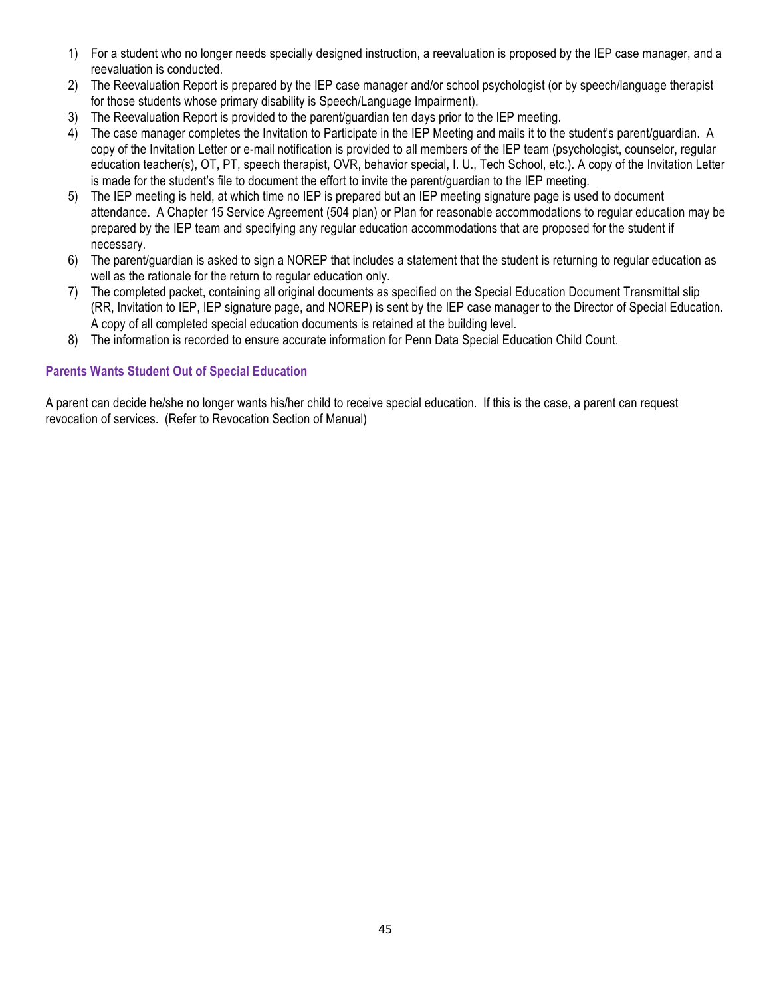- 1) For a student who no longer needs specially designed instruction, a reevaluation is proposed by the IEP case manager, and a reevaluation is conducted.
- 2) The Reevaluation Report is prepared by the IEP case manager and/or school psychologist (or by speech/language therapist for those students whose primary disability is Speech/Language Impairment).
- 3) The Reevaluation Report is provided to the parent/guardian ten days prior to the IEP meeting.
- 4) The case manager completes the Invitation to Participate in the IEP Meeting and mails it to the student's parent/guardian. A copy of the Invitation Letter or e-mail notification is provided to all members of the IEP team (psychologist, counselor, regular education teacher(s), OT, PT, speech therapist, OVR, behavior special, I. U., Tech School, etc.). A copy of the Invitation Letter is made for the student's file to document the effort to invite the parent/guardian to the IEP meeting.
- 5) The IEP meeting is held, at which time no IEP is prepared but an IEP meeting signature page is used to document attendance. A Chapter 15 Service Agreement (504 plan) or Plan for reasonable accommodations to regular education may be prepared by the IEP team and specifying any regular education accommodations that are proposed for the student if necessary.
- 6) The parent/guardian is asked to sign a NOREP that includes a statement that the student is returning to regular education as well as the rationale for the return to regular education only.
- 7) The completed packet, containing all original documents as specified on the Special Education Document Transmittal slip (RR, Invitation to IEP, IEP signature page, and NOREP) is sent by the IEP case manager to the Director of Special Education. A copy of all completed special education documents is retained at the building level.
- 8) The information is recorded to ensure accurate information for Penn Data Special Education Child Count.

#### **Parents Wants Student Out of Special Education**

A parent can decide he/she no longer wants his/her child to receive special education. If this is the case, a parent can request revocation of services. (Refer to Revocation Section of Manual)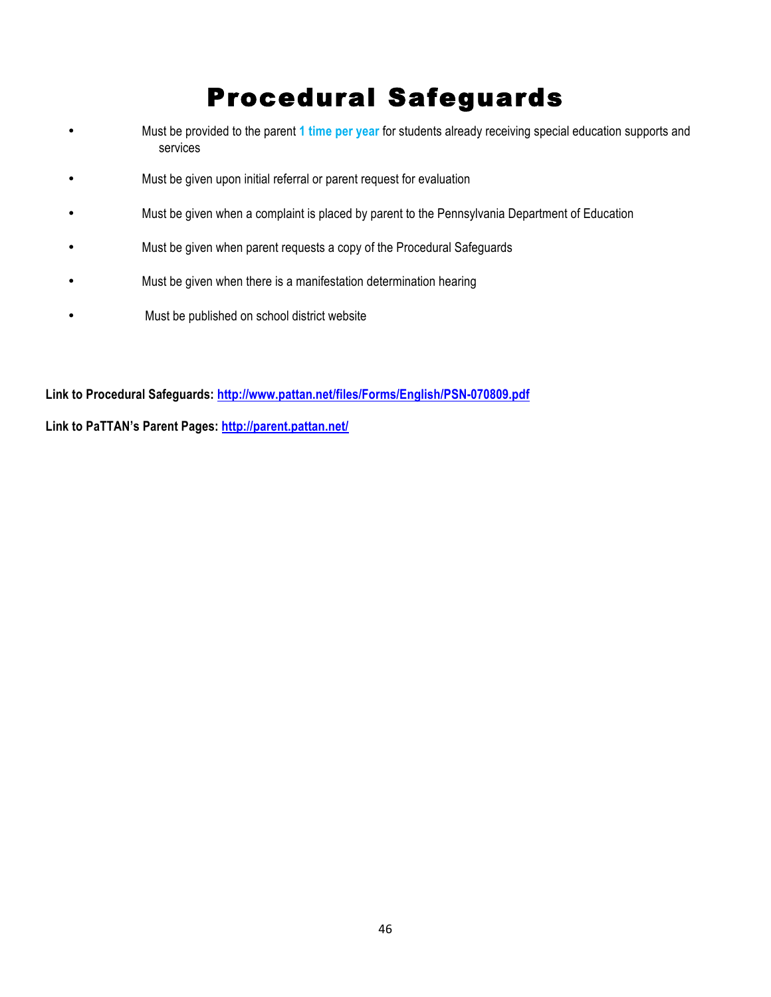### Procedural Safeguards

- Must be provided to the parent **1 time per year** for students already receiving special education supports and services
- Must be given upon initial referral or parent request for evaluation
- Must be given when a complaint is placed by parent to the Pennsylvania Department of Education
- Must be given when parent requests a copy of the Procedural Safeguards
- Must be given when there is a manifestation determination hearing
- Must be published on school district website

**Link to Procedural Safeguards: http://www.pattan.net/files/Forms/English/PSN-070809.pdf**

**Link to PaTTAN's Parent Pages: http://parent.pattan.net/**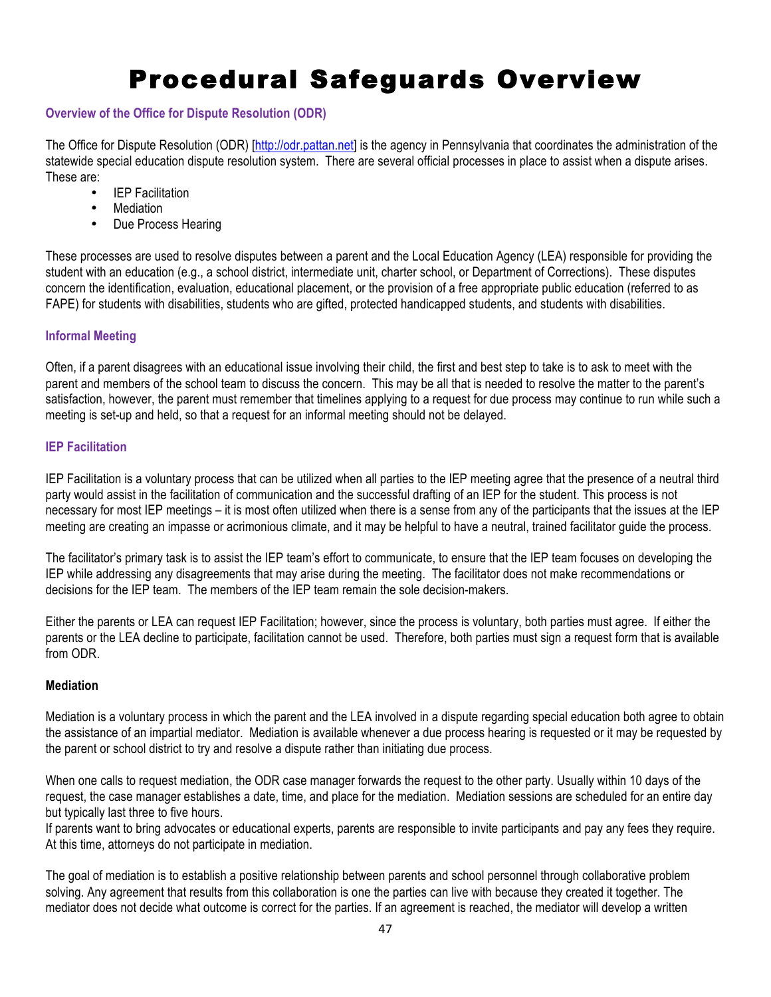### Procedural Safeguards Overview

#### **Overview of the Office for Dispute Resolution (ODR)**

The Office for Dispute Resolution (ODR) [http://odr.pattan.net] is the agency in Pennsylvania that coordinates the administration of the statewide special education dispute resolution system. There are several official processes in place to assist when a dispute arises. These are:

- IEP Facilitation
- Mediation
- Due Process Hearing

These processes are used to resolve disputes between a parent and the Local Education Agency (LEA) responsible for providing the student with an education (e.g., a school district, intermediate unit, charter school, or Department of Corrections). These disputes concern the identification, evaluation, educational placement, or the provision of a free appropriate public education (referred to as FAPE) for students with disabilities, students who are gifted, protected handicapped students, and students with disabilities.

#### **Informal Meeting**

Often, if a parent disagrees with an educational issue involving their child, the first and best step to take is to ask to meet with the parent and members of the school team to discuss the concern. This may be all that is needed to resolve the matter to the parent's satisfaction, however, the parent must remember that timelines applying to a request for due process may continue to run while such a meeting is set-up and held, so that a request for an informal meeting should not be delayed.

#### **IEP Facilitation**

IEP Facilitation is a voluntary process that can be utilized when all parties to the IEP meeting agree that the presence of a neutral third party would assist in the facilitation of communication and the successful drafting of an IEP for the student. This process is not necessary for most IEP meetings – it is most often utilized when there is a sense from any of the participants that the issues at the IEP meeting are creating an impasse or acrimonious climate, and it may be helpful to have a neutral, trained facilitator guide the process.

The facilitator's primary task is to assist the IEP team's effort to communicate, to ensure that the IEP team focuses on developing the IEP while addressing any disagreements that may arise during the meeting. The facilitator does not make recommendations or decisions for the IEP team. The members of the IEP team remain the sole decision-makers.

Either the parents or LEA can request IEP Facilitation; however, since the process is voluntary, both parties must agree. If either the parents or the LEA decline to participate, facilitation cannot be used. Therefore, both parties must sign a request form that is available from ODR.

#### **Mediation**

Mediation is a voluntary process in which the parent and the LEA involved in a dispute regarding special education both agree to obtain the assistance of an impartial mediator. Mediation is available whenever a due process hearing is requested or it may be requested by the parent or school district to try and resolve a dispute rather than initiating due process.

When one calls to request mediation, the ODR case manager forwards the request to the other party. Usually within 10 days of the request, the case manager establishes a date, time, and place for the mediation. Mediation sessions are scheduled for an entire day but typically last three to five hours.

If parents want to bring advocates or educational experts, parents are responsible to invite participants and pay any fees they require. At this time, attorneys do not participate in mediation.

The goal of mediation is to establish a positive relationship between parents and school personnel through collaborative problem solving. Any agreement that results from this collaboration is one the parties can live with because they created it together. The mediator does not decide what outcome is correct for the parties. If an agreement is reached, the mediator will develop a written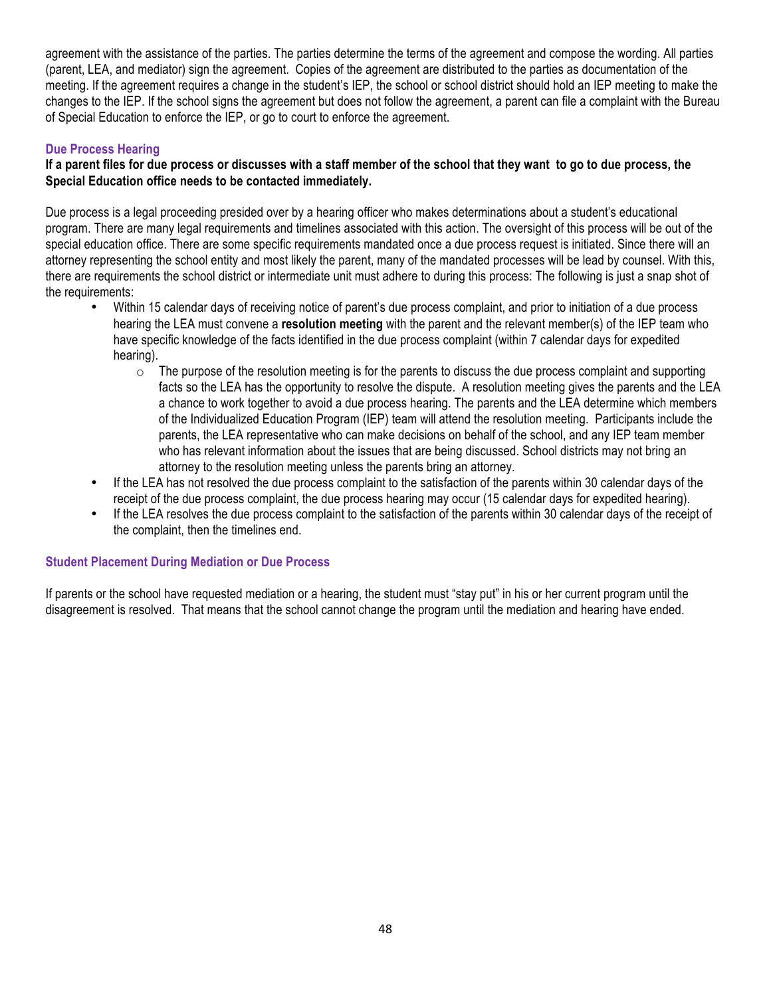agreement with the assistance of the parties. The parties determine the terms of the agreement and compose the wording. All parties (parent, LEA, and mediator) sign the agreement. Copies of the agreement are distributed to the parties as documentation of the meeting. If the agreement requires a change in the student's IEP, the school or school district should hold an IEP meeting to make the changes to the IEP. If the school signs the agreement but does not follow the agreement, a parent can file a complaint with the Bureau of Special Education to enforce the IEP, or go to court to enforce the agreement.

#### **Due Process Hearing**

#### **If a parent files for due process or discusses with a staff member of the school that they want to go to due process, the Special Education office needs to be contacted immediately.**

Due process is a legal proceeding presided over by a hearing officer who makes determinations about a student's educational program. There are many legal requirements and timelines associated with this action. The oversight of this process will be out of the special education office. There are some specific requirements mandated once a due process request is initiated. Since there will an attorney representing the school entity and most likely the parent, many of the mandated processes will be lead by counsel. With this, there are requirements the school district or intermediate unit must adhere to during this process: The following is just a snap shot of the requirements:

- Within 15 calendar days of receiving notice of parent's due process complaint, and prior to initiation of a due process hearing the LEA must convene a **resolution meeting** with the parent and the relevant member(s) of the IEP team who have specific knowledge of the facts identified in the due process complaint (within 7 calendar days for expedited hearing).
	- $\circ$  The purpose of the resolution meeting is for the parents to discuss the due process complaint and supporting facts so the LEA has the opportunity to resolve the dispute. A resolution meeting gives the parents and the LEA a chance to work together to avoid a due process hearing. The parents and the LEA determine which members of the Individualized Education Program (IEP) team will attend the resolution meeting. Participants include the parents, the LEA representative who can make decisions on behalf of the school, and any IEP team member who has relevant information about the issues that are being discussed. School districts may not bring an attorney to the resolution meeting unless the parents bring an attorney.
- If the LEA has not resolved the due process complaint to the satisfaction of the parents within 30 calendar days of the receipt of the due process complaint, the due process hearing may occur (15 calendar days for expedited hearing).
- If the LEA resolves the due process complaint to the satisfaction of the parents within 30 calendar days of the receipt of the complaint, then the timelines end.

#### **Student Placement During Mediation or Due Process**

If parents or the school have requested mediation or a hearing, the student must "stay put" in his or her current program until the disagreement is resolved. That means that the school cannot change the program until the mediation and hearing have ended.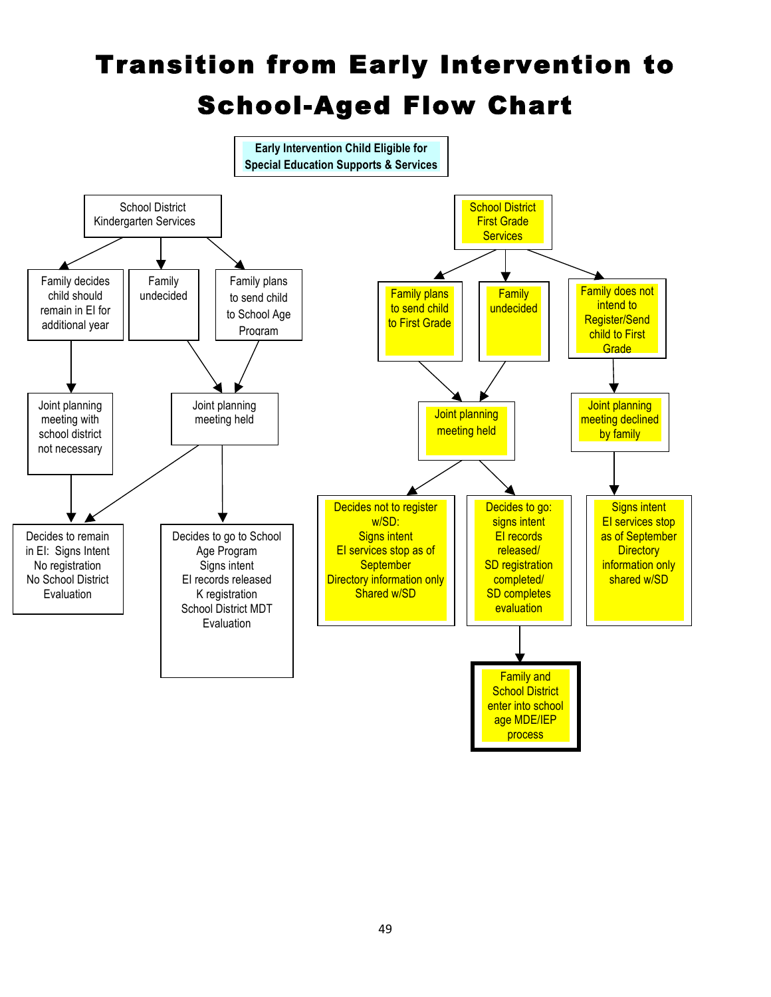## Transition from Early Intervention to School-Aged Flow Chart

![](_page_48_Figure_1.jpeg)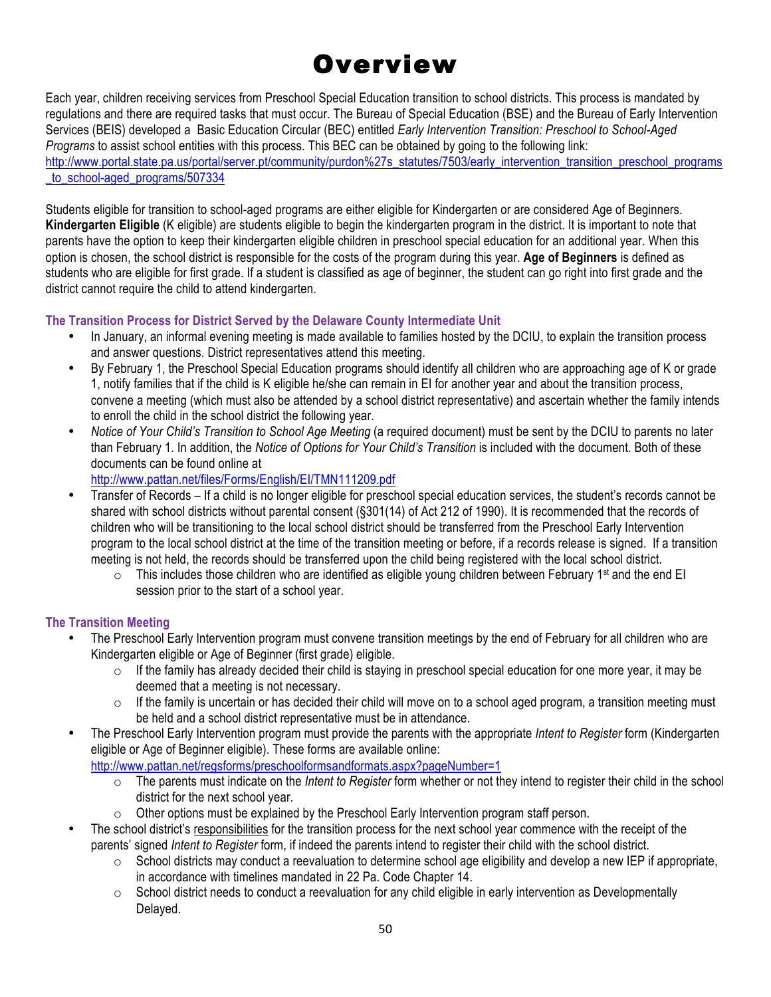## Overview

Each year, children receiving services from Preschool Special Education transition to school districts. This process is mandated by regulations and there are required tasks that must occur. The Bureau of Special Education (BSE) and the Bureau of Early Intervention Services (BEIS) developed a Basic Education Circular (BEC) entitled *Early Intervention Transition: Preschool to School-Aged Programs* to assist school entities with this process. This BEC can be obtained by going to the following link: http://www.portal.state.pa.us/portal/server.pt/community/purdon%27s\_statutes/7503/early\_intervention\_transition\_preschool\_programs to\_school-aged\_programs/507334

Students eligible for transition to school-aged programs are either eligible for Kindergarten or are considered Age of Beginners. **Kindergarten Eligible** (K eligible) are students eligible to begin the kindergarten program in the district. It is important to note that parents have the option to keep their kindergarten eligible children in preschool special education for an additional year. When this option is chosen, the school district is responsible for the costs of the program during this year. **Age of Beginners** is defined as students who are eligible for first grade. If a student is classified as age of beginner, the student can go right into first grade and the district cannot require the child to attend kindergarten.

#### **The Transition Process for District Served by the Delaware County Intermediate Unit**

- In January, an informal evening meeting is made available to families hosted by the DCIU, to explain the transition process and answer questions. District representatives attend this meeting.
- By February 1, the Preschool Special Education programs should identify all children who are approaching age of K or grade 1, notify families that if the child is K eligible he/she can remain in EI for another year and about the transition process, convene a meeting (which must also be attended by a school district representative) and ascertain whether the family intends to enroll the child in the school district the following year.
- *Notice of Your Child's Transition to School Age Meeting* (a required document) must be sent by the DCIU to parents no later than February 1. In addition, the *Notice of Options for Your Child's Transition* is included with the document. Both of these documents can be found online at

http://www.pattan.net/files/Forms/English/EI/TMN111209.pdf

- Transfer of Records If a child is no longer eligible for preschool special education services, the student's records cannot be shared with school districts without parental consent (§301(14) of Act 212 of 1990). It is recommended that the records of children who will be transitioning to the local school district should be transferred from the Preschool Early Intervention program to the local school district at the time of the transition meeting or before, if a records release is signed. If a transition meeting is not held, the records should be transferred upon the child being registered with the local school district.
	- $\circ$  This includes those children who are identified as eligible young children between February 1<sup>st</sup> and the end EI session prior to the start of a school year.

#### **The Transition Meeting**

- The Preschool Early Intervention program must convene transition meetings by the end of February for all children who are Kindergarten eligible or Age of Beginner (first grade) eligible.
	- $\circ$  If the family has already decided their child is staying in preschool special education for one more year, it may be deemed that a meeting is not necessary.
	- $\circ$  If the family is uncertain or has decided their child will move on to a school aged program, a transition meeting must be held and a school district representative must be in attendance.
- The Preschool Early Intervention program must provide the parents with the appropriate *Intent to Register* form (Kindergarten eligible or Age of Beginner eligible). These forms are available online:

http://www.pattan.net/regsforms/preschoolformsandformats.aspx?pageNumber=1

- o The parents must indicate on the *Intent to Register* form whether or not they intend to register their child in the school district for the next school year.
- $\circ$  Other options must be explained by the Preschool Early Intervention program staff person.
- The school district's responsibilities for the transition process for the next school year commence with the receipt of the parents' signed *Intent to Register* form, if indeed the parents intend to register their child with the school district.
	- $\circ$  School districts may conduct a reevaluation to determine school age eligibility and develop a new IEP if appropriate, in accordance with timelines mandated in 22 Pa. Code Chapter 14.
	- o School district needs to conduct a reevaluation for any child eligible in early intervention as Developmentally Delayed.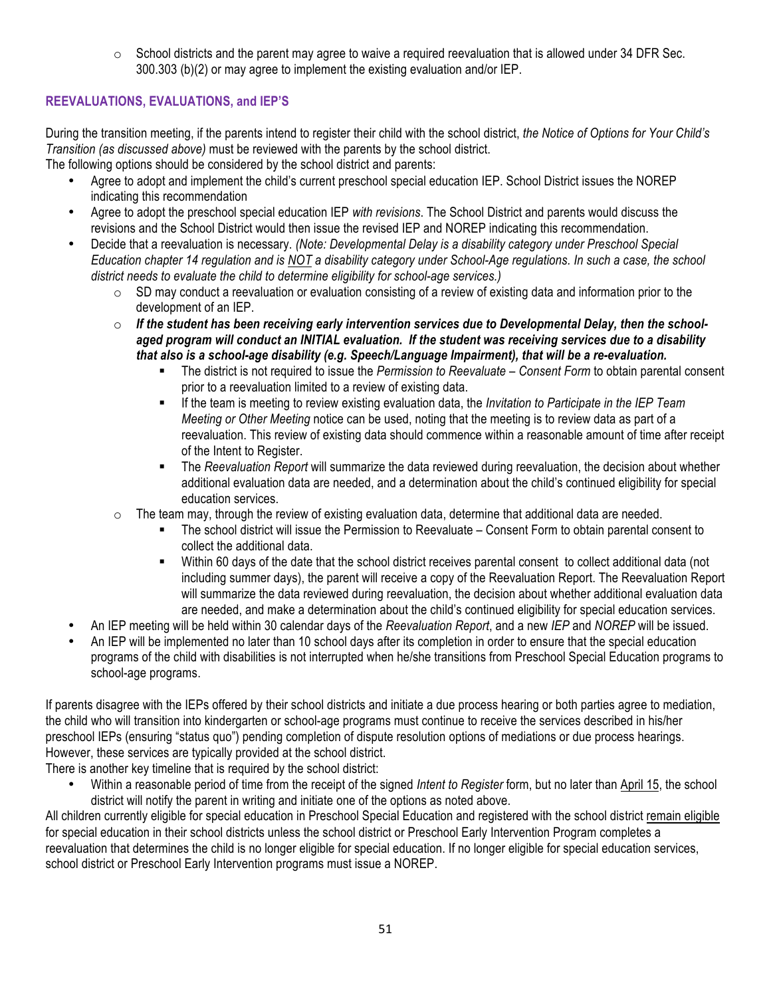$\circ$  School districts and the parent may agree to waive a required reevaluation that is allowed under 34 DFR Sec. 300.303 (b)(2) or may agree to implement the existing evaluation and/or IEP.

#### **REEVALUATIONS, EVALUATIONS, and IEP'S**

During the transition meeting, if the parents intend to register their child with the school district, *the Notice of Options for Your Child's Transition (as discussed above)* must be reviewed with the parents by the school district.

The following options should be considered by the school district and parents:

- Agree to adopt and implement the child's current preschool special education IEP. School District issues the NOREP indicating this recommendation
- Agree to adopt the preschool special education IEP *with revisions*. The School District and parents would discuss the revisions and the School District would then issue the revised IEP and NOREP indicating this recommendation.
- Decide that a reevaluation is necessary. *(Note: Developmental Delay is a disability category under Preschool Special Education chapter 14 regulation and is NOT a disability category under School-Age regulations. In such a case, the school district needs to evaluate the child to determine eligibility for school-age services.)* 
	- $\circ$  SD may conduct a reevaluation or evaluation consisting of a review of existing data and information prior to the development of an IEP.
	- o *If the student has been receiving early intervention services due to Developmental Delay, then the schoolaged program will conduct an INITIAL evaluation. If the student was receiving services due to a disability that also is a school-age disability (e.g. Speech/Language Impairment), that will be a re-evaluation.*
		- The district is not required to issue the *Permission to Reevaluate Consent Form* to obtain parental consent prior to a reevaluation limited to a review of existing data.
		- If the team is meeting to review existing evaluation data, the *Invitation to Participate in the IEP Team Meeting or Other Meeting* notice can be used, noting that the meeting is to review data as part of a reevaluation. This review of existing data should commence within a reasonable amount of time after receipt of the Intent to Register.
		- The *Reevaluation Report* will summarize the data reviewed during reevaluation, the decision about whether additional evaluation data are needed, and a determination about the child's continued eligibility for special education services.
	- $\circ$  The team may, through the review of existing evaluation data, determine that additional data are needed.
		- The school district will issue the Permission to Reevaluate Consent Form to obtain parental consent to collect the additional data.
		- Within 60 days of the date that the school district receives parental consent to collect additional data (not including summer days), the parent will receive a copy of the Reevaluation Report. The Reevaluation Report will summarize the data reviewed during reevaluation, the decision about whether additional evaluation data are needed, and make a determination about the child's continued eligibility for special education services.
- An IEP meeting will be held within 30 calendar days of the *Reevaluation Report*, and a new *IEP* and *NOREP* will be issued.
- An IEP will be implemented no later than 10 school days after its completion in order to ensure that the special education programs of the child with disabilities is not interrupted when he/she transitions from Preschool Special Education programs to school-age programs.

If parents disagree with the IEPs offered by their school districts and initiate a due process hearing or both parties agree to mediation, the child who will transition into kindergarten or school-age programs must continue to receive the services described in his/her preschool IEPs (ensuring "status quo") pending completion of dispute resolution options of mediations or due process hearings. However, these services are typically provided at the school district.

There is another key timeline that is required by the school district:

• Within a reasonable period of time from the receipt of the signed *Intent to Register* form, but no later than April 15, the school district will notify the parent in writing and initiate one of the options as noted above.

All children currently eligible for special education in Preschool Special Education and registered with the school district remain eligible for special education in their school districts unless the school district or Preschool Early Intervention Program completes a reevaluation that determines the child is no longer eligible for special education. If no longer eligible for special education services, school district or Preschool Early Intervention programs must issue a NOREP.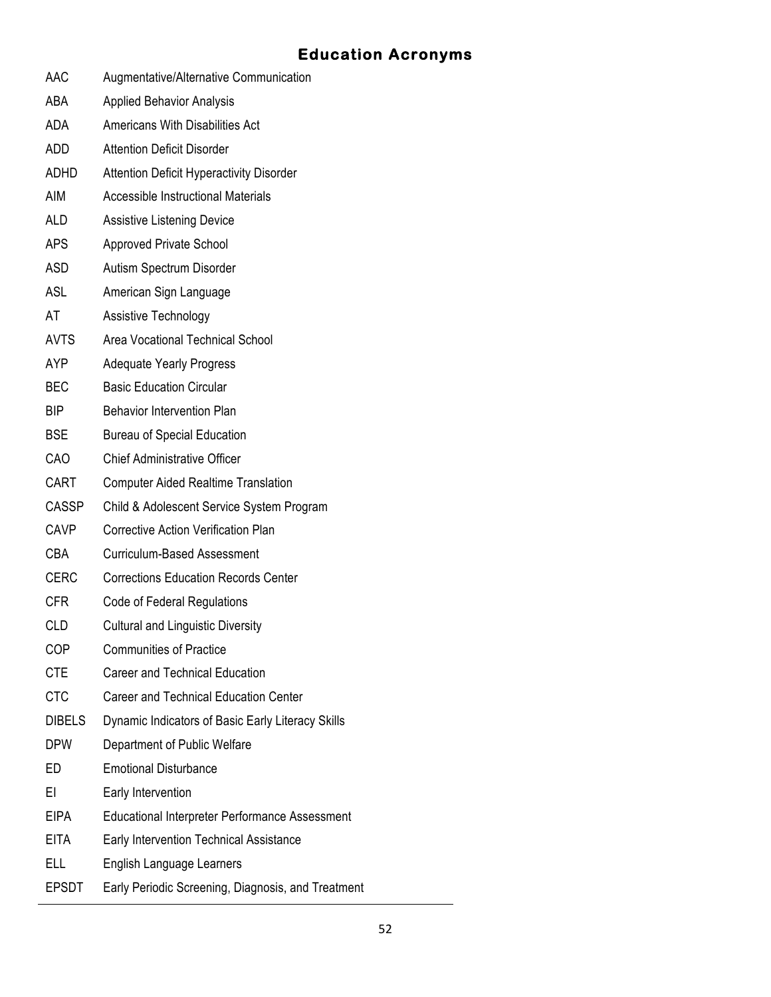#### **Education Acronyms**

- AAC Augmentative/Alternative Communication ABA Applied Behavior Analysis ADA Americans With Disabilities Act ADD Attention Deficit Disorder ADHD Attention Deficit Hyperactivity Disorder AIM Accessible Instructional Materials ALD Assistive Listening Device APS Approved Private School ASD Autism Spectrum Disorder ASL American Sign Language AT Assistive Technology AVTS Area Vocational Technical School AYP Adequate Yearly Progress BEC Basic Education Circular BIP Behavior Intervention Plan BSE Bureau of Special Education CAO Chief Administrative Officer CART Computer Aided Realtime Translation CASSP Child & Adolescent Service System Program CAVP Corrective Action Verification Plan CBA Curriculum-Based Assessment CERC Corrections Education Records Center CFR Code of Federal Regulations CLD Cultural and Linguistic Diversity COP Communities of Practice CTE Career and Technical Education CTC Career and Technical Education Center DIBELS Dynamic Indicators of Basic Early Literacy Skills DPW Department of Public Welfare ED Emotional Disturbance EI Early Intervention EIPA Educational Interpreter Performance Assessment EITA Early Intervention Technical Assistance
- ELL English Language Learners
- EPSDT Early Periodic Screening, Diagnosis, and Treatment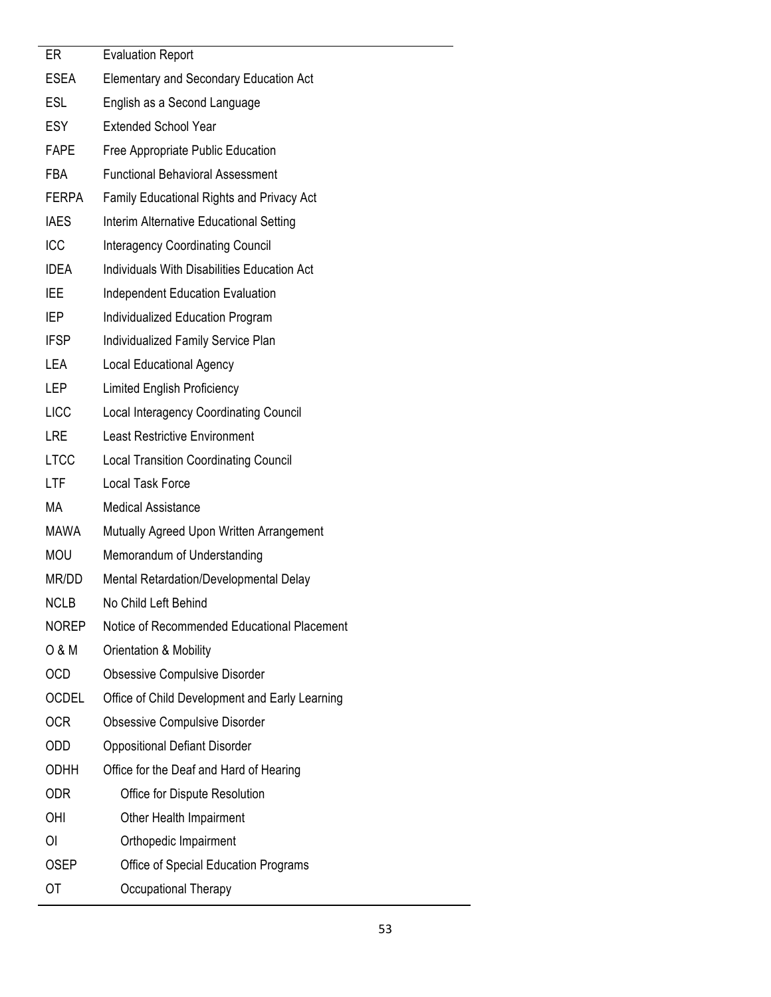| ER           | <b>Evaluation Report</b>                       |
|--------------|------------------------------------------------|
| <b>ESEA</b>  | <b>Elementary and Secondary Education Act</b>  |
| <b>ESL</b>   | English as a Second Language                   |
| <b>ESY</b>   | <b>Extended School Year</b>                    |
| <b>FAPE</b>  | Free Appropriate Public Education              |
| <b>FBA</b>   | <b>Functional Behavioral Assessment</b>        |
| <b>FERPA</b> | Family Educational Rights and Privacy Act      |
| <b>IAES</b>  | Interim Alternative Educational Setting        |
| ICC          | <b>Interagency Coordinating Council</b>        |
| <b>IDEA</b>  | Individuals With Disabilities Education Act    |
| <b>IEE</b>   | <b>Independent Education Evaluation</b>        |
| IEP          | Individualized Education Program               |
| <b>IFSP</b>  | Individualized Family Service Plan             |
| LEA          | <b>Local Educational Agency</b>                |
| LEP          | <b>Limited English Proficiency</b>             |
| <b>LICC</b>  | <b>Local Interagency Coordinating Council</b>  |
| LRE          | <b>Least Restrictive Environment</b>           |
| <b>LTCC</b>  | <b>Local Transition Coordinating Council</b>   |
| LTF          | <b>Local Task Force</b>                        |
| <b>MA</b>    | <b>Medical Assistance</b>                      |
| <b>MAWA</b>  | Mutually Agreed Upon Written Arrangement       |
| <b>MOU</b>   | Memorandum of Understanding                    |
| MR/DD        | Mental Retardation/Developmental Delay         |
| <b>NCLB</b>  | No Child Left Behind                           |
| <b>NOREP</b> | Notice of Recommended Educational Placement    |
| 0 & M        | Orientation & Mobility                         |
| <b>OCD</b>   | <b>Obsessive Compulsive Disorder</b>           |
| <b>OCDEL</b> | Office of Child Development and Early Learning |
| 0CR          | <b>Obsessive Compulsive Disorder</b>           |
| ODD          | <b>Oppositional Defiant Disorder</b>           |
| <b>ODHH</b>  | Office for the Deaf and Hard of Hearing        |
| <b>ODR</b>   | Office for Dispute Resolution                  |
| <b>OHI</b>   | Other Health Impairment                        |
| ΟI           | Orthopedic Impairment                          |
| <b>OSEP</b>  | Office of Special Education Programs           |
| ОT           | Occupational Therapy                           |
|              |                                                |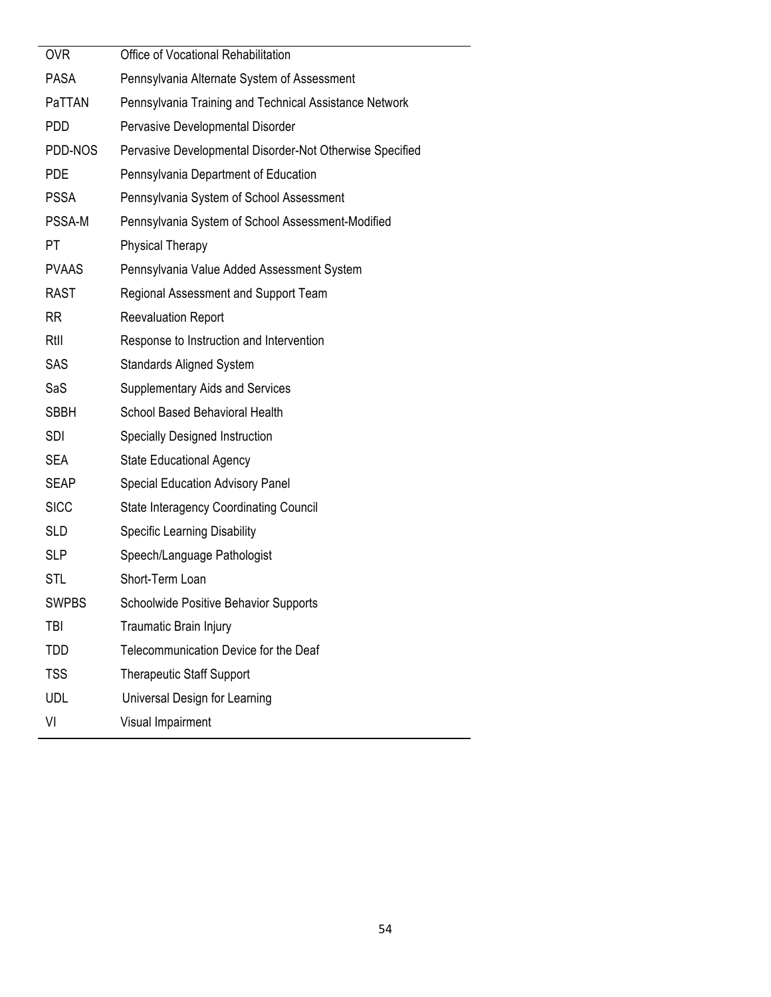| <b>OVR</b>    | Office of Vocational Rehabilitation                      |
|---------------|----------------------------------------------------------|
| <b>PASA</b>   | Pennsylvania Alternate System of Assessment              |
| PaTTAN        | Pennsylvania Training and Technical Assistance Network   |
| PDD           | Pervasive Developmental Disorder                         |
| PDD-NOS       | Pervasive Developmental Disorder-Not Otherwise Specified |
| <b>PDE</b>    | Pennsylvania Department of Education                     |
| <b>PSSA</b>   | Pennsylvania System of School Assessment                 |
| <b>PSSA-M</b> | Pennsylvania System of School Assessment-Modified        |
| PT            | <b>Physical Therapy</b>                                  |
| <b>PVAAS</b>  | Pennsylvania Value Added Assessment System               |
| <b>RAST</b>   | Regional Assessment and Support Team                     |
| <b>RR</b>     | <b>Reevaluation Report</b>                               |
| Rtil          | Response to Instruction and Intervention                 |
| <b>SAS</b>    | <b>Standards Aligned System</b>                          |
| SaS           | <b>Supplementary Aids and Services</b>                   |
| <b>SBBH</b>   | School Based Behavioral Health                           |
| <b>SDI</b>    | <b>Specially Designed Instruction</b>                    |
| <b>SEA</b>    | <b>State Educational Agency</b>                          |
| <b>SEAP</b>   | <b>Special Education Advisory Panel</b>                  |
| <b>SICC</b>   | <b>State Interagency Coordinating Council</b>            |
| <b>SLD</b>    | <b>Specific Learning Disability</b>                      |
| <b>SLP</b>    | Speech/Language Pathologist                              |
| STL           | Short-Term Loan                                          |
| <b>SWPBS</b>  | Schoolwide Positive Behavior Supports                    |
| <b>TBI</b>    | Traumatic Brain Injury                                   |
| TDD           | Telecommunication Device for the Deaf                    |
| <b>TSS</b>    | <b>Therapeutic Staff Support</b>                         |
| <b>UDL</b>    | Universal Design for Learning                            |
| VI            | Visual Impairment                                        |
|               |                                                          |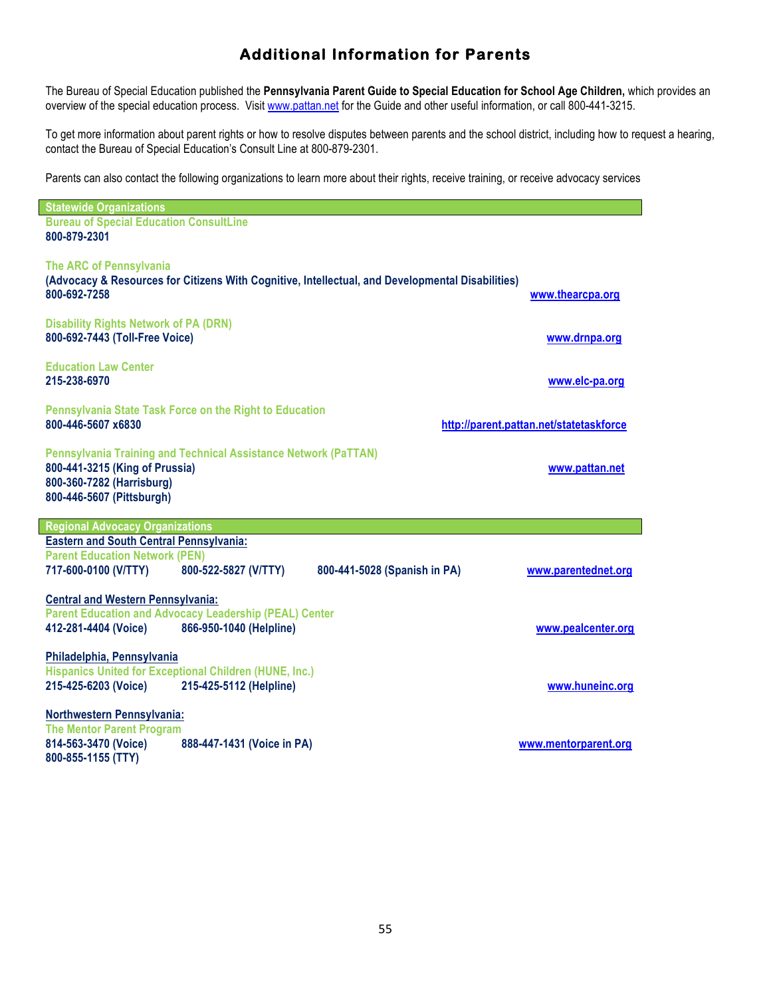#### **Additional Information for Parents**

The Bureau of Special Education published the **Pennsylvania Parent Guide to Special Education for School Age Children,** which provides an overview of the special education process. Visit www.pattan.net for the Guide and other useful information, or call 800-441-3215.

To get more information about parent rights or how to resolve disputes between parents and the school district, including how to request a hearing, contact the Bureau of Special Education's Consult Line at 800-879-2301.

Parents can also contact the following organizations to learn more about their rights, receive training, or receive advocacy services

| <b>Statewide Organizations</b>                                                                                                                                          |                                         |
|-------------------------------------------------------------------------------------------------------------------------------------------------------------------------|-----------------------------------------|
| <b>Bureau of Special Education ConsultLine</b><br>800-879-2301                                                                                                          |                                         |
| <b>The ARC of Pennsylvania</b><br>(Advocacy & Resources for Citizens With Cognitive, Intellectual, and Developmental Disabilities)<br>800-692-7258                      | www.thearcpa.org                        |
| <b>Disability Rights Network of PA (DRN)</b><br>800-692-7443 (Toll-Free Voice)                                                                                          | www.drnpa.org                           |
| <b>Education Law Center</b><br>215-238-6970                                                                                                                             | www.elc-pa.org                          |
| Pennsylvania State Task Force on the Right to Education<br>800-446-5607 x6830                                                                                           | http://parent.pattan.net/statetaskforce |
| <b>Pennsylvania Training and Technical Assistance Network (PaTTAN)</b><br>800-441-3215 (King of Prussia)<br>800-360-7282 (Harrisburg)<br>800-446-5607 (Pittsburgh)      | www.pattan.net                          |
| <b>Regional Advocacy Organizations</b>                                                                                                                                  |                                         |
| <b>Eastern and South Central Pennsylvania:</b><br><b>Parent Education Network (PEN)</b><br>717-600-0100 (V/TTY)<br>800-522-5827 (V/TTY)<br>800-441-5028 (Spanish in PA) | www.parentednet.org                     |
| <b>Central and Western Pennsylvania:</b><br><b>Parent Education and Advocacy Leadership (PEAL) Center</b><br>412-281-4404 (Voice)<br>866-950-1040 (Helpline)            | www.pealcenter.org                      |
| Philadelphia, Pennsylvania<br><b>Hispanics United for Exceptional Children (HUNE, Inc.)</b><br>215-425-6203 (Voice)<br>215-425-5112 (Helpline)                          | www.huneinc.org                         |
| Northwestern Pennsylvania:<br><b>The Mentor Parent Program</b>                                                                                                          |                                         |
| 814-563-3470 (Voice)<br>888-447-1431 (Voice in PA)<br>800-855-1155 (TTY)                                                                                                | www.mentorparent.org                    |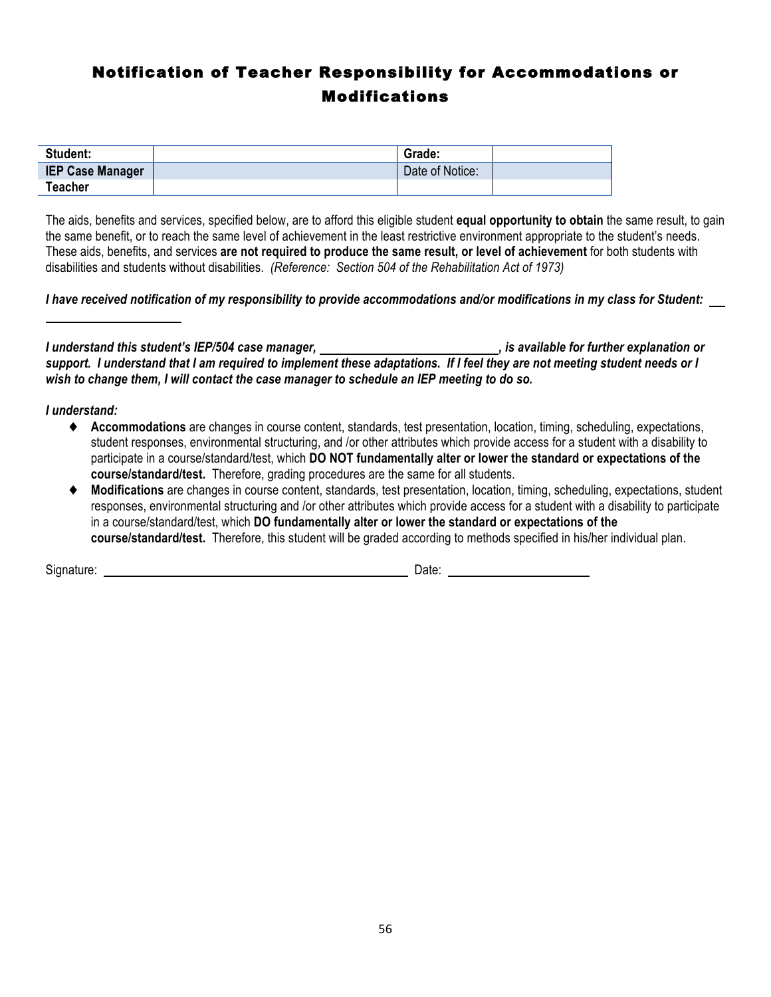### Notification of Teacher Responsibility for Accommodations or Modifications

| Student:                | Grade:          |  |
|-------------------------|-----------------|--|
| <b>IEP Case Manager</b> | Date of Notice: |  |
| <b>Teacher</b>          |                 |  |

The aids, benefits and services, specified below, are to afford this eligible student **equal opportunity to obtain** the same result, to gain the same benefit, or to reach the same level of achievement in the least restrictive environment appropriate to the student's needs. These aids, benefits, and services **are not required to produce the same result, or level of achievement** for both students with disabilities and students without disabilities. *(Reference: Section 504 of the Rehabilitation Act of 1973)*

*I have received notification of my responsibility to provide accommodations and/or modifications in my class for Student:* 

*I* understand this student's IEP/504 case manager,  $\blacksquare$ , is available for further explanation or *support. I understand that I am required to implement these adaptations. If I feel they are not meeting student needs or I wish to change them, I will contact the case manager to schedule an IEP meeting to do so.*

#### *I understand:*

- ◆ **Accommodations** are changes in course content, standards, test presentation, location, timing, scheduling, expectations, student responses, environmental structuring, and /or other attributes which provide access for a student with a disability to participate in a course/standard/test, which **DO NOT fundamentally alter or lower the standard or expectations of the course/standard/test.** Therefore, grading procedures are the same for all students.
- **Modifications** are changes in course content, standards, test presentation, location, timing, scheduling, expectations, student responses, environmental structuring and /or other attributes which provide access for a student with a disability to participate in a course/standard/test, which **DO fundamentally alter or lower the standard or expectations of the course/standard/test.** Therefore, this student will be graded according to methods specified in his/her individual plan.

Signature: Date: Date: Date: Date: Date: Date: Date: Date: Date: Date: Date: Date: Date: Date: Date: Date: Date: Date: Date: Date: Date: Date: Date: Date: Date: Date: Date: Date: Date: Date: Date: Date: Date: Date: Date: D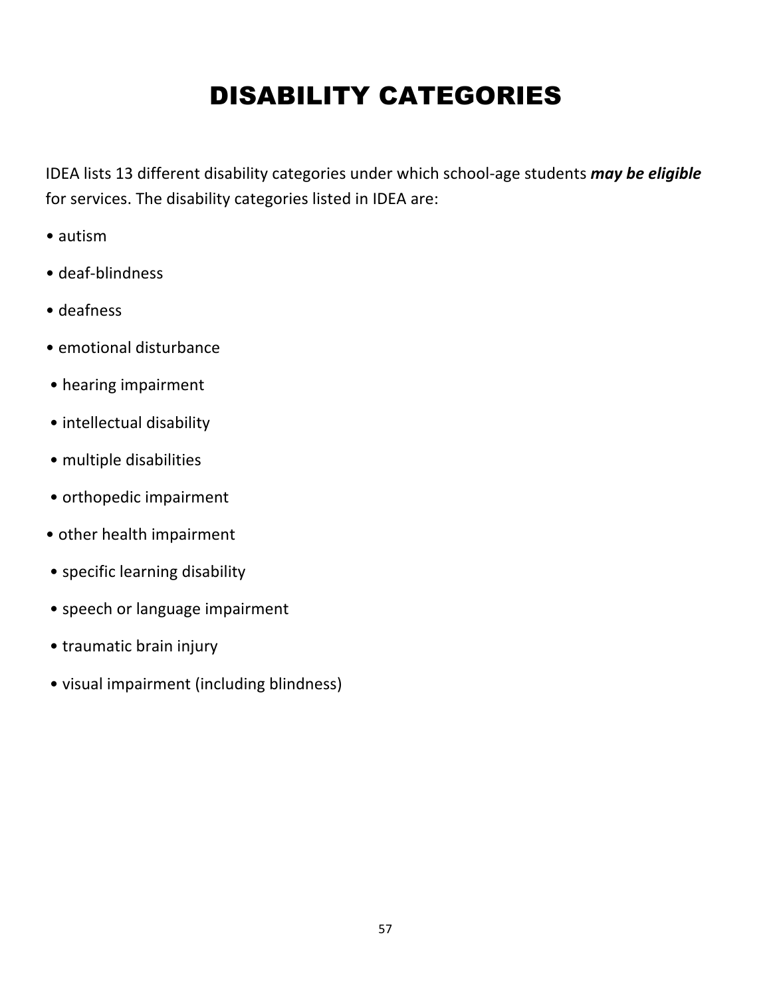## DISABILITY CATEGORIES

IDEA lists 13 different disability categories under which school-age students *may be eligible* for services. The disability categories listed in IDEA are:

- • autism
- • deaf-blindness
- • deafness
- emotional disturbance
- hearing impairment
- intellectual disability
- multiple disabilities
- orthopedic impairment
- other health impairment
- specific learning disability
- speech or language impairment
- traumatic brain injury
- visual impairment (including blindness)